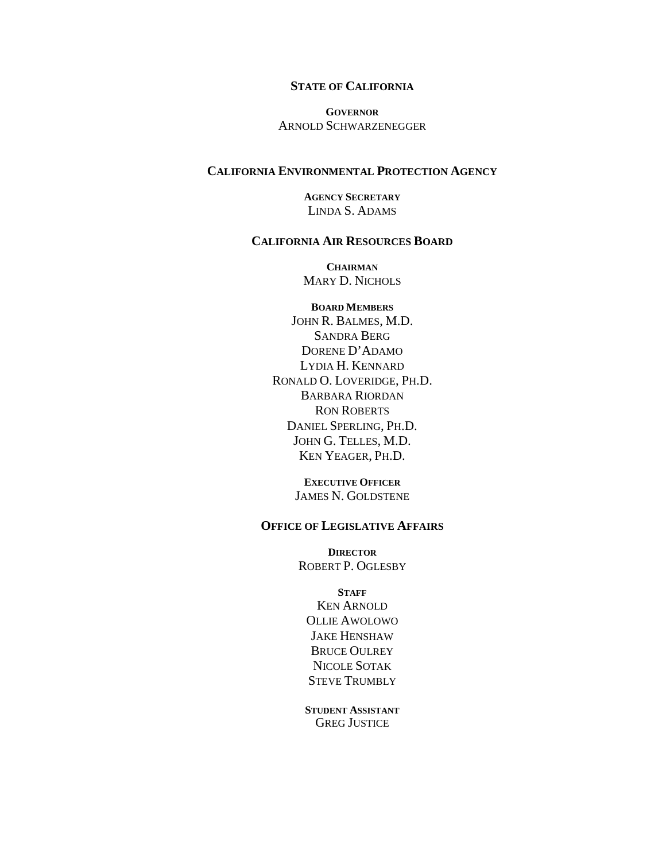#### **STATE OF CALIFORNIA**

**GOVERNOR** ARNOLD SCHWARZENEGGER

#### **CALIFORNIA ENVIRONMENTAL PROTECTION AGENCY**

**AGENCY SECRETARY** LINDA S. ADAMS

#### **CALIFORNIA AIR RESOURCES BOARD**

**CHAIRMAN**  MARY D. NICHOLS

**BOARD MEMBERS** JOHN R. BALMES, M.D. SANDRA BERG DORENE D'ADAMO LYDIA H. KENNARD RONALD O. LOVERIDGE, PH.D. BARBARA RIORDAN RON ROBERTS DANIEL SPERLING, PH.D. JOHN G. TELLES, M.D. KEN YEAGER, PH.D.

> **EXECUTIVE OFFICER** JAMES N. GOLDSTENE

#### **OFFICE OF LEGISLATIVE AFFAIRS**

**DIRECTOR** ROBERT P. OGLESBY

#### **STAFF** KEN ARNOLD

OLLIE AWOLOWO JAKE HENSHAW BRUCE OULREY NICOLE SOTAK STEVE TRUMBLY

**STUDENT ASSISTANT** GREG JUSTICE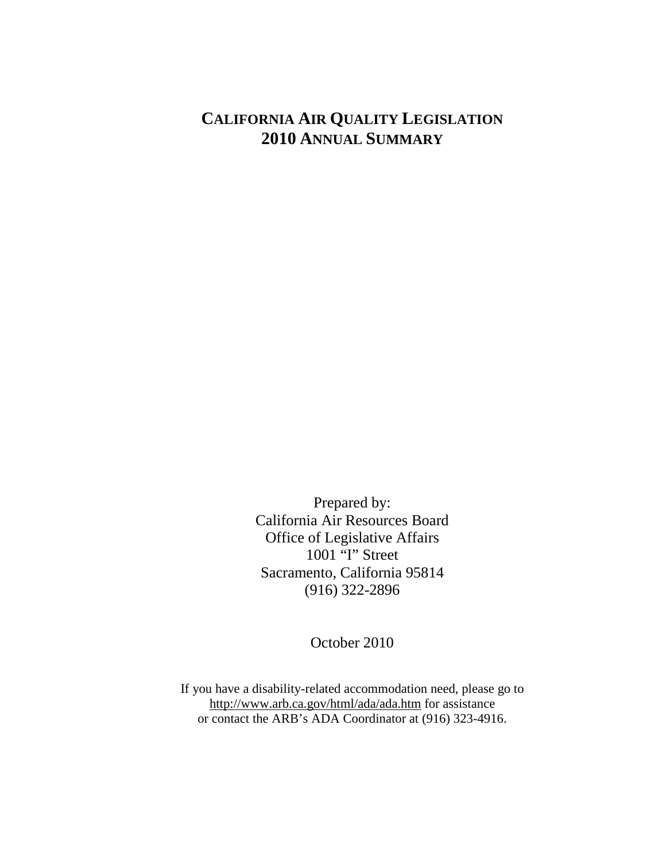# **CALIFORNIA AIR QUALITY LEGISLATION 2010 ANNUAL SUMMARY**

Prepared by: California Air Resources Board Office of Legislative Affairs 1001 "I" Street Sacramento, California 95814 (916) 322-2896

October 2010

If you have a disability-related accommodation need, please go to http://www.arb.ca.gov/html/ada/ada.htm for assistance or contact the ARB's ADA Coordinator at (916) 323-4916.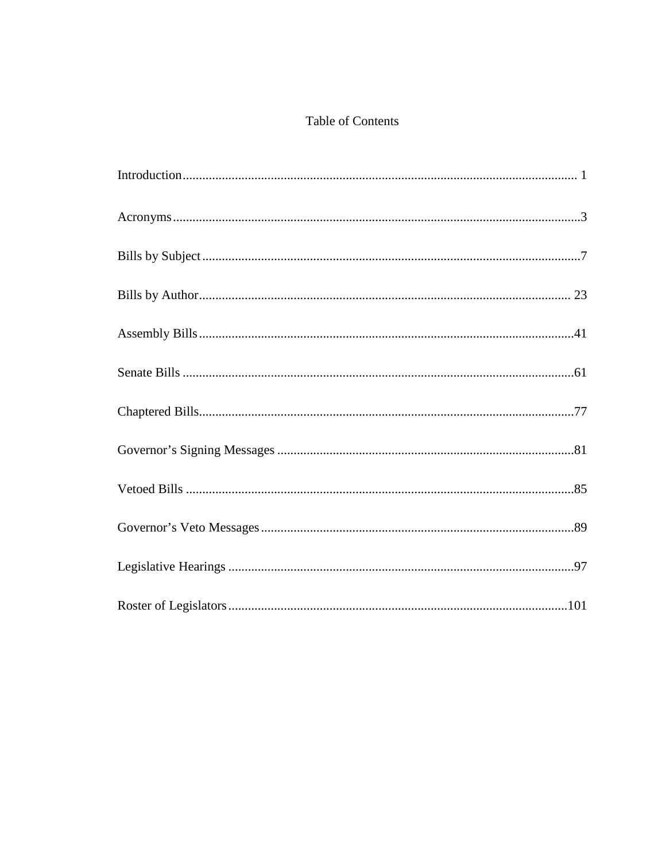#### Table of Contents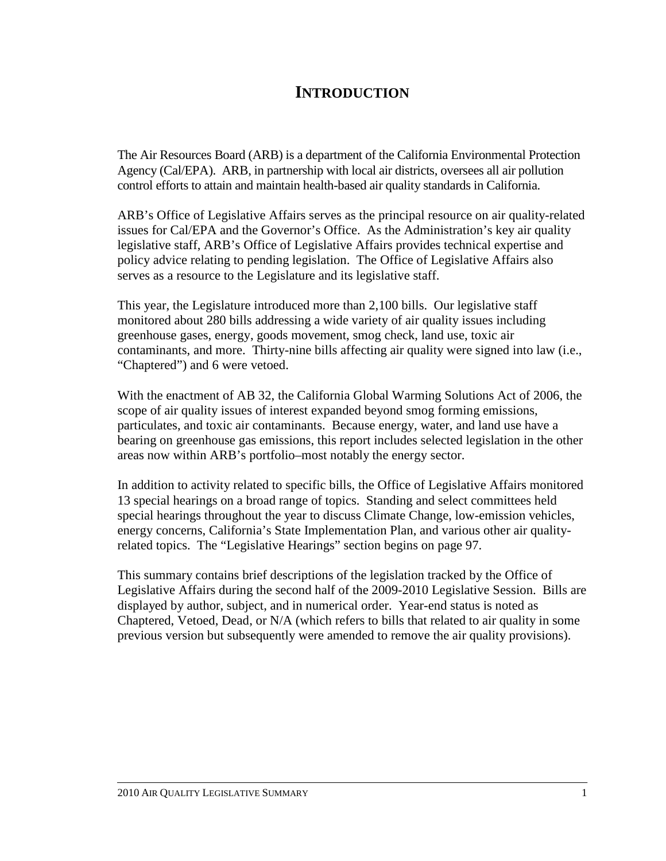# **INTRODUCTION**

The Air Resources Board (ARB) is a department of the California Environmental Protection Agency (Cal/EPA). ARB, in partnership with local air districts, oversees all air pollution control efforts to attain and maintain health-based air quality standards in California.

ARB's Office of Legislative Affairs serves as the principal resource on air quality-related issues for Cal/EPA and the Governor's Office. As the Administration's key air quality legislative staff, ARB's Office of Legislative Affairs provides technical expertise and policy advice relating to pending legislation. The Office of Legislative Affairs also serves as a resource to the Legislature and its legislative staff.

This year, the Legislature introduced more than 2,100 bills. Our legislative staff monitored about 280 bills addressing a wide variety of air quality issues including greenhouse gases, energy, goods movement, smog check, land use, toxic air contaminants, and more. Thirty-nine bills affecting air quality were signed into law (i.e., "Chaptered") and 6 were vetoed.

With the enactment of AB 32, the California Global Warming Solutions Act of 2006, the scope of air quality issues of interest expanded beyond smog forming emissions, particulates, and toxic air contaminants. Because energy, water, and land use have a bearing on greenhouse gas emissions, this report includes selected legislation in the other areas now within ARB's portfolio–most notably the energy sector.

In addition to activity related to specific bills, the Office of Legislative Affairs monitored 13 special hearings on a broad range of topics. Standing and select committees held special hearings throughout the year to discuss Climate Change, low-emission vehicles, energy concerns, California's State Implementation Plan, and various other air qualityrelated topics. The "Legislative Hearings" section begins on page 97.

This summary contains brief descriptions of the legislation tracked by the Office of Legislative Affairs during the second half of the 2009-2010 Legislative Session. Bills are displayed by author, subject, and in numerical order. Year-end status is noted as Chaptered, Vetoed, Dead, or N/A (which refers to bills that related to air quality in some previous version but subsequently were amended to remove the air quality provisions).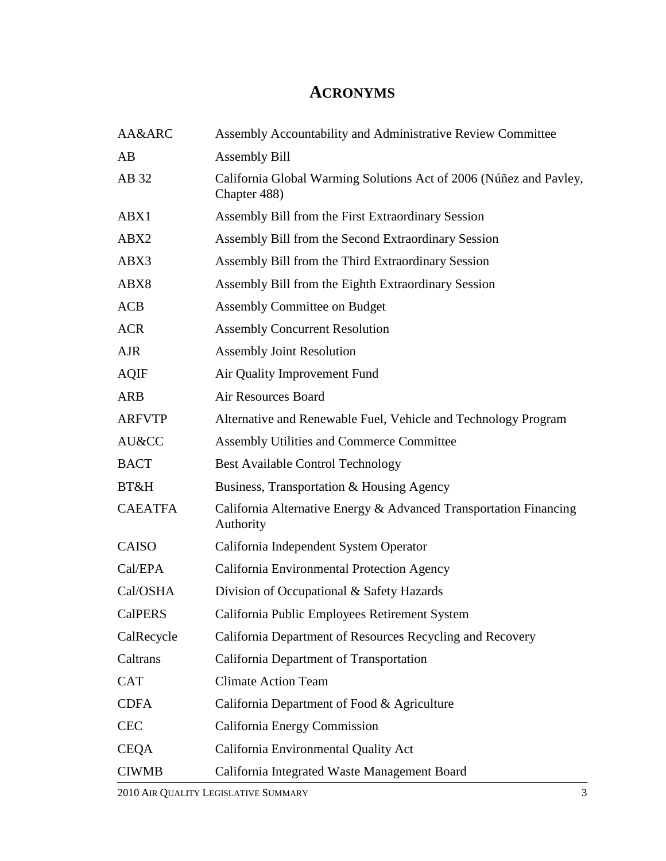# **ACRONYMS**

| AA&ARC         | Assembly Accountability and Administrative Review Committee                        |  |  |
|----------------|------------------------------------------------------------------------------------|--|--|
| AB             | <b>Assembly Bill</b>                                                               |  |  |
| AB 32          | California Global Warming Solutions Act of 2006 (Núñez and Pavley,<br>Chapter 488) |  |  |
| ABX1           | Assembly Bill from the First Extraordinary Session                                 |  |  |
| ABX2           | Assembly Bill from the Second Extraordinary Session                                |  |  |
| ABX3           | Assembly Bill from the Third Extraordinary Session                                 |  |  |
| ABX8           | Assembly Bill from the Eighth Extraordinary Session                                |  |  |
| <b>ACB</b>     | <b>Assembly Committee on Budget</b>                                                |  |  |
| <b>ACR</b>     | <b>Assembly Concurrent Resolution</b>                                              |  |  |
| <b>AJR</b>     | <b>Assembly Joint Resolution</b>                                                   |  |  |
| <b>AQIF</b>    | Air Quality Improvement Fund                                                       |  |  |
| ARB            | Air Resources Board                                                                |  |  |
| <b>ARFVTP</b>  | Alternative and Renewable Fuel, Vehicle and Technology Program                     |  |  |
| AU&CC          | Assembly Utilities and Commerce Committee                                          |  |  |
| <b>BACT</b>    | <b>Best Available Control Technology</b>                                           |  |  |
| BT&H           | Business, Transportation & Housing Agency                                          |  |  |
| <b>CAEATFA</b> | California Alternative Energy & Advanced Transportation Financing<br>Authority     |  |  |
| CAISO          | California Independent System Operator                                             |  |  |
| Cal/EPA        | California Environmental Protection Agency                                         |  |  |
| Cal/OSHA       | Division of Occupational & Safety Hazards                                          |  |  |
| <b>CalPERS</b> | California Public Employees Retirement System                                      |  |  |
| CalRecycle     | California Department of Resources Recycling and Recovery                          |  |  |
| Caltrans       | California Department of Transportation                                            |  |  |
| <b>CAT</b>     | <b>Climate Action Team</b>                                                         |  |  |
| <b>CDFA</b>    | California Department of Food & Agriculture                                        |  |  |
| <b>CEC</b>     | California Energy Commission                                                       |  |  |
| <b>CEQA</b>    | California Environmental Quality Act                                               |  |  |
| <b>CIWMB</b>   | California Integrated Waste Management Board                                       |  |  |
|                | 2010 AIR QUALITY LEGISLATIVE SUMMARY<br>3                                          |  |  |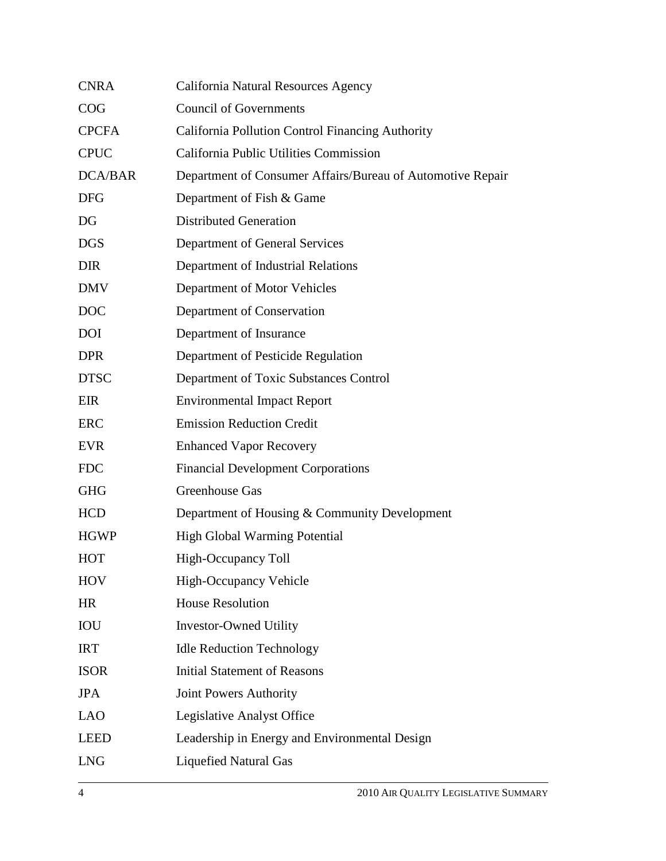| <b>CNRA</b>    | California Natural Resources Agency                        |
|----------------|------------------------------------------------------------|
| COG            | <b>Council of Governments</b>                              |
| <b>CPCFA</b>   | California Pollution Control Financing Authority           |
| <b>CPUC</b>    | California Public Utilities Commission                     |
| <b>DCA/BAR</b> | Department of Consumer Affairs/Bureau of Automotive Repair |
| <b>DFG</b>     | Department of Fish & Game                                  |
| DG             | <b>Distributed Generation</b>                              |
| <b>DGS</b>     | Department of General Services                             |
| <b>DIR</b>     | Department of Industrial Relations                         |
| <b>DMV</b>     | Department of Motor Vehicles                               |
| <b>DOC</b>     | Department of Conservation                                 |
| <b>DOI</b>     | Department of Insurance                                    |
| <b>DPR</b>     | Department of Pesticide Regulation                         |
| <b>DTSC</b>    | Department of Toxic Substances Control                     |
| <b>EIR</b>     | <b>Environmental Impact Report</b>                         |
| <b>ERC</b>     | <b>Emission Reduction Credit</b>                           |
| <b>EVR</b>     | <b>Enhanced Vapor Recovery</b>                             |
| <b>FDC</b>     | <b>Financial Development Corporations</b>                  |
| <b>GHG</b>     | Greenhouse Gas                                             |
| <b>HCD</b>     | Department of Housing & Community Development              |
| <b>HGWP</b>    | <b>High Global Warming Potential</b>                       |
| <b>HOT</b>     | High-Occupancy Toll                                        |
| <b>HOV</b>     | <b>High-Occupancy Vehicle</b>                              |
| <b>HR</b>      | <b>House Resolution</b>                                    |
| <b>IOU</b>     | <b>Investor-Owned Utility</b>                              |
| <b>IRT</b>     | <b>Idle Reduction Technology</b>                           |
| <b>ISOR</b>    | <b>Initial Statement of Reasons</b>                        |
| <b>JPA</b>     | <b>Joint Powers Authority</b>                              |
| <b>LAO</b>     | Legislative Analyst Office                                 |
| <b>LEED</b>    | Leadership in Energy and Environmental Design              |
| <b>LNG</b>     | <b>Liquefied Natural Gas</b>                               |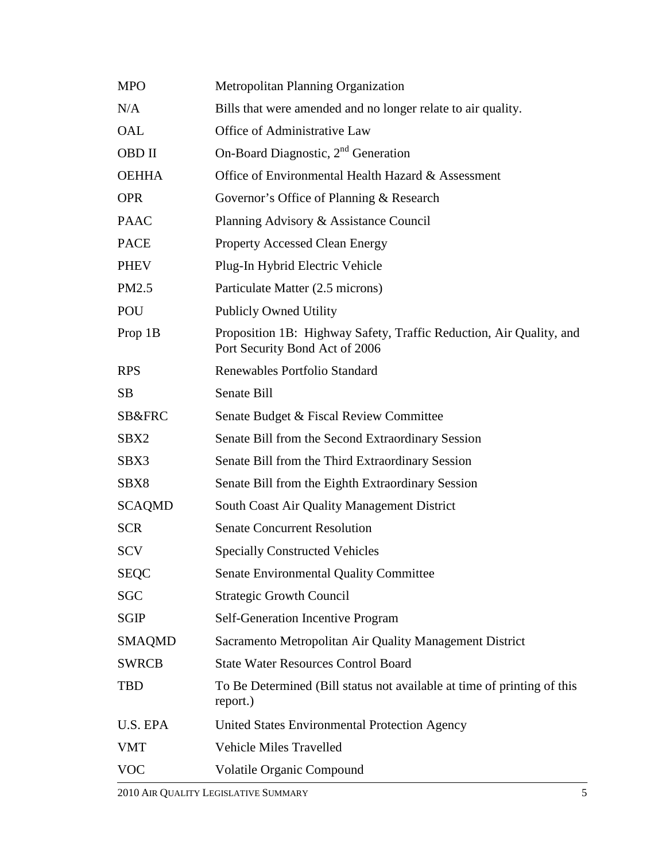|               | 2010 AIR QUALITY LEGISLATIVE SUMMARY<br>5                                                             |
|---------------|-------------------------------------------------------------------------------------------------------|
| <b>VOC</b>    | <b>Volatile Organic Compound</b>                                                                      |
| <b>VMT</b>    | <b>Vehicle Miles Travelled</b>                                                                        |
| U.S. EPA      | United States Environmental Protection Agency                                                         |
| <b>TBD</b>    | To Be Determined (Bill status not available at time of printing of this<br>report.)                   |
| <b>SWRCB</b>  | <b>State Water Resources Control Board</b>                                                            |
| <b>SMAQMD</b> | Sacramento Metropolitan Air Quality Management District                                               |
| <b>SGIP</b>   | <b>Self-Generation Incentive Program</b>                                                              |
| <b>SGC</b>    | <b>Strategic Growth Council</b>                                                                       |
| <b>SEQC</b>   | <b>Senate Environmental Quality Committee</b>                                                         |
| <b>SCV</b>    | <b>Specially Constructed Vehicles</b>                                                                 |
| <b>SCR</b>    | <b>Senate Concurrent Resolution</b>                                                                   |
| <b>SCAQMD</b> | South Coast Air Quality Management District                                                           |
| SBX8          | Senate Bill from the Eighth Extraordinary Session                                                     |
| SBX3          | Senate Bill from the Third Extraordinary Session                                                      |
| SBX2          | Senate Bill from the Second Extraordinary Session                                                     |
| SB&FRC        | Senate Budget & Fiscal Review Committee                                                               |
| <b>SB</b>     | Senate Bill                                                                                           |
| <b>RPS</b>    | Renewables Portfolio Standard                                                                         |
| Prop 1B       | Proposition 1B: Highway Safety, Traffic Reduction, Air Quality, and<br>Port Security Bond Act of 2006 |
| POU           | <b>Publicly Owned Utility</b>                                                                         |
| PM2.5         | Particulate Matter (2.5 microns)                                                                      |
| <b>PHEV</b>   | Plug-In Hybrid Electric Vehicle                                                                       |
| <b>PACE</b>   | <b>Property Accessed Clean Energy</b>                                                                 |
| <b>PAAC</b>   | Planning Advisory & Assistance Council                                                                |
| <b>OPR</b>    | Governor's Office of Planning & Research                                                              |
| <b>OEHHA</b>  | Office of Environmental Health Hazard & Assessment                                                    |
| <b>OBD</b> II | On-Board Diagnostic, $2nd$ Generation                                                                 |
| OAL           | Office of Administrative Law                                                                          |
| N/A           | Bills that were amended and no longer relate to air quality.                                          |
| <b>MPO</b>    | Metropolitan Planning Organization                                                                    |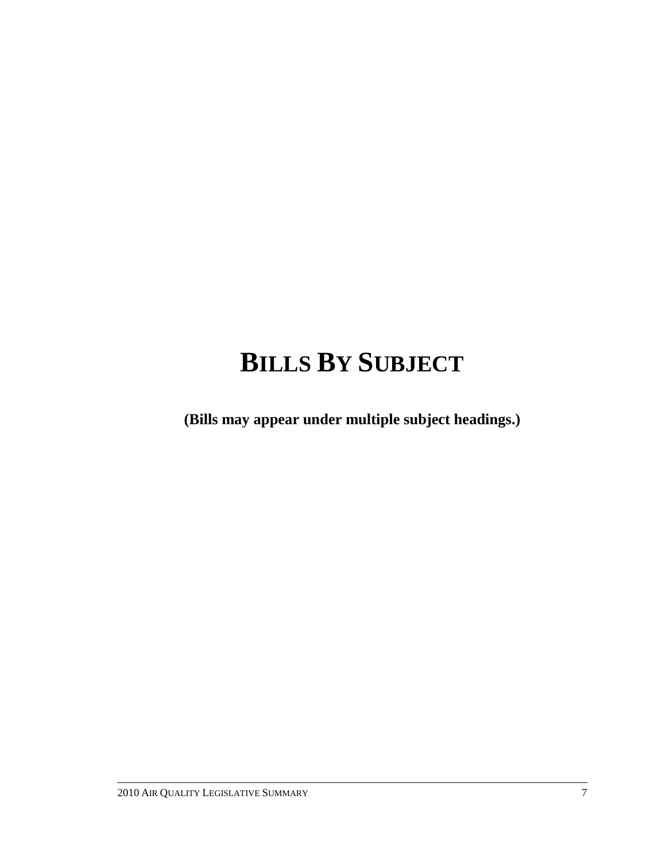# **BILLS BY SUBJECT**

**(Bills may appear under multiple subject headings.)**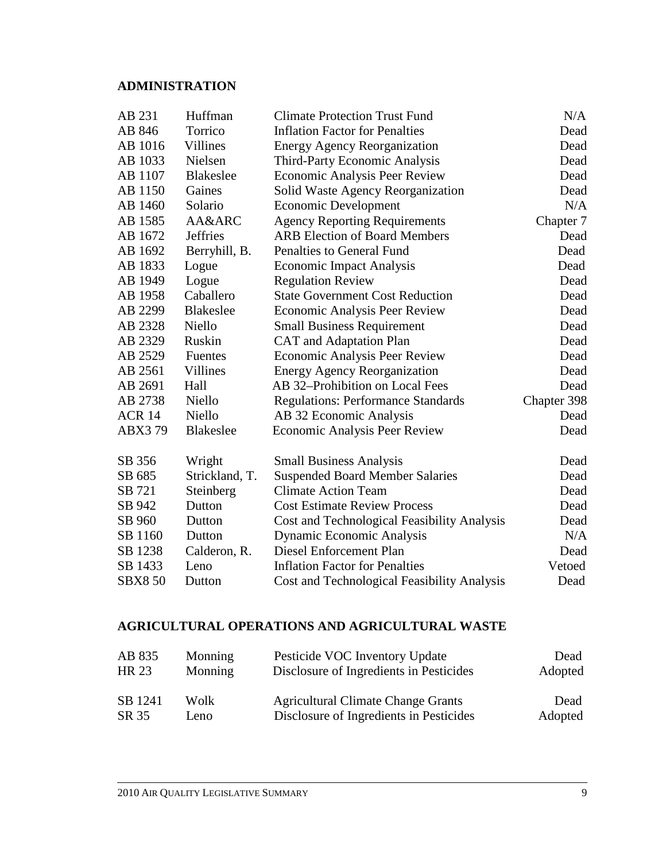## **ADMINISTRATION**

| AB 231         | Huffman          | <b>Climate Protection Trust Fund</b>        | N/A         |
|----------------|------------------|---------------------------------------------|-------------|
| AB 846         | Torrico          | <b>Inflation Factor for Penalties</b>       | Dead        |
| AB 1016        | Villines         | <b>Energy Agency Reorganization</b>         | Dead        |
| AB 1033        | Nielsen          | Third-Party Economic Analysis               | Dead        |
| AB 1107        | <b>Blakeslee</b> | <b>Economic Analysis Peer Review</b>        | Dead        |
| AB 1150        | Gaines           | Solid Waste Agency Reorganization           | Dead        |
| AB 1460        | Solario          | <b>Economic Development</b>                 | N/A         |
| AB 1585        | AA&ARC           | <b>Agency Reporting Requirements</b>        | Chapter 7   |
| AB 1672        | <b>Jeffries</b>  | <b>ARB Election of Board Members</b>        | Dead        |
| AB 1692        | Berryhill, B.    | Penalties to General Fund                   | Dead        |
| AB 1833        | Logue            | <b>Economic Impact Analysis</b>             | Dead        |
| AB 1949        | Logue            | <b>Regulation Review</b>                    | Dead        |
| AB 1958        | Caballero        | <b>State Government Cost Reduction</b>      | Dead        |
| AB 2299        | <b>Blakeslee</b> | <b>Economic Analysis Peer Review</b>        | Dead        |
| AB 2328        | Niello           | <b>Small Business Requirement</b>           | Dead        |
| AB 2329        | Ruskin           | <b>CAT</b> and Adaptation Plan              | Dead        |
| AB 2529        | Fuentes          | <b>Economic Analysis Peer Review</b>        | Dead        |
| AB 2561        | <b>Villines</b>  | <b>Energy Agency Reorganization</b>         | Dead        |
| AB 2691        | Hall             | AB 32-Prohibition on Local Fees             | Dead        |
| AB 2738        | Niello           | <b>Regulations: Performance Standards</b>   | Chapter 398 |
| <b>ACR 14</b>  | Niello           | AB 32 Economic Analysis                     | Dead        |
| ABX379         | <b>Blakeslee</b> | <b>Economic Analysis Peer Review</b>        | Dead        |
| SB 356         | Wright           | <b>Small Business Analysis</b>              | Dead        |
| SB 685         | Strickland, T.   | <b>Suspended Board Member Salaries</b>      | Dead        |
| SB 721         | Steinberg        | <b>Climate Action Team</b>                  | Dead        |
| SB 942         | Dutton           | <b>Cost Estimate Review Process</b>         | Dead        |
| SB 960         | Dutton           | Cost and Technological Feasibility Analysis | Dead        |
| SB 1160        | Dutton           | Dynamic Economic Analysis                   | N/A         |
| SB 1238        | Calderon, R.     | Diesel Enforcement Plan                     | Dead        |
| SB 1433        | Leno             | <b>Inflation Factor for Penalties</b>       | Vetoed      |
| <b>SBX8 50</b> | Dutton           | Cost and Technological Feasibility Analysis | Dead        |
|                |                  |                                             |             |

## **AGRICULTURAL OPERATIONS AND AGRICULTURAL WASTE**

| AB 835           | Monning      | Pesticide VOC Inventory Update                                                       | Dead            |
|------------------|--------------|--------------------------------------------------------------------------------------|-----------------|
| HR 23            | Monning      | Disclosure of Ingredients in Pesticides                                              | Adopted         |
| SB 1241<br>SR 35 | Wolk<br>Leno | <b>Agricultural Climate Change Grants</b><br>Disclosure of Ingredients in Pesticides | Dead<br>Adopted |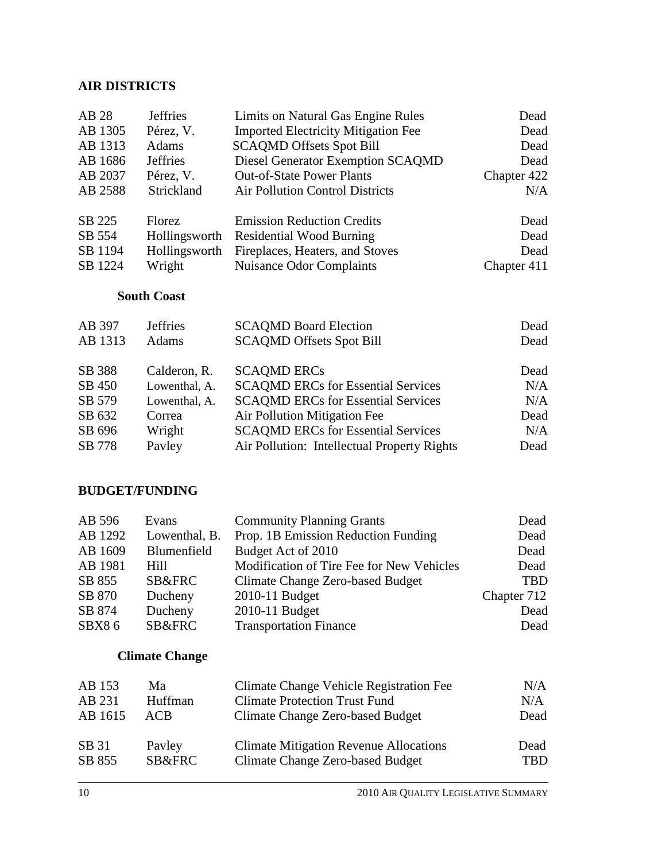## **AIR DISTRICTS**

| AB 28   | <b>Jeffries</b> | Limits on Natural Gas Engine Rules         | Dead        |
|---------|-----------------|--------------------------------------------|-------------|
| AB 1305 | Pérez, V.       | <b>Imported Electricity Mitigation Fee</b> | Dead        |
| AB 1313 | <b>Adams</b>    | <b>SCAQMD Offsets Spot Bill</b>            | Dead        |
| AB 1686 | <b>Jeffries</b> | Diesel Generator Exemption SCAQMD          | Dead        |
| AB 2037 | Pérez, V.       | <b>Out-of-State Power Plants</b>           | Chapter 422 |
| AB 2588 | Strickland      | <b>Air Pollution Control Districts</b>     | N/A         |
| SB 225  | Florez          | <b>Emission Reduction Credits</b>          | Dead        |
| SB 554  | Hollingsworth   | <b>Residential Wood Burning</b>            | Dead        |
| SB 1194 | Hollingsworth   | Fireplaces, Heaters, and Stoves            | Dead        |
| SB 1224 | Wright          | <b>Nuisance Odor Complaints</b>            | Chapter 411 |
|         |                 |                                            |             |

## **South Coast**

| AB 397  | <b>Jeffries</b> | <b>SCAQMD Board Election</b>                | Dead |
|---------|-----------------|---------------------------------------------|------|
| AB 1313 | <b>Adams</b>    | <b>SCAQMD Offsets Spot Bill</b>             | Dead |
|         |                 |                                             |      |
| SB 388  | Calderon, R.    | <b>SCAQMD ERCs</b>                          | Dead |
| SB 450  | Lowenthal, A.   | <b>SCAQMD ERCs for Essential Services</b>   | N/A  |
| SB 579  | Lowenthal, A.   | <b>SCAQMD ERCs for Essential Services</b>   | N/A  |
| SB 632  | Correa          | Air Pollution Mitigation Fee                | Dead |
| SB 696  | Wright          | <b>SCAQMD ERCs for Essential Services</b>   | N/A  |
| SB 778  | Payley          | Air Pollution: Intellectual Property Rights | Dead |

#### **BUDGET/FUNDING**

| AB 596  | Evans         | <b>Community Planning Grants</b>          | Dead        |
|---------|---------------|-------------------------------------------|-------------|
| AB 1292 | Lowenthal, B. | Prop. 1B Emission Reduction Funding       | Dead        |
| AB 1609 | Blumenfield   | Budget Act of 2010                        | Dead        |
| AB 1981 | Hill          | Modification of Tire Fee for New Vehicles | Dead        |
| SB 855  | SB&FRC        | Climate Change Zero-based Budget          | <b>TBD</b>  |
| SB 870  | Ducheny       | $2010-11$ Budget                          | Chapter 712 |
| SB 874  | Ducheny       | $2010-11$ Budget                          | Dead        |
| SBX86   | SB&FRC        | <b>Transportation Finance</b>             | Dead        |

### **Climate Change**

| Ma                | Climate Change Vehicle Registration Fee | N/A                                           |
|-------------------|-----------------------------------------|-----------------------------------------------|
| Huffman           | <b>Climate Protection Trust Fund</b>    | N/A                                           |
| <b>ACB</b>        | Climate Change Zero-based Budget        | Dead                                          |
|                   |                                         |                                               |
| Payley            |                                         | Dead                                          |
| <b>SB&amp;FRC</b> | Climate Change Zero-based Budget        | TBD                                           |
|                   |                                         | <b>Climate Mitigation Revenue Allocations</b> |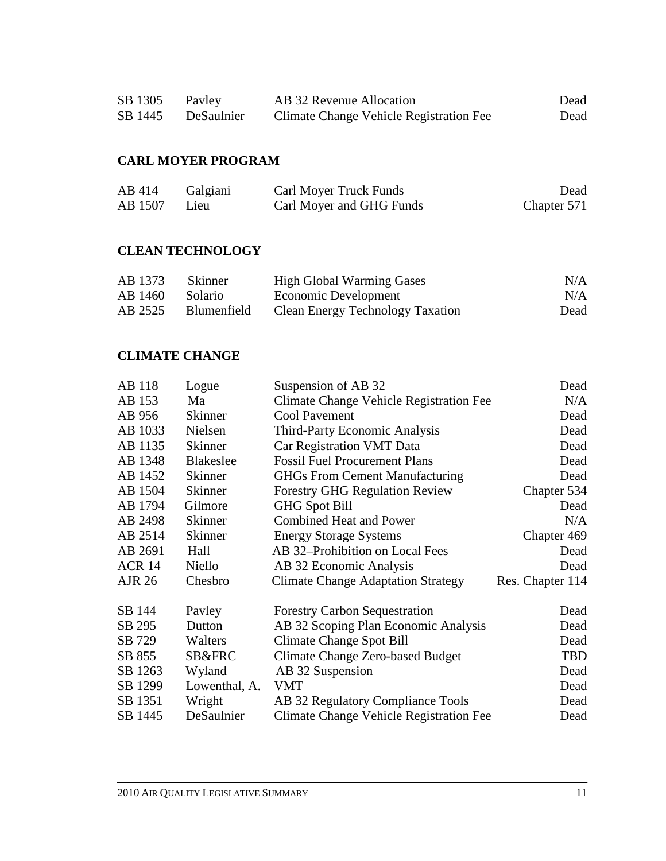| SB 1305 | Pavley     | AB 32 Revenue Allocation                | Dead |
|---------|------------|-----------------------------------------|------|
| SB 1445 | DeSaulnier | Climate Change Vehicle Registration Fee | Dead |

#### **CARL MOYER PROGRAM**

| AB 414       | Galgiani | Carl Moyer Truck Funds   | Dead        |
|--------------|----------|--------------------------|-------------|
| AB 1507 Lieu |          | Carl Moyer and GHG Funds | Chapter 571 |

#### **CLEAN TECHNOLOGY**

| AB 1373 | <b>Skinner</b>     | <b>High Global Warming Gases</b> | N/A  |
|---------|--------------------|----------------------------------|------|
| AB 1460 | Solario            | Economic Development             | N/A  |
| AB 2525 | <b>Blumenfield</b> | Clean Energy Technology Taxation | Dead |

## **CLIMATE CHANGE**

| AB 118        | Logue            | Suspension of AB 32                       | Dead             |
|---------------|------------------|-------------------------------------------|------------------|
| AB 153        | Ma               | Climate Change Vehicle Registration Fee   | N/A              |
| AB 956        | <b>Skinner</b>   | <b>Cool Pavement</b>                      | Dead             |
| AB 1033       | Nielsen          | <b>Third-Party Economic Analysis</b>      | Dead             |
| AB 1135       | <b>Skinner</b>   | Car Registration VMT Data                 | Dead             |
| AB 1348       | <b>Blakeslee</b> | <b>Fossil Fuel Procurement Plans</b>      | Dead             |
| AB 1452       | <b>Skinner</b>   | <b>GHGs From Cement Manufacturing</b>     | Dead             |
| AB 1504       | Skinner          | <b>Forestry GHG Regulation Review</b>     | Chapter 534      |
| AB 1794       | Gilmore          | <b>GHG</b> Spot Bill                      | Dead             |
| AB 2498       | <b>Skinner</b>   | <b>Combined Heat and Power</b>            | N/A              |
| AB 2514       | <b>Skinner</b>   | <b>Energy Storage Systems</b>             | Chapter 469      |
| AB 2691       | Hall             | AB 32–Prohibition on Local Fees           | Dead             |
| <b>ACR 14</b> | Niello           | AB 32 Economic Analysis                   | Dead             |
| AJR 26        | Chesbro          | <b>Climate Change Adaptation Strategy</b> | Res. Chapter 114 |
| SB 144        | Payley           | <b>Forestry Carbon Sequestration</b>      | Dead             |
| SB 295        | Dutton           | AB 32 Scoping Plan Economic Analysis      | Dead             |
| SB 729        | Walters          | Climate Change Spot Bill                  | Dead             |
| SB 855        | SB&FRC           | Climate Change Zero-based Budget          | <b>TBD</b>       |
| SB 1263       | Wyland           | AB 32 Suspension                          | Dead             |
| SB 1299       | Lowenthal, A.    | <b>VMT</b>                                | Dead             |
| SB 1351       | Wright           | AB 32 Regulatory Compliance Tools         | Dead             |
| SB 1445       | DeSaulnier       | Climate Change Vehicle Registration Fee   | Dead             |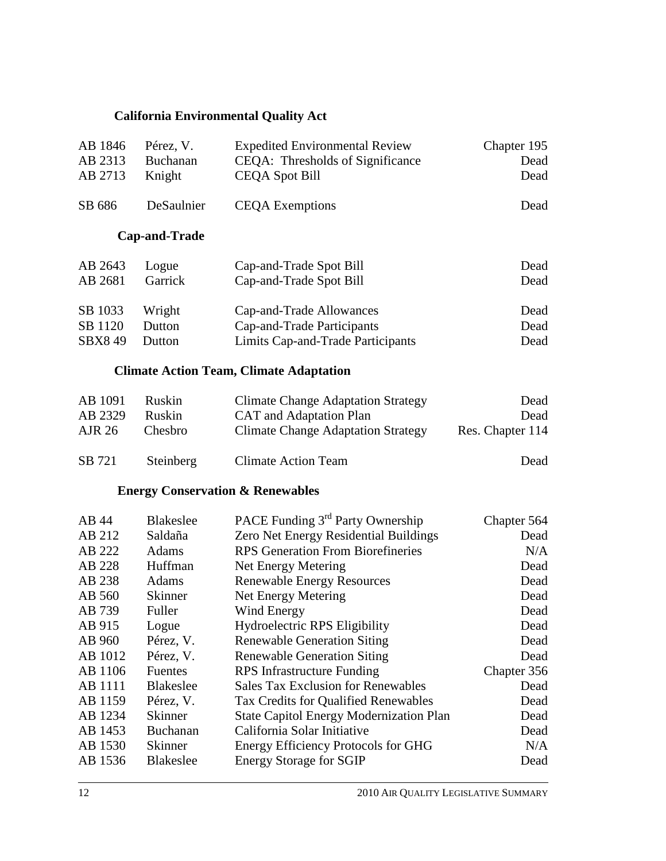## **California Environmental Quality Act**

| AB 2313<br>AB 2713 | <b>Buchanan</b><br>Knight | CEQA: Thresholds of Significance<br><b>CEQA Spot Bill</b> | Dead<br>Dead     |
|--------------------|---------------------------|-----------------------------------------------------------|------------------|
| SB 686             | DeSaulnier                | <b>CEQA</b> Exemptions                                    | Dead             |
|                    | Cap-and-Trade             |                                                           |                  |
| AB 2643            | Logue                     | Cap-and-Trade Spot Bill                                   | Dead             |
| AB 2681            | Garrick                   | Cap-and-Trade Spot Bill                                   | Dead             |
| SB 1033            | Wright                    | Cap-and-Trade Allowances                                  | Dead             |
| SB 1120            | Dutton                    | Cap-and-Trade Participants                                | Dead             |
| <b>SBX849</b>      | Dutton                    | Limits Cap-and-Trade Participants                         | Dead             |
|                    |                           | <b>Climate Action Team, Climate Adaptation</b>            |                  |
| AB 1091            | Ruskin                    | <b>Climate Change Adaptation Strategy</b>                 | Dead             |
| AB 2329            | Ruskin                    | CAT and Adaptation Plan                                   | Dead             |
| AJR 26             | Chesbro                   | <b>Climate Change Adaptation Strategy</b>                 | Res. Chapter 114 |
| SB 721             | Steinberg                 | <b>Climate Action Team</b>                                | Dead             |
|                    |                           | <b>Energy Conservation &amp; Renewables</b>               |                  |
| AB 44              | <b>Blakeslee</b>          | PACE Funding 3 <sup>rd</sup> Party Ownership              | Chapter 564      |
| AB 212             | Saldaña                   | Zero Net Energy Residential Buildings                     | Dead             |
| AB 222             | Adams                     | <b>RPS</b> Generation From Biorefineries                  | N/A              |
| AB 228             | Huffman                   | Net Energy Metering                                       | Dead             |
| AB 238             | Adams                     | <b>Renewable Energy Resources</b>                         | Dead             |
| AB 560             | Skinner                   | Net Energy Metering                                       | Dead             |
| AB 739             | Fuller                    | Wind Energy                                               | Dead             |
| AB 915             | Logue                     | Hydroelectric RPS Eligibility                             | Dead             |
| AB 960             | Pérez, V.                 | <b>Renewable Generation Siting</b>                        | Dead             |
| AB 1012            | Pérez, V.                 | <b>Renewable Generation Siting</b>                        | Dead             |
| AB 1106            | Fuentes                   | <b>RPS</b> Infrastructure Funding                         | Chapter 356      |
| AB 1111            | <b>Blakeslee</b>          | <b>Sales Tax Exclusion for Renewables</b>                 | Dead             |
| AB 1159            | Pérez, V.                 | <b>Tax Credits for Qualified Renewables</b>               | Dead             |
| AB 1234            | Skinner                   | <b>State Capitol Energy Modernization Plan</b>            | Dead             |
| AB 1453            | Buchanan                  | California Solar Initiative                               | Dead             |
| AB 1530            | Skinner                   | <b>Energy Efficiency Protocols for GHG</b>                | N/A              |
| AB 1536            | <b>Blakeslee</b>          | <b>Energy Storage for SGIP</b>                            | Dead             |

AB 1846 Pérez, V. Expedited Environmental Review Chapter 195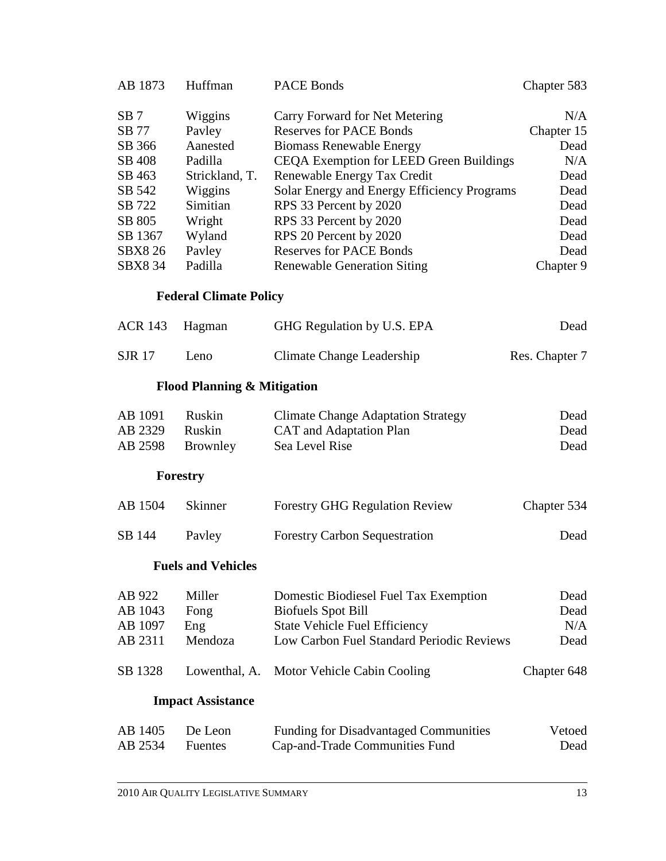| AB 1873         | Huffman                                | <b>PACE Bonds</b>                            | Chapter 583    |
|-----------------|----------------------------------------|----------------------------------------------|----------------|
| SB <sub>7</sub> | Wiggins                                | Carry Forward for Net Metering               | N/A            |
| SB 77           | Pavley                                 | <b>Reserves for PACE Bonds</b>               | Chapter 15     |
| SB 366          | Aanested                               | <b>Biomass Renewable Energy</b>              | Dead           |
| SB 408          | Padilla                                | CEQA Exemption for LEED Green Buildings      | N/A            |
| SB 463          | Strickland, T.                         | Renewable Energy Tax Credit                  | Dead           |
| SB 542          | Wiggins                                | Solar Energy and Energy Efficiency Programs  | Dead           |
| SB 722          | Simitian                               | RPS 33 Percent by 2020                       | Dead           |
| SB 805          | Wright                                 | RPS 33 Percent by 2020                       | Dead           |
| SB 1367         | Wyland                                 | RPS 20 Percent by 2020                       | Dead           |
| <b>SBX8 26</b>  | Payley                                 | <b>Reserves for PACE Bonds</b>               | Dead           |
| <b>SBX8 34</b>  | Padilla                                | <b>Renewable Generation Siting</b>           | Chapter 9      |
|                 | <b>Federal Climate Policy</b>          |                                              |                |
| <b>ACR 143</b>  | Hagman                                 | GHG Regulation by U.S. EPA                   | Dead           |
| <b>SJR</b> 17   | Leno                                   | Climate Change Leadership                    | Res. Chapter 7 |
|                 | <b>Flood Planning &amp; Mitigation</b> |                                              |                |
|                 |                                        |                                              |                |
| AB 1091         | Ruskin                                 | <b>Climate Change Adaptation Strategy</b>    | Dead           |
| AB 2329         | Ruskin                                 | CAT and Adaptation Plan                      | Dead           |
| AB 2598         | <b>Brownley</b>                        | Sea Level Rise                               | Dead           |
|                 |                                        |                                              |                |
|                 | Forestry                               |                                              |                |
| AB 1504         | <b>Skinner</b>                         | <b>Forestry GHG Regulation Review</b>        | Chapter 534    |
| SB 144          | Payley                                 | <b>Forestry Carbon Sequestration</b>         | Dead           |
|                 | <b>Fuels and Vehicles</b>              |                                              |                |
| AB 922          | Miller                                 | Domestic Biodiesel Fuel Tax Exemption        | Dead           |
| AB 1043         | Fong                                   | <b>Biofuels Spot Bill</b>                    | Dead           |
| AB 1097         | Eng                                    | <b>State Vehicle Fuel Efficiency</b>         | N/A            |
| AB 2311         | Mendoza                                | Low Carbon Fuel Standard Periodic Reviews    | Dead           |
| SB 1328         | Lowenthal, A.                          | Motor Vehicle Cabin Cooling                  | Chapter 648    |
|                 | <b>Impact Assistance</b>               |                                              |                |
| AB 1405         | De Leon                                | <b>Funding for Disadvantaged Communities</b> | Vetoed         |
| AB 2534         | Fuentes                                | Cap-and-Trade Communities Fund               | Dead           |
|                 |                                        |                                              |                |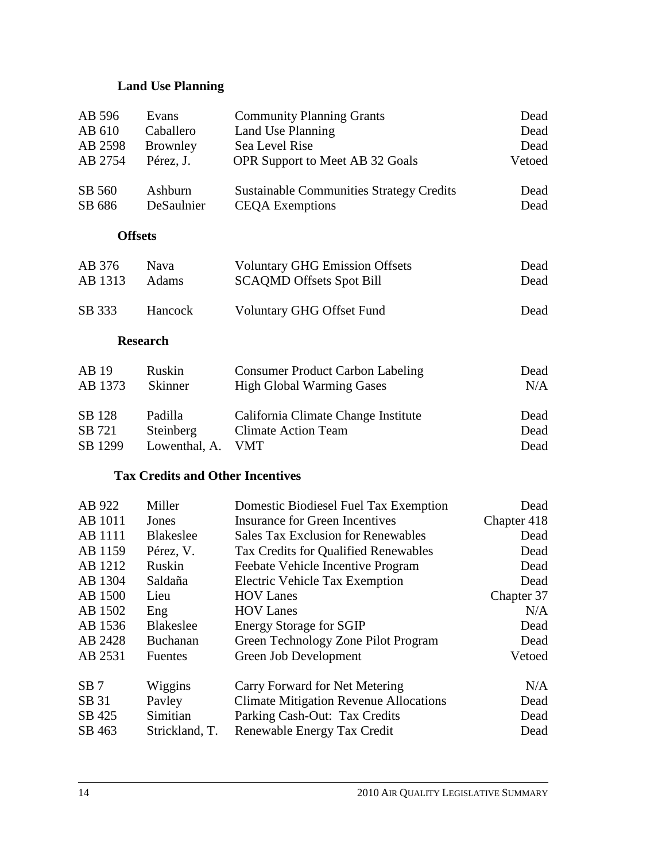## **Land Use Planning**

| AB 596          | Evans                                   | <b>Community Planning Grants</b>                | Dead        |
|-----------------|-----------------------------------------|-------------------------------------------------|-------------|
| AB 610          | Caballero                               | Land Use Planning                               | Dead        |
| AB 2598         | <b>Brownley</b>                         | Sea Level Rise                                  | Dead        |
| AB 2754         | Pérez, J.                               | OPR Support to Meet AB 32 Goals                 | Vetoed      |
| SB 560          | Ashburn                                 | <b>Sustainable Communities Strategy Credits</b> | Dead        |
| SB 686          | DeSaulnier                              | <b>CEQA</b> Exemptions                          | Dead        |
| <b>Offsets</b>  |                                         |                                                 |             |
| AB 376          | Nava                                    | <b>Voluntary GHG Emission Offsets</b>           | Dead        |
| AB 1313         | Adams                                   | <b>SCAQMD Offsets Spot Bill</b>                 | Dead        |
| SB 333          | Hancock                                 | <b>Voluntary GHG Offset Fund</b>                | Dead        |
|                 | <b>Research</b>                         |                                                 |             |
| AB 19           | Ruskin                                  | <b>Consumer Product Carbon Labeling</b>         | Dead        |
| AB 1373         | <b>Skinner</b>                          | <b>High Global Warming Gases</b>                | N/A         |
| SB 128          | Padilla                                 | California Climate Change Institute             | Dead        |
| SB 721          | Steinberg                               | <b>Climate Action Team</b>                      | Dead        |
| SB 1299         | Lowenthal, A.                           | <b>VMT</b>                                      | Dead        |
|                 | <b>Tax Credits and Other Incentives</b> |                                                 |             |
| AB 922          | Miller                                  | Domestic Biodiesel Fuel Tax Exemption           | Dead        |
| AB 1011         | Jones                                   | <b>Insurance for Green Incentives</b>           | Chapter 418 |
| <b>AB</b> 1111  | <b>Blakeslee</b>                        | <b>Sales Tax Exclusion for Renewables</b>       | Dead        |
| AB 1159         | Pérez, V.                               | <b>Tax Credits for Qualified Renewables</b>     | Dead        |
| AB 1212         | Ruskin                                  | Feebate Vehicle Incentive Program               | Dead        |
| AB 1304         | Saldaña                                 | Electric Vehicle Tax Exemption                  | Dead        |
| AB 1500         | Lieu                                    | <b>HOV Lanes</b>                                | Chapter 37  |
| AB 1502         | Eng                                     | <b>HOV</b> Lanes                                | N/A         |
| AB 1536         | <b>Blakeslee</b>                        | <b>Energy Storage for SGIP</b>                  | Dead        |
| AB 2428         | <b>Buchanan</b>                         | Green Technology Zone Pilot Program             | Dead        |
| AB 2531         | <b>Fuentes</b>                          | Green Job Development                           | Vetoed      |
| SB <sub>7</sub> | Wiggins                                 | Carry Forward for Net Metering                  | N/A         |
| SB 31           | Payley                                  | <b>Climate Mitigation Revenue Allocations</b>   | Dead        |
| SB 425          | Simitian                                | Parking Cash-Out: Tax Credits                   | Dead        |
| SB 463          | Strickland, T.                          | Renewable Energy Tax Credit                     | Dead        |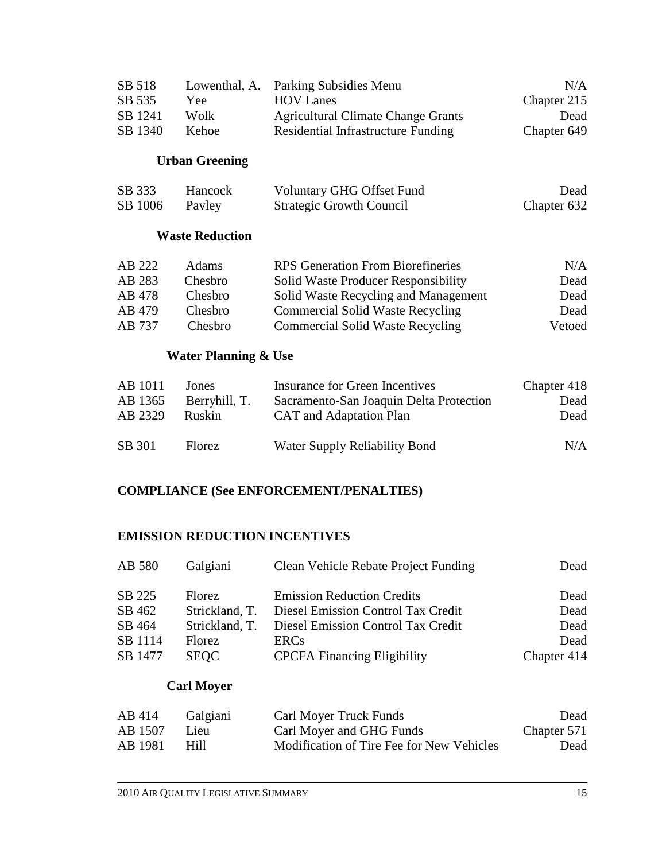| SB 518  |       | Lowenthal, A. Parking Subsidies Menu      | N/A         |
|---------|-------|-------------------------------------------|-------------|
| SB 535  | Yee.  | <b>HOV</b> Lanes                          | Chapter 215 |
| SB 1241 | Wolk  | <b>Agricultural Climate Change Grants</b> | Dead        |
| SB 1340 | Kehoe | Residential Infrastructure Funding        | Chapter 649 |

### **Urban Greening**

| SB 333  | Hancock | Voluntary GHG Offset Fund       | Dead        |
|---------|---------|---------------------------------|-------------|
| SB 1006 | Payley  | <b>Strategic Growth Council</b> | Chapter 632 |

### **Waste Reduction**

| AB 222 | Adams   | <b>RPS</b> Generation From Biorefineries | N/A    |
|--------|---------|------------------------------------------|--------|
| AB 283 | Chesbro | Solid Waste Producer Responsibility      | Dead   |
| AB 478 | Chesbro | Solid Waste Recycling and Management     | Dead   |
| AB 479 | Chesbro | <b>Commercial Solid Waste Recycling</b>  | Dead   |
| AB 737 | Chesbro | <b>Commercial Solid Waste Recycling</b>  | Vetoed |

### **Water Planning & Use**

| AB 1011 | Jones         | Insurance for Green Incentives          | Chapter 418 |
|---------|---------------|-----------------------------------------|-------------|
| AB 1365 | Berryhill, T. | Sacramento-San Joaquin Delta Protection | Dead        |
| AB 2329 | Ruskin        | CAT and Adaptation Plan                 | Dead        |
| SB 301  | <b>Florez</b> | Water Supply Reliability Bond           | N/A         |

#### **COMPLIANCE (See ENFORCEMENT/PENALTIES)**

#### **EMISSION REDUCTION INCENTIVES**

| AB 580  | Galgiani       | Clean Vehicle Rebate Project Funding | Dead        |
|---------|----------------|--------------------------------------|-------------|
| SB 225  | <b>Florez</b>  | <b>Emission Reduction Credits</b>    | Dead        |
| SB 462  | Strickland, T. | Diesel Emission Control Tax Credit   | Dead        |
| SB 464  | Strickland, T. | Diesel Emission Control Tax Credit   | Dead        |
| SB 1114 | Florez         | <b>ERCs</b>                          | Dead        |
| SB 1477 | <b>SEQC</b>    | <b>CPCFA Financing Eligibility</b>   | Chapter 414 |

#### **Carl Moyer**

| AB 414  | Galgiani | Carl Moyer Truck Funds                    | Dead        |
|---------|----------|-------------------------------------------|-------------|
| AB 1507 | L 1eu    | Carl Moyer and GHG Funds                  | Chapter 571 |
| AB 1981 | Hill     | Modification of Tire Fee for New Vehicles | Dead        |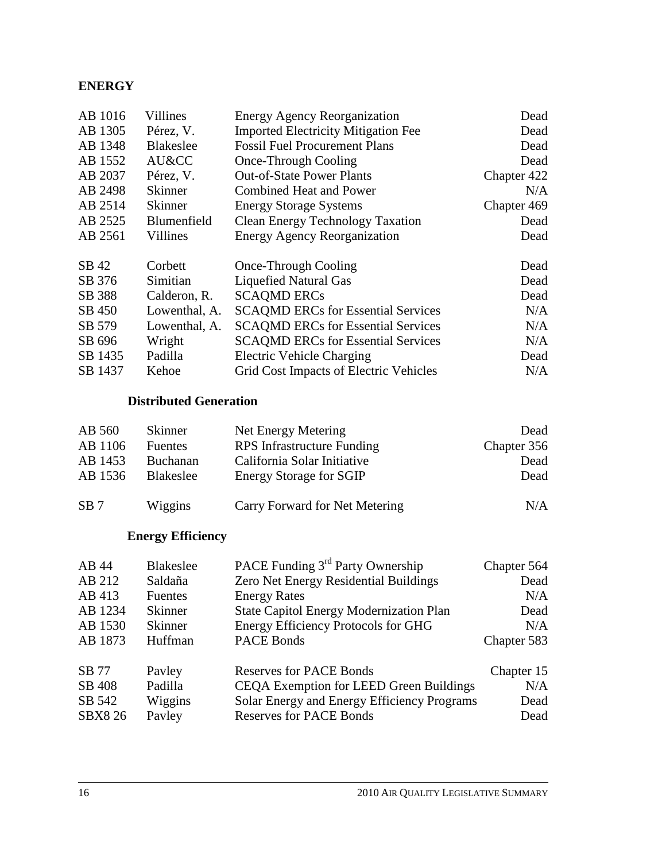## **ENERGY**

| AB 1016 | Villines         | <b>Energy Agency Reorganization</b>        | Dead        |
|---------|------------------|--------------------------------------------|-------------|
| AB 1305 | Pérez, V.        | <b>Imported Electricity Mitigation Fee</b> | Dead        |
| AB 1348 | <b>Blakeslee</b> | <b>Fossil Fuel Procurement Plans</b>       | Dead        |
| AB 1552 | AU&CC            | Once-Through Cooling                       | Dead        |
| AB 2037 | Pérez, V.        | <b>Out-of-State Power Plants</b>           | Chapter 422 |
| AB 2498 | <b>Skinner</b>   | Combined Heat and Power                    | N/A         |
| AB 2514 | Skinner          | <b>Energy Storage Systems</b>              | Chapter 469 |
| AB 2525 | Blumenfield      | <b>Clean Energy Technology Taxation</b>    | Dead        |
| AB 2561 | Villines         | <b>Energy Agency Reorganization</b>        | Dead        |
| SB 42   | Corbett          | Once-Through Cooling                       | Dead        |
| SB 376  | Simitian         | <b>Liquefied Natural Gas</b>               | Dead        |
| SB 388  | Calderon, R.     | <b>SCAQMD ERCs</b>                         | Dead        |
| SB 450  | Lowenthal, A.    | <b>SCAQMD ERCs for Essential Services</b>  | N/A         |
| SB 579  | Lowenthal, A.    | <b>SCAQMD ERCs for Essential Services</b>  | N/A         |
| SB 696  | Wright           | <b>SCAQMD ERCs for Essential Services</b>  | N/A         |
| SB 1435 | Padilla          | <b>Electric Vehicle Charging</b>           | Dead        |
| SB 1437 | Kehoe            | Grid Cost Impacts of Electric Vehicles     | N/A         |

#### **Distributed Generation**

| AB 560          | Skinner          | Net Energy Metering               | Dead        |
|-----------------|------------------|-----------------------------------|-------------|
| AB 1106         | <b>Fuentes</b>   | <b>RPS</b> Infrastructure Funding | Chapter 356 |
| AB 1453         | <b>Buchanan</b>  | California Solar Initiative       | Dead        |
| AB 1536         | <b>Blakeslee</b> | <b>Energy Storage for SGIP</b>    | Dead        |
| SB <sub>7</sub> | Wiggins          | Carry Forward for Net Metering    | N/A         |

## **Energy Efficiency**

| AB 44          | <b>Blakeslee</b> | PACE Funding 3 <sup>rd</sup> Party Ownership   | Chapter 564 |
|----------------|------------------|------------------------------------------------|-------------|
| AB 212         | Saldaña          | Zero Net Energy Residential Buildings          | Dead        |
| AB 413         | <b>Fuentes</b>   | <b>Energy Rates</b>                            | N/A         |
| AB 1234        | <b>Skinner</b>   | State Capitol Energy Modernization Plan        | Dead        |
| AB 1530        | <b>Skinner</b>   | Energy Efficiency Protocols for GHG            | N/A         |
| AB 1873        | Huffman          | <b>PACE Bonds</b>                              | Chapter 583 |
| SB 77          | Payley           | <b>Reserves for PACE Bonds</b>                 | Chapter 15  |
| SB 408         | Padilla          | <b>CEQA Exemption for LEED Green Buildings</b> | N/A         |
| SB 542         | Wiggins          | Solar Energy and Energy Efficiency Programs    | Dead        |
| <b>SBX8 26</b> | Payley           | <b>Reserves for PACE Bonds</b>                 | Dead        |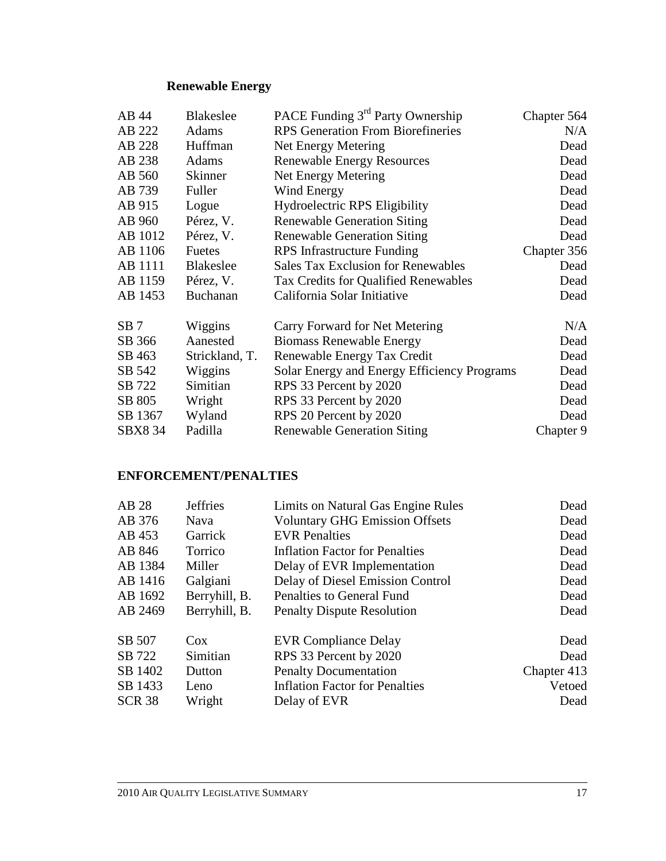## **Renewable Energy**

| AB 44           | <b>Blakeslee</b> | PACE Funding 3 <sup>rd</sup> Party Ownership | Chapter 564 |
|-----------------|------------------|----------------------------------------------|-------------|
| AB 222          | Adams            | <b>RPS</b> Generation From Biorefineries     | N/A         |
| AB 228          | Huffman          | Net Energy Metering                          | Dead        |
| AB 238          | Adams            | <b>Renewable Energy Resources</b>            | Dead        |
| AB 560          | <b>Skinner</b>   | Net Energy Metering                          | Dead        |
| AB 739          | Fuller           | Wind Energy                                  | Dead        |
| AB 915          | Logue            | Hydroelectric RPS Eligibility                | Dead        |
| AB 960          | Pérez, V.        | <b>Renewable Generation Siting</b>           | Dead        |
| AB 1012         | Pérez, V.        | <b>Renewable Generation Siting</b>           | Dead        |
| AB 1106         | <b>Fuetes</b>    | RPS Infrastructure Funding                   | Chapter 356 |
| <b>AB</b> 1111  | <b>Blakeslee</b> | <b>Sales Tax Exclusion for Renewables</b>    | Dead        |
| AB 1159         | Pérez, V.        | Tax Credits for Qualified Renewables         | Dead        |
| AB 1453         | Buchanan         | California Solar Initiative                  | Dead        |
| SB <sub>7</sub> | Wiggins          | Carry Forward for Net Metering               | N/A         |
| SB 366          | Aanested         | <b>Biomass Renewable Energy</b>              | Dead        |
| SB 463          | Strickland, T.   | Renewable Energy Tax Credit                  | Dead        |
| SB 542          | Wiggins          | Solar Energy and Energy Efficiency Programs  | Dead        |
| SB 722          | Simitian         | RPS 33 Percent by 2020                       | Dead        |
| SB 805          | Wright           | RPS 33 Percent by 2020                       | Dead        |
| SB 1367         | Wyland           | RPS 20 Percent by 2020                       | Dead        |
| <b>SBX8 34</b>  | Padilla          | <b>Renewable Generation Siting</b>           | Chapter 9   |

## **ENFORCEMENT/PENALTIES**

| AB 28         | <b>Jeffries</b> | Limits on Natural Gas Engine Rules    | Dead        |
|---------------|-----------------|---------------------------------------|-------------|
| AB 376        | <b>Nava</b>     | <b>Voluntary GHG Emission Offsets</b> | Dead        |
| AB 453        | Garrick         | <b>EVR</b> Penalties                  | Dead        |
| AB 846        | Torrico         | <b>Inflation Factor for Penalties</b> | Dead        |
| AB 1384       | Miller          | Delay of EVR Implementation           | Dead        |
| AB 1416       | Galgiani        | Delay of Diesel Emission Control      | Dead        |
| AB 1692       | Berryhill, B.   | Penalties to General Fund             | Dead        |
| AB 2469       | Berryhill, B.   | <b>Penalty Dispute Resolution</b>     | Dead        |
| SB 507        | $\cos$          | <b>EVR</b> Compliance Delay           | Dead        |
| SB 722        | Simitian        | RPS 33 Percent by 2020                | Dead        |
| SB 1402       | Dutton          | <b>Penalty Documentation</b>          | Chapter 413 |
| SB 1433       | Leno            | <b>Inflation Factor for Penalties</b> | Vetoed      |
| <b>SCR 38</b> | Wright          | Delay of EVR                          | Dead        |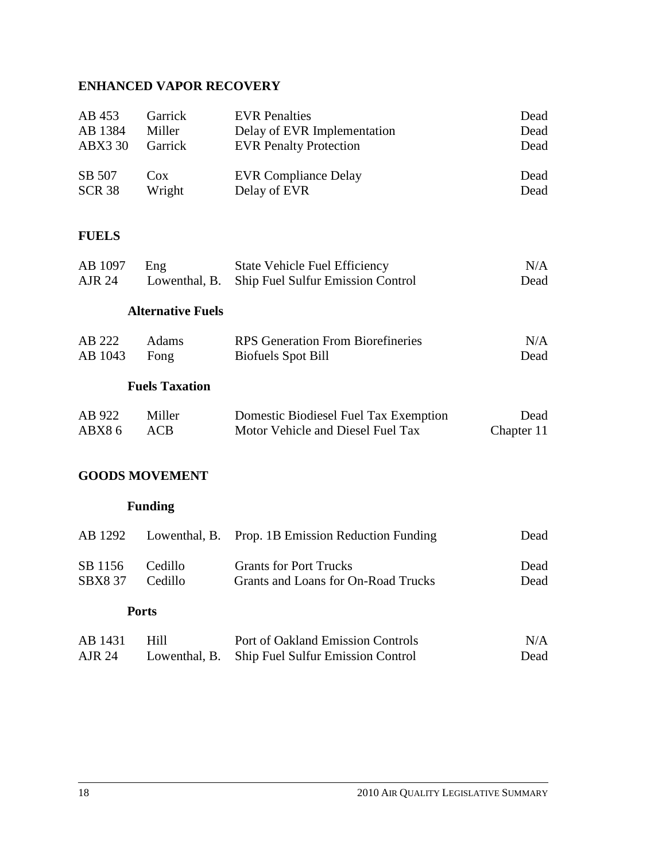## **ENHANCED VAPOR RECOVERY**

| AB 453<br>AB 1384<br><b>ABX3 30</b> | Garrick<br>Miller<br>Garrick                                     | <b>EVR</b> Penalties<br>Delay of EVR Implementation<br><b>EVR Penalty Protection</b> | Dead<br>Dead<br>Dead |
|-------------------------------------|------------------------------------------------------------------|--------------------------------------------------------------------------------------|----------------------|
| SB 507<br><b>SCR 38</b>             | $\cos$<br>Wright                                                 | <b>EVR Compliance Delay</b><br>Delay of EVR                                          | Dead<br>Dead         |
| <b>FUELS</b>                        |                                                                  |                                                                                      |                      |
| AB 1097<br><b>AJR 24</b>            | Eng<br>Lowenthal, B.                                             | <b>State Vehicle Fuel Efficiency</b><br>Ship Fuel Sulfur Emission Control            | N/A<br>Dead          |
|                                     | <b>Alternative Fuels</b>                                         |                                                                                      |                      |
| AB 222<br>AB 1043                   | Adams<br>Fong                                                    | <b>RPS</b> Generation From Biorefineries<br><b>Biofuels Spot Bill</b>                | N/A<br>Dead          |
|                                     | <b>Fuels Taxation</b>                                            |                                                                                      |                      |
| AB 922<br>ABX86                     | Miller<br>ACB                                                    | Domestic Biodiesel Fuel Tax Exemption<br>Motor Vehicle and Diesel Fuel Tax           | Dead<br>Chapter 11   |
|                                     | <b>GOODS MOVEMENT</b>                                            |                                                                                      |                      |
|                                     | <b>Funding</b>                                                   |                                                                                      |                      |
| $\sqrt{2}$ 1000                     | $\mathbf{r}$ $\mathbf{r}$ $\mathbf{r}$ $\mathbf{r}$ $\mathbf{r}$ | $\mathbf{r}$ . The state of $\mathbf{r}$<br>$\mathbf{1} \mathbf{D} \mathbf{D}$       |                      |

| AB 1292                  |                    | Lowenthal, B. Prop. 1B Emission Reduction Funding                    | Dead         |
|--------------------------|--------------------|----------------------------------------------------------------------|--------------|
| SB 1156<br><b>SBX837</b> | Cedillo<br>Cedillo | <b>Grants for Port Trucks</b><br>Grants and Loans for On-Road Trucks | Dead<br>Dead |
|                          | <b>Ports</b>       |                                                                      |              |
| AB 1431                  | Hill               | Port of Oakland Emission Controls                                    | N/A          |
| AJR 24                   | Lowenthal, B.      | Ship Fuel Sulfur Emission Control                                    | Dead         |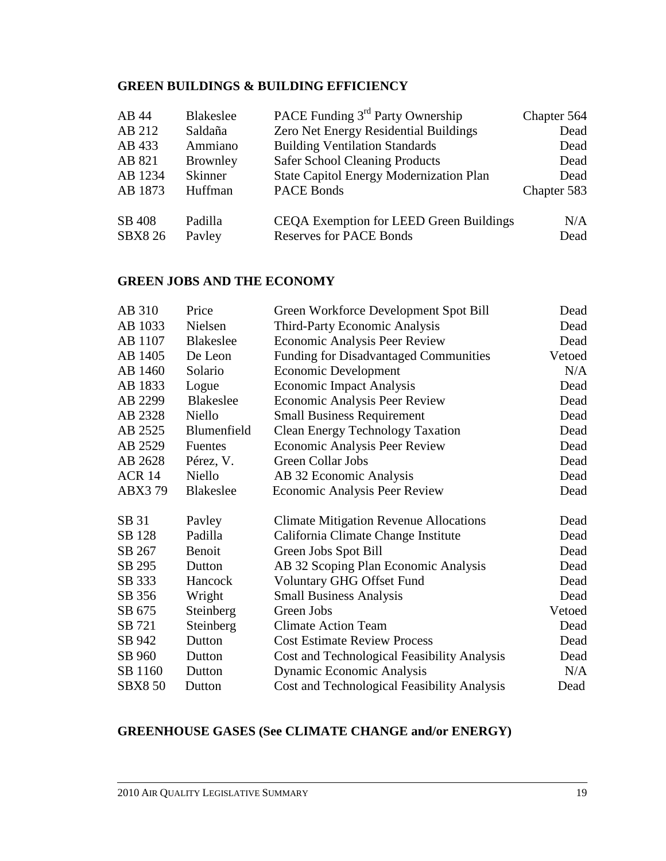## **GREEN BUILDINGS & BUILDING EFFICIENCY**

| AB 44          | <b>Blakeslee</b> | PACE Funding 3 <sup>rd</sup> Party Ownership   | Chapter 564 |
|----------------|------------------|------------------------------------------------|-------------|
| AB 212         | Saldaña          | Zero Net Energy Residential Buildings          | Dead        |
| AB 433         | Ammiano          | <b>Building Ventilation Standards</b>          | Dead        |
| AB 821         | <b>Brownley</b>  | <b>Safer School Cleaning Products</b>          | Dead        |
| AB 1234        | Skinner          | <b>State Capitol Energy Modernization Plan</b> | Dead        |
| AB 1873        | Huffman          | <b>PACE Bonds</b>                              | Chapter 583 |
|                |                  |                                                |             |
| SB 408         | Padilla          | CEQA Exemption for LEED Green Buildings        | N/A         |
| <b>SBX8 26</b> | Payley           | <b>Reserves for PACE Bonds</b>                 | Dead        |

#### **GREEN JOBS AND THE ECONOMY**

| AB 310            | Price            | Green Workforce Development Spot Bill         | Dead   |
|-------------------|------------------|-----------------------------------------------|--------|
| AB 1033           | Nielsen          | Third-Party Economic Analysis                 | Dead   |
| AB 1107           | <b>Blakeslee</b> | <b>Economic Analysis Peer Review</b>          | Dead   |
| AB 1405           | De Leon          | <b>Funding for Disadvantaged Communities</b>  | Vetoed |
| AB 1460           | Solario          | Economic Development                          | N/A    |
| AB 1833           | Logue            | <b>Economic Impact Analysis</b>               | Dead   |
| AB 2299           | <b>Blakeslee</b> | <b>Economic Analysis Peer Review</b>          | Dead   |
| AB 2328           | Niello           | <b>Small Business Requirement</b>             | Dead   |
| AB 2525           | Blumenfield      | <b>Clean Energy Technology Taxation</b>       | Dead   |
| AB 2529           | <b>Fuentes</b>   | <b>Economic Analysis Peer Review</b>          | Dead   |
| AB 2628           | Pérez, V.        | <b>Green Collar Jobs</b>                      | Dead   |
| ACR <sub>14</sub> | Niello           | AB 32 Economic Analysis                       | Dead   |
| ABX379            | <b>Blakeslee</b> | <b>Economic Analysis Peer Review</b>          | Dead   |
| SB 31             | Pavley           | <b>Climate Mitigation Revenue Allocations</b> | Dead   |
| SB 128            | Padilla          | California Climate Change Institute           | Dead   |
| SB 267            | Benoit           | Green Jobs Spot Bill                          | Dead   |
| SB 295            | Dutton           | AB 32 Scoping Plan Economic Analysis          | Dead   |
| SB 333            | Hancock          | Voluntary GHG Offset Fund                     | Dead   |
| SB 356            | Wright           | <b>Small Business Analysis</b>                | Dead   |
| SB 675            | Steinberg        | Green Jobs                                    | Vetoed |
| SB 721            | Steinberg        | <b>Climate Action Team</b>                    | Dead   |
| SB 942            | Dutton           | <b>Cost Estimate Review Process</b>           | Dead   |
| SB 960            | Dutton           | Cost and Technological Feasibility Analysis   | Dead   |
| SB 1160           | Dutton           | Dynamic Economic Analysis                     | N/A    |
| <b>SBX8 50</b>    | Dutton           | Cost and Technological Feasibility Analysis   | Dead   |

#### **GREENHOUSE GASES (See CLIMATE CHANGE and/or ENERGY)**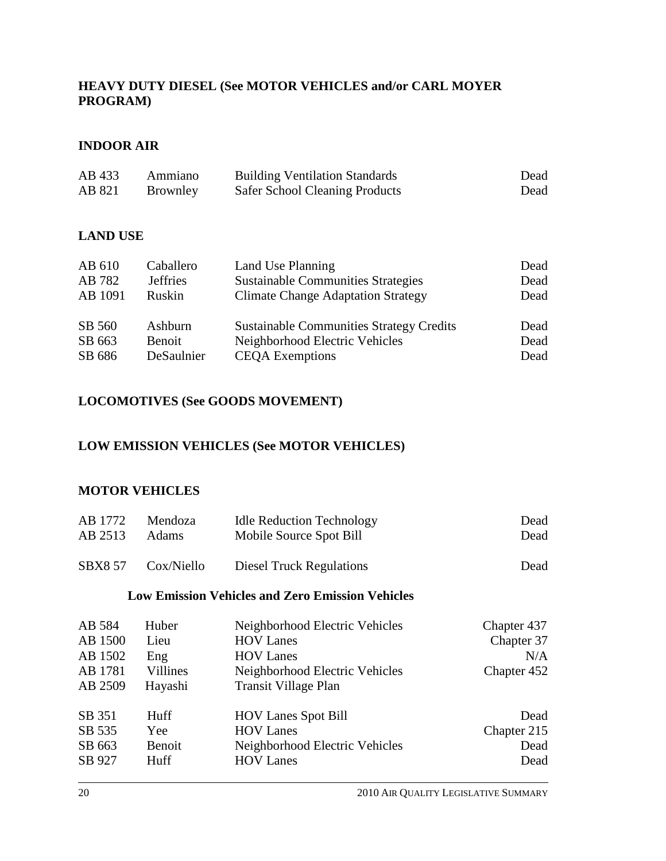#### **HEAVY DUTY DIESEL (See MOTOR VEHICLES and/or CARL MOYER PROGRAM)**

#### **INDOOR AIR**

| AB 433 | Ammiano  | <b>Building Ventilation Standards</b> | Dead |
|--------|----------|---------------------------------------|------|
| AB 821 | Brownley | <b>Safer School Cleaning Products</b> | Dead |

#### **LAND USE**

| AB 610  | Caballero       | Land Use Planning                               | Dead |
|---------|-----------------|-------------------------------------------------|------|
| AB 782  | <b>Jeffries</b> | <b>Sustainable Communities Strategies</b>       | Dead |
| AB 1091 | Ruskin          | <b>Climate Change Adaptation Strategy</b>       | Dead |
| SB 560  | Ashburn         | <b>Sustainable Communities Strategy Credits</b> | Dead |
| SB 663  | Benoit          | Neighborhood Electric Vehicles                  | Dead |
| SB 686  | DeSaulnier      | <b>CEQA</b> Exemptions                          | Dead |

#### **LOCOMOTIVES (See GOODS MOVEMENT)**

#### **LOW EMISSION VEHICLES (See MOTOR VEHICLES)**

#### **MOTOR VEHICLES**

| AB 1772        | Mendoza    | <b>Idle Reduction Technology</b> | Dead |
|----------------|------------|----------------------------------|------|
| AB 2513        | Adams      | Mobile Source Spot Bill          | Dead |
| <b>SBX8 57</b> | Cox/Niello | <b>Diesel Truck Regulations</b>  | Dead |

#### **Low Emission Vehicles and Zero Emission Vehicles**

| AB 584  | Huber    | Neighborhood Electric Vehicles | Chapter 437 |
|---------|----------|--------------------------------|-------------|
| AB 1500 | Lieu     | <b>HOV</b> Lanes               | Chapter 37  |
| AB 1502 | Eng      | <b>HOV</b> Lanes               | N/A         |
| AB 1781 | Villines | Neighborhood Electric Vehicles | Chapter 452 |
| AB 2509 | Hayashi  | <b>Transit Village Plan</b>    |             |
| SB 351  | Huff     | <b>HOV Lanes Spot Bill</b>     | Dead        |
| SB 535  | Yee      | <b>HOV</b> Lanes               | Chapter 215 |
| SB 663  | Benoit   | Neighborhood Electric Vehicles | Dead        |
| SB 927  | Huff     | <b>HOV Lanes</b>               | Dead        |
|         |          |                                |             |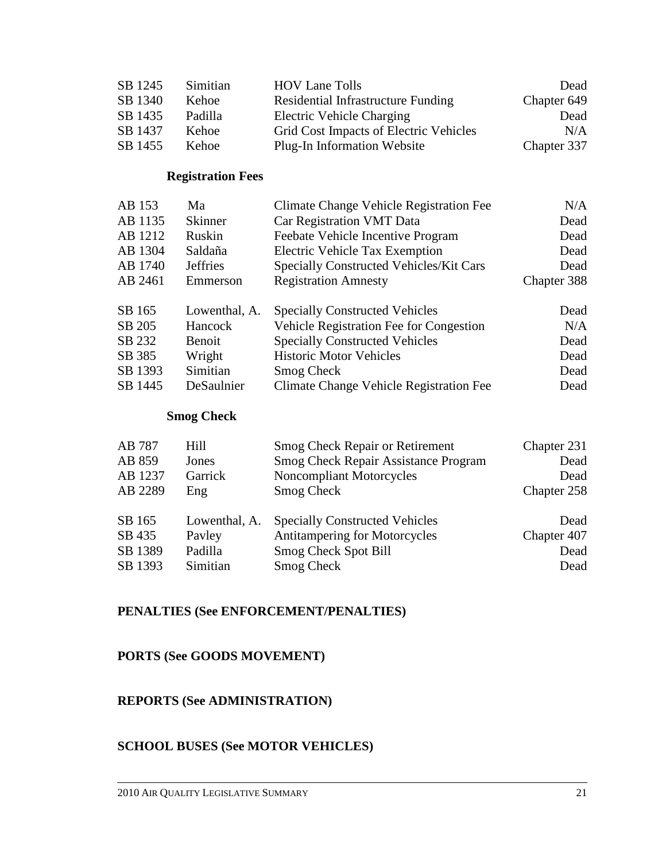| SB 1245 | Simitian | <b>HOV Lane Tolls</b>                  | Dead        |
|---------|----------|----------------------------------------|-------------|
| SB 1340 | Kehoe    | Residential Infrastructure Funding     | Chapter 649 |
| SB 1435 | Padilla  | Electric Vehicle Charging              | Dead        |
| SB 1437 | Kehoe    | Grid Cost Impacts of Electric Vehicles | N/A         |
| SB 1455 | Kehoe    | <b>Plug-In Information Website</b>     | Chapter 337 |

#### **Registration Fees**

| AB 153  | Ma              | Climate Change Vehicle Registration Fee        | N/A         |
|---------|-----------------|------------------------------------------------|-------------|
| AB 1135 | <b>Skinner</b>  | Car Registration VMT Data                      | Dead        |
| AB 1212 | Ruskin          | Feebate Vehicle Incentive Program              | Dead        |
| AB 1304 | Saldaña         | Electric Vehicle Tax Exemption                 | Dead        |
| AB 1740 | <b>Jeffries</b> | <b>Specially Constructed Vehicles/Kit Cars</b> | Dead        |
| AB 2461 | Emmerson        | <b>Registration Amnesty</b>                    | Chapter 388 |
| SB 165  | Lowenthal, A.   | <b>Specially Constructed Vehicles</b>          | Dead        |
| SB 205  | Hancock         | Vehicle Registration Fee for Congestion        | N/A         |
| SB 232  | Benoit          | <b>Specially Constructed Vehicles</b>          | Dead        |
| SB 385  | Wright          | <b>Historic Motor Vehicles</b>                 | Dead        |
| SB 1393 | Simitian        | <b>Smog Check</b>                              | Dead        |
| SB 1445 | DeSaulnier      | Climate Change Vehicle Registration Fee        | Dead        |

#### **Smog Check**

| AB 787  | Hill          | <b>Smog Check Repair or Retirement</b> | Chapter 231 |
|---------|---------------|----------------------------------------|-------------|
| AB 859  | Jones         | Smog Check Repair Assistance Program   | Dead        |
| AB 1237 | Garrick       | <b>Noncompliant Motorcycles</b>        | Dead        |
| AB 2289 | Eng           | Smog Check                             | Chapter 258 |
| SB 165  | Lowenthal, A. | <b>Specially Constructed Vehicles</b>  | Dead        |
| SB 435  | Payley        | Antitampering for Motorcycles          | Chapter 407 |
| SB 1389 | Padilla       | Smog Check Spot Bill                   | Dead        |
| SB 1393 | Simitian      | Smog Check                             | Dead        |

#### **PENALTIES (See ENFORCEMENT/PENALTIES)**

## **PORTS (See GOODS MOVEMENT)**

### **REPORTS (See ADMINISTRATION)**

#### **SCHOOL BUSES (See MOTOR VEHICLES)**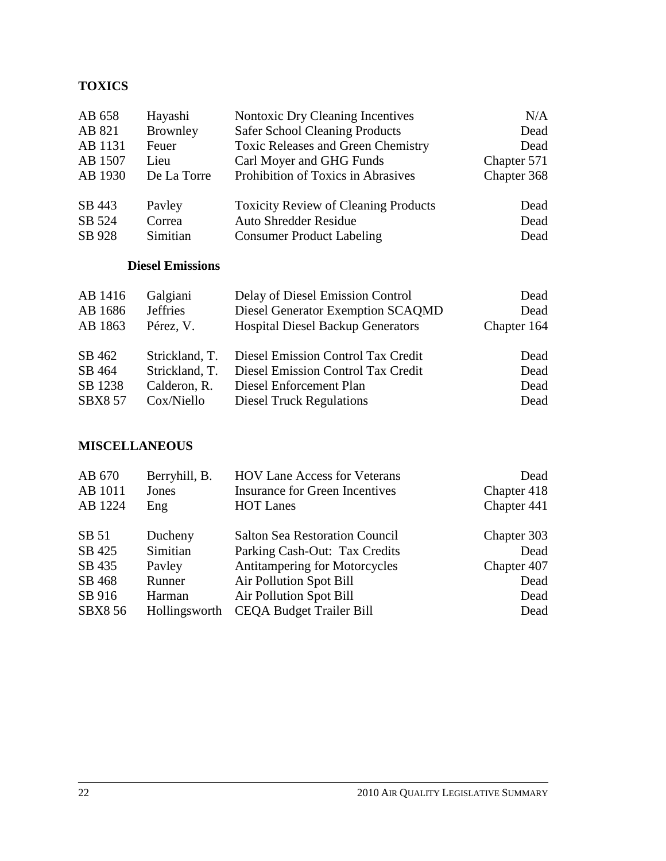## **TOXICS**

| AB 658  | Hayashi     | <b>Nontoxic Dry Cleaning Incentives</b>     | N/A         |
|---------|-------------|---------------------------------------------|-------------|
| AB 821  | Brownley    | <b>Safer School Cleaning Products</b>       | Dead        |
| AB 1131 | Feuer       | <b>Toxic Releases and Green Chemistry</b>   | Dead        |
| AB 1507 | Lieu        | Carl Moyer and GHG Funds                    | Chapter 571 |
| AB 1930 | De La Torre | Prohibition of Toxics in Abrasives          | Chapter 368 |
| SB 443  | Payley      | <b>Toxicity Review of Cleaning Products</b> | Dead        |
| SB 524  | Correa      | <b>Auto Shredder Residue</b>                | Dead        |
| SB 928  | Simitian    | <b>Consumer Product Labeling</b>            | Dead        |

## **Diesel Emissions**

| AB 1416        | Galgiani        | Delay of Diesel Emission Control         | Dead        |
|----------------|-----------------|------------------------------------------|-------------|
| AB 1686        | <b>Jeffries</b> | Diesel Generator Exemption SCAQMD        | Dead        |
| AB 1863        | Pérez, V.       | <b>Hospital Diesel Backup Generators</b> | Chapter 164 |
| SB 462         | Strickland, T.  | Diesel Emission Control Tax Credit       | Dead        |
| SB 464         | Strickland, T.  | Diesel Emission Control Tax Credit       | Dead        |
| SB 1238        | Calderon, R.    | Diesel Enforcement Plan                  | Dead        |
| <b>SBX8 57</b> | Cox/Niello      | <b>Diesel Truck Regulations</b>          | Dead        |

## **MISCELLANEOUS**

| AB 670         | Berryhill, B. | <b>HOV Lane Access for Veterans</b>   | Dead        |
|----------------|---------------|---------------------------------------|-------------|
| AB 1011        | Jones         | <b>Insurance for Green Incentives</b> | Chapter 418 |
| AB 1224        | Eng           | <b>HOT Lanes</b>                      | Chapter 441 |
| SB 51          | Ducheny       | <b>Salton Sea Restoration Council</b> | Chapter 303 |
| SB 425         | Simitian      | Parking Cash-Out: Tax Credits         | Dead        |
| SB 435         | Payley        | <b>Antitampering for Motorcycles</b>  | Chapter 407 |
| SB 468         | Runner        | <b>Air Pollution Spot Bill</b>        | Dead        |
| SB 916         | Harman        | <b>Air Pollution Spot Bill</b>        | Dead        |
| <b>SBX8 56</b> | Hollingsworth | <b>CEQA Budget Trailer Bill</b>       | Dead        |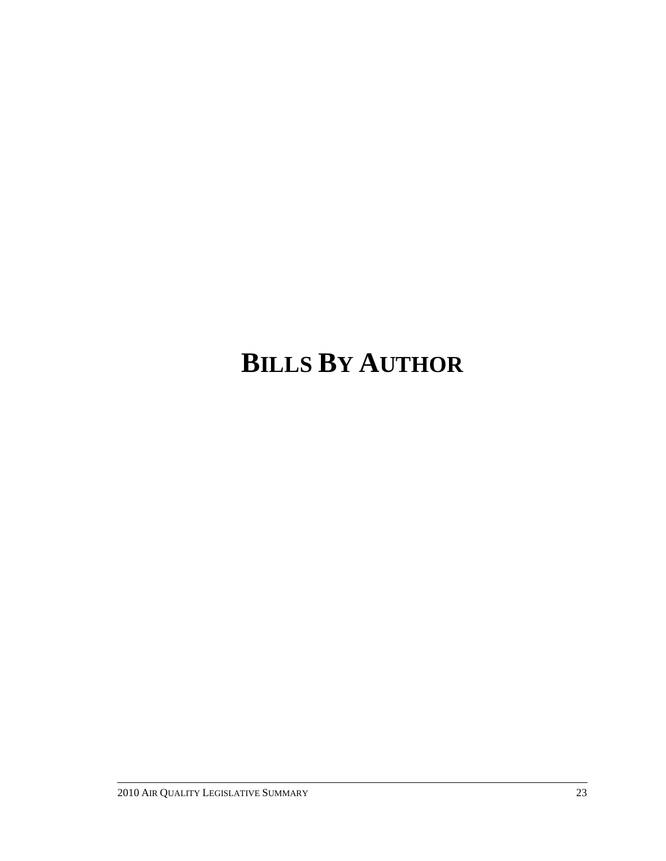# **BILLS BY AUTHOR**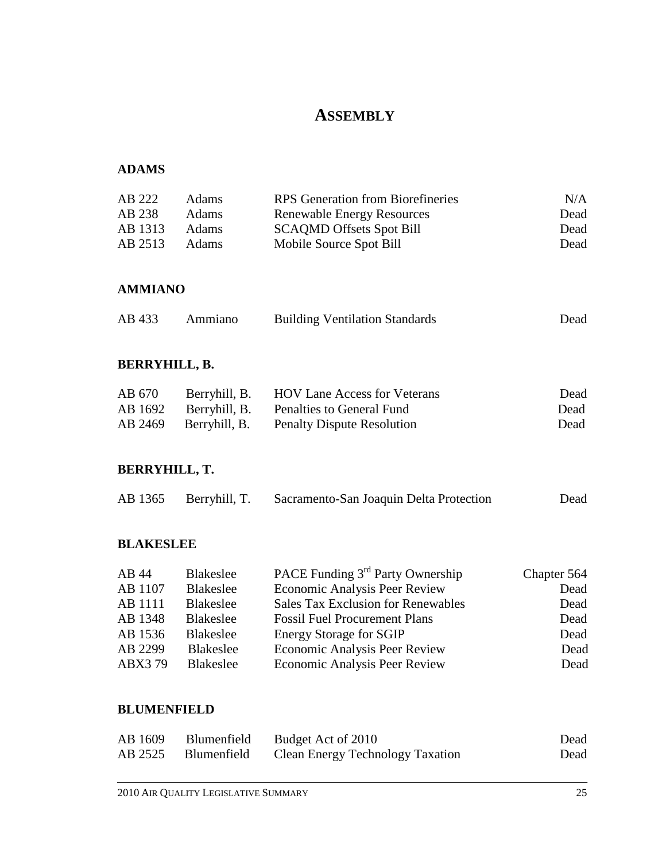# **ASSEMBLY**

#### **ADAMS**

| AB 222  | <b>Adams</b> | <b>RPS</b> Generation from Biorefineries | N/A  |
|---------|--------------|------------------------------------------|------|
| AB 238  | <b>Adams</b> | <b>Renewable Energy Resources</b>        | Dead |
| AB 1313 | Adams        | <b>SCAQMD Offsets Spot Bill</b>          | Dead |
| AB 2513 | Adams        | Mobile Source Spot Bill                  | Dead |

#### **AMMIANO**

| AB 433 | Ammiano | <b>Building Ventilation Standards</b> | Dead |
|--------|---------|---------------------------------------|------|
|--------|---------|---------------------------------------|------|

#### **BERRYHILL, B.**

| AB 670 | Berryhill, B. HOV Lane Access for Veterans       | Dead |
|--------|--------------------------------------------------|------|
|        | AB 1692 Berryhill, B. Penalties to General Fund  | Dead |
|        | AB 2469 Berryhill, B. Penalty Dispute Resolution | Dead |

### **BERRYHILL, T.**

| AB 1365 | Berryhill, T. | Sacramento-San Joaquin Delta Protection | Dead |
|---------|---------------|-----------------------------------------|------|
|---------|---------------|-----------------------------------------|------|

#### **BLAKESLEE**

| $AB$ 44 | Blakeslee | PACE Funding 3 <sup>rd</sup> Party Ownership | Chapter 564 |
|---------|-----------|----------------------------------------------|-------------|
| AB 1107 | Blakeslee | <b>Economic Analysis Peer Review</b>         | Dead        |
| AB 1111 | Blakeslee | <b>Sales Tax Exclusion for Renewables</b>    | Dead        |
| AB 1348 | Blakeslee | <b>Fossil Fuel Procurement Plans</b>         | Dead        |
| AB 1536 | Blakeslee | <b>Energy Storage for SGIP</b>               | Dead        |
| AB 2299 | Blakeslee | <b>Economic Analysis Peer Review</b>         | Dead        |
| ABX379  | Blakeslee | <b>Economic Analysis Peer Review</b>         | Dead        |

#### **BLUMENFIELD**

| AB 1609 | Blumenfield         | Budget Act of 2010               | Dead |
|---------|---------------------|----------------------------------|------|
|         | AB 2525 Blumenfield | Clean Energy Technology Taxation | Dead |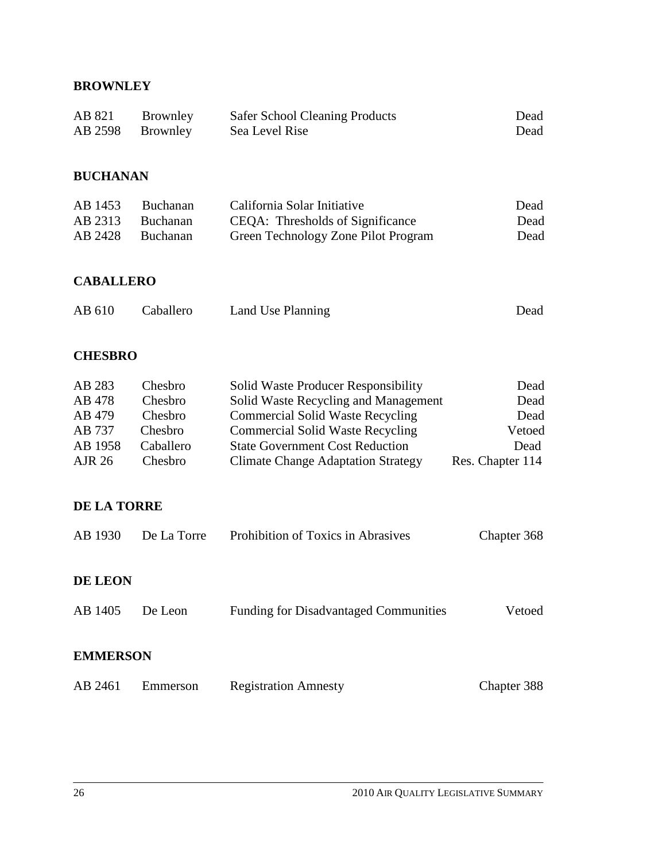## **BROWNLEY**

| AB 821 | Brownley         | <b>Safer School Cleaning Products</b> | Dead |
|--------|------------------|---------------------------------------|------|
|        | AB 2598 Brownley | Sea Level Rise                        | Dead |
|        |                  |                                       |      |

# **BUCHANAN**

| AB 1453 | Buchanan | California Solar Initiative         | Dead |
|---------|----------|-------------------------------------|------|
| AB 2313 | Buchanan | CEQA: Thresholds of Significance    | Dead |
| AB 2428 | Buchanan | Green Technology Zone Pilot Program | Dead |

#### **CABALLERO**

| AB 610 | Caballero | Land Use Planning | Dead |
|--------|-----------|-------------------|------|
|--------|-----------|-------------------|------|

#### **CHESBRO**

| AB 283  | Chesbro   | Solid Waste Producer Responsibility       | Dead             |
|---------|-----------|-------------------------------------------|------------------|
| AB 478  | Chesbro   | Solid Waste Recycling and Management      | Dead             |
| AB 479  | Chesbro   | <b>Commercial Solid Waste Recycling</b>   | Dead             |
| AB 737  | Chesbro   | <b>Commercial Solid Waste Recycling</b>   | Vetoed           |
| AB 1958 | Caballero | <b>State Government Cost Reduction</b>    | Dead             |
| AJR 26  | Chesbro   | <b>Climate Change Adaptation Strategy</b> | Res. Chapter 114 |

#### **DE LA TORRE**

| AB 1930         | De La Torre | Prohibition of Toxics in Abrasives           | Chapter 368 |
|-----------------|-------------|----------------------------------------------|-------------|
| <b>DE LEON</b>  |             |                                              |             |
| AB 1405         | De Leon     | <b>Funding for Disadvantaged Communities</b> | Vetoed      |
| <b>EMMERSON</b> |             |                                              |             |
| AB 2461         | Emmerson    | <b>Registration Amnesty</b>                  | Chapter 388 |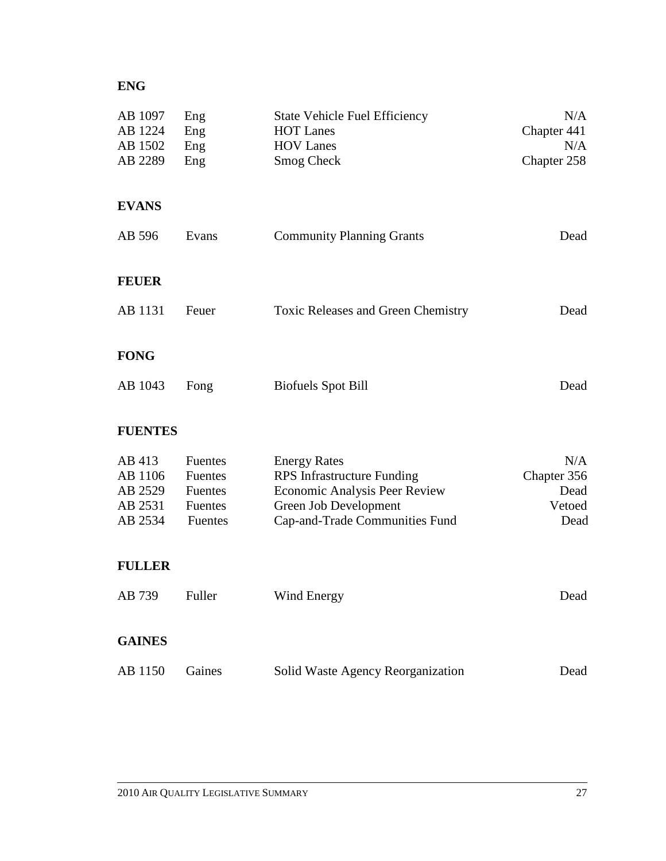## **ENG**

| AB 1097<br>AB 1224<br>AB 1502<br>AB 2289           | Eng<br>Eng<br>Eng<br>Eng                                   | <b>State Vehicle Fuel Efficiency</b><br><b>HOT Lanes</b><br><b>HOV Lanes</b><br><b>Smog Check</b>                                                           | N/A<br>Chapter 441<br>N/A<br>Chapter 258     |
|----------------------------------------------------|------------------------------------------------------------|-------------------------------------------------------------------------------------------------------------------------------------------------------------|----------------------------------------------|
| <b>EVANS</b>                                       |                                                            |                                                                                                                                                             |                                              |
| AB 596                                             | Evans                                                      | <b>Community Planning Grants</b>                                                                                                                            | Dead                                         |
| <b>FEUER</b>                                       |                                                            |                                                                                                                                                             |                                              |
| AB 1131                                            | Feuer                                                      | <b>Toxic Releases and Green Chemistry</b>                                                                                                                   | Dead                                         |
| <b>FONG</b>                                        |                                                            |                                                                                                                                                             |                                              |
| AB 1043                                            | Fong                                                       | <b>Biofuels Spot Bill</b>                                                                                                                                   | Dead                                         |
| <b>FUENTES</b>                                     |                                                            |                                                                                                                                                             |                                              |
| AB 413<br>AB 1106<br>AB 2529<br>AB 2531<br>AB 2534 | Fuentes<br>Fuentes<br><b>Fuentes</b><br>Fuentes<br>Fuentes | <b>Energy Rates</b><br><b>RPS</b> Infrastructure Funding<br><b>Economic Analysis Peer Review</b><br>Green Job Development<br>Cap-and-Trade Communities Fund | N/A<br>Chapter 356<br>Dead<br>Vetoed<br>Dead |
| <b>FULLER</b>                                      |                                                            |                                                                                                                                                             |                                              |
| AB 739                                             | Fuller                                                     | Wind Energy                                                                                                                                                 | Dead                                         |
| <b>GAINES</b>                                      |                                                            |                                                                                                                                                             |                                              |
| AB 1150                                            | Gaines                                                     | Solid Waste Agency Reorganization                                                                                                                           | Dead                                         |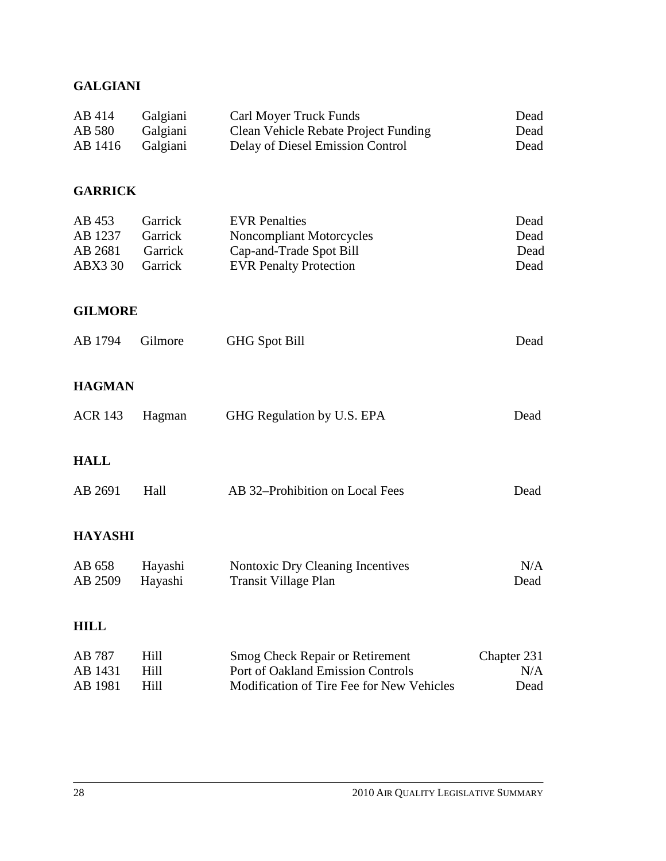## **GALGIANI**

| AB 414<br>AB 580<br>AB 1416                    | Galgiani<br>Galgiani<br>Galgiani         | Carl Moyer Truck Funds<br>Clean Vehicle Rebate Project Funding<br>Delay of Diesel Emission Control                       | Dead<br>Dead<br>Dead         |
|------------------------------------------------|------------------------------------------|--------------------------------------------------------------------------------------------------------------------------|------------------------------|
| <b>GARRICK</b>                                 |                                          |                                                                                                                          |                              |
| AB 453<br>AB 1237<br>AB 2681<br><b>ABX3 30</b> | Garrick<br>Garrick<br>Garrick<br>Garrick | <b>EVR</b> Penalties<br><b>Noncompliant Motorcycles</b><br>Cap-and-Trade Spot Bill<br><b>EVR Penalty Protection</b>      | Dead<br>Dead<br>Dead<br>Dead |
| <b>GILMORE</b>                                 |                                          |                                                                                                                          |                              |
| AB 1794                                        | Gilmore                                  | <b>GHG Spot Bill</b>                                                                                                     | Dead                         |
| <b>HAGMAN</b>                                  |                                          |                                                                                                                          |                              |
| <b>ACR 143</b>                                 | Hagman                                   | GHG Regulation by U.S. EPA                                                                                               | Dead                         |
| <b>HALL</b>                                    |                                          |                                                                                                                          |                              |
| AB 2691                                        | Hall                                     | AB 32–Prohibition on Local Fees                                                                                          | Dead                         |
| <b>HAYASHI</b>                                 |                                          |                                                                                                                          |                              |
| AB 658<br>AB 2509                              | Hayashi<br>Hayashi                       | <b>Nontoxic Dry Cleaning Incentives</b><br>Transit Village Plan                                                          | N/A<br>Dead                  |
| <b>HILL</b>                                    |                                          |                                                                                                                          |                              |
| AB 787<br>AB 1431<br>AB 1981                   | Hill<br>Hill<br>Hill                     | <b>Smog Check Repair or Retirement</b><br>Port of Oakland Emission Controls<br>Modification of Tire Fee for New Vehicles | Chapter 231<br>N/A<br>Dead   |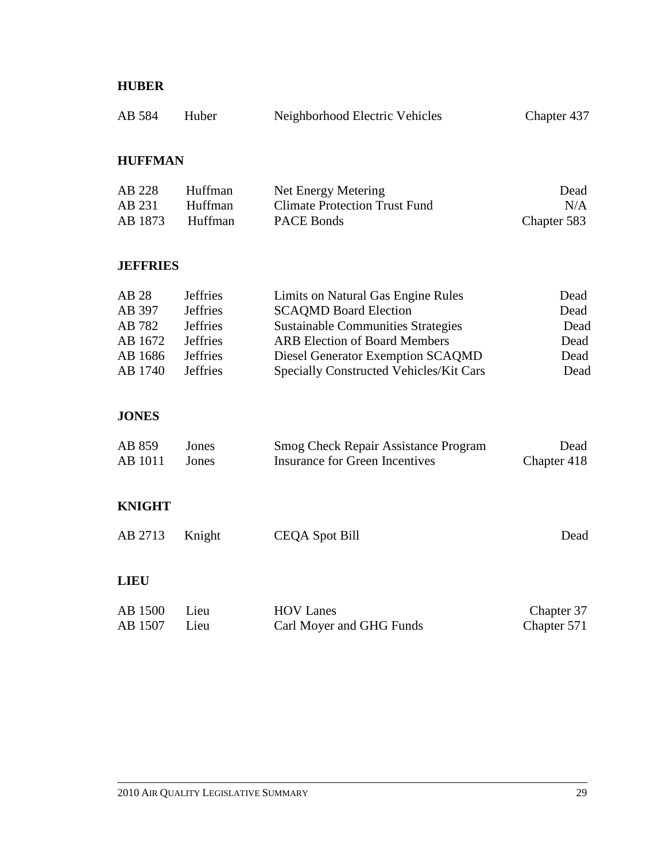### **HUBER**

| AB 584 | Huber | Neighborhood Electric Vehicles | Chapter 437 |
|--------|-------|--------------------------------|-------------|
|--------|-------|--------------------------------|-------------|

#### **HUFFMAN**

| AB 228  | Huffman        | Net Energy Metering                  | Dead        |
|---------|----------------|--------------------------------------|-------------|
| AB 231  | <b>Huffman</b> | <b>Climate Protection Trust Fund</b> | N/A         |
| AB 1873 | <b>Huffman</b> | <b>PACE Bonds</b>                    | Chapter 583 |

#### **JEFFRIES**

| AB 28   | <b>Jeffries</b> | Limits on Natural Gas Engine Rules        | Dead |
|---------|-----------------|-------------------------------------------|------|
| AB 397  | <b>Jeffries</b> | <b>SCAQMD Board Election</b>              | Dead |
| AB 782  | <b>Jeffries</b> | <b>Sustainable Communities Strategies</b> | Dead |
| AB 1672 | <b>Jeffries</b> | <b>ARB Election of Board Members</b>      | Dead |
| AB 1686 | <b>Jeffries</b> | Diesel Generator Exemption SCAQMD         | Dead |
| AB 1740 | <b>Jeffries</b> | Specially Constructed Vehicles/Kit Cars   | Dead |

### **JONES**

| AB 859  | Jones | <b>Smog Check Repair Assistance Program</b> | Dead        |
|---------|-------|---------------------------------------------|-------------|
| AB 1011 | Jones | Insurance for Green Incentives              | Chapter 418 |

#### **KNIGHT**

| AB 2713 Knight | CEQA Spot Bill | Dead |
|----------------|----------------|------|
|                |                |      |

#### **LIEU**

| AB 1500 | Lieu | <b>HOV Lanes</b>         | Chapter 37  |
|---------|------|--------------------------|-------------|
| AB 1507 | Lieu | Carl Moyer and GHG Funds | Chapter 571 |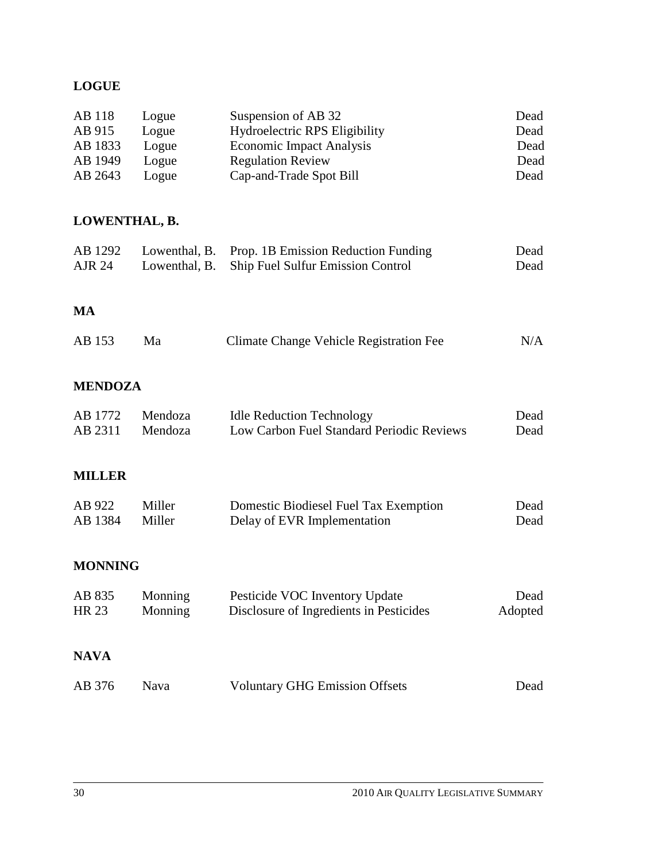## **LOGUE**

| AB 118  | Logue | Suspension of AB 32                  | Dead |
|---------|-------|--------------------------------------|------|
| AB 915  | Logue | <b>Hydroelectric RPS Eligibility</b> | Dead |
| AB 1833 | Logue | Economic Impact Analysis             | Dead |
| AB 1949 | Logue | <b>Regulation Review</b>             | Dead |
| AB 2643 | Logue | Cap-and-Trade Spot Bill              | Dead |

### **LOWENTHAL, B.**

|        | AB 1292 Lowenthal, B. Prop. 1B Emission Reduction Funding | Dead |
|--------|-----------------------------------------------------------|------|
| AJR 24 | Lowenthal, B. Ship Fuel Sulfur Emission Control           | Dead |

#### **MA**

| AB 153 | Ma | Climate Change Vehicle Registration Fee | N/A |
|--------|----|-----------------------------------------|-----|
|--------|----|-----------------------------------------|-----|

### **MENDOZA**

| AB 1772 | Mendoza | <b>Idle Reduction Technology</b>          | Dead |
|---------|---------|-------------------------------------------|------|
| AB 2311 | Mendoza | Low Carbon Fuel Standard Periodic Reviews | Dead |

### **MILLER**

| AB 922  | Miller | Domestic Biodiesel Fuel Tax Exemption | Dead |
|---------|--------|---------------------------------------|------|
| AB 1384 | Miller | Delay of EVR Implementation           | Dead |

#### **MONNING**

| AB 835 | Monning        | Pesticide VOC Inventory Update          | Dead    |
|--------|----------------|-----------------------------------------|---------|
| HR 23  | <b>Monning</b> | Disclosure of Ingredients in Pesticides | Adopted |

#### **NAVA**

| AB 376 | <b>Nava</b> | <b>Voluntary GHG Emission Offsets</b> | Dead |
|--------|-------------|---------------------------------------|------|
|        |             |                                       |      |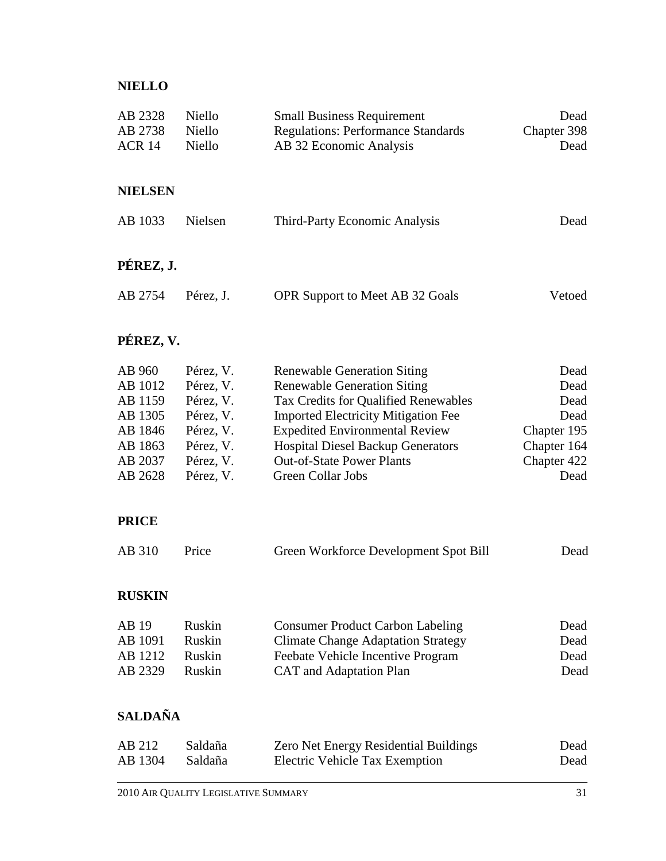# **NIELLO**

| AB 2328<br>AB 2738<br><b>ACR 14</b>                                                 | Niello<br>Niello<br>Niello                                                                           | <b>Small Business Requirement</b><br><b>Regulations: Performance Standards</b><br>AB 32 Economic Analysis                                                                                                                                                                                                    | Dead<br>Chapter 398<br>Dead                                                       |
|-------------------------------------------------------------------------------------|------------------------------------------------------------------------------------------------------|--------------------------------------------------------------------------------------------------------------------------------------------------------------------------------------------------------------------------------------------------------------------------------------------------------------|-----------------------------------------------------------------------------------|
| <b>NIELSEN</b>                                                                      |                                                                                                      |                                                                                                                                                                                                                                                                                                              |                                                                                   |
| AB 1033                                                                             | Nielsen                                                                                              | Third-Party Economic Analysis                                                                                                                                                                                                                                                                                | Dead                                                                              |
| PÉREZ, J.                                                                           |                                                                                                      |                                                                                                                                                                                                                                                                                                              |                                                                                   |
| AB 2754                                                                             | Pérez, J.                                                                                            | OPR Support to Meet AB 32 Goals                                                                                                                                                                                                                                                                              | Vetoed                                                                            |
| PÉREZ, V.                                                                           |                                                                                                      |                                                                                                                                                                                                                                                                                                              |                                                                                   |
| AB 960<br>AB 1012<br>AB 1159<br>AB 1305<br>AB 1846<br>AB 1863<br>AB 2037<br>AB 2628 | Pérez, V.<br>Pérez, V.<br>Pérez, V.<br>Pérez, V.<br>Pérez, V.<br>Pérez, V.<br>Pérez, V.<br>Pérez, V. | <b>Renewable Generation Siting</b><br><b>Renewable Generation Siting</b><br>Tax Credits for Qualified Renewables<br><b>Imported Electricity Mitigation Fee</b><br><b>Expedited Environmental Review</b><br><b>Hospital Diesel Backup Generators</b><br><b>Out-of-State Power Plants</b><br>Green Collar Jobs | Dead<br>Dead<br>Dead<br>Dead<br>Chapter 195<br>Chapter 164<br>Chapter 422<br>Dead |
| <b>PRICE</b>                                                                        |                                                                                                      |                                                                                                                                                                                                                                                                                                              |                                                                                   |
| AB 310                                                                              | Price                                                                                                | Green Workforce Development Spot Bill                                                                                                                                                                                                                                                                        | Dead                                                                              |
| <b>RUSKIN</b>                                                                       |                                                                                                      |                                                                                                                                                                                                                                                                                                              |                                                                                   |
| $\sqrt{2}$                                                                          | $\mathbf{r}$ $\mathbf{r}$                                                                            | $P1 + Q1 + I1$                                                                                                                                                                                                                                                                                               |                                                                                   |

| <b>Consumer Product Carbon Labeling</b>   | Dead |
|-------------------------------------------|------|
| <b>Climate Change Adaptation Strategy</b> | Dead |
| Feebate Vehicle Incentive Program         | Dead |
| CAT and Adaptation Plan                   | Dead |
|                                           |      |

# **SALDAÑA**

| AB 212  | Saldaña   | <b>Zero Net Energy Residential Buildings</b> | Dead |
|---------|-----------|----------------------------------------------|------|
| AB 1304 | - Saldaña | Electric Vehicle Tax Exemption               | Dead |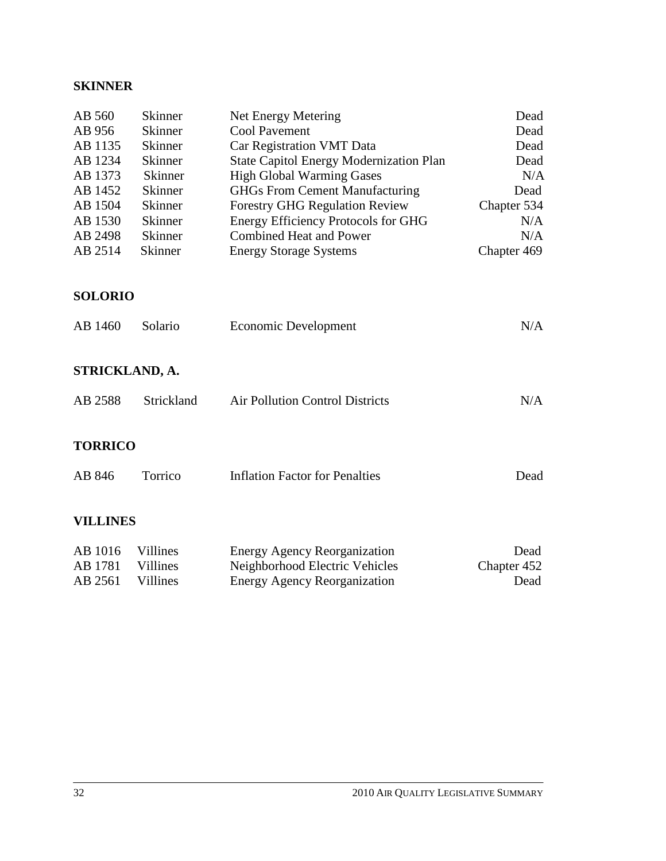# **SKINNER**

| AB 560          | <b>Skinner</b> | Net Energy Metering                            | Dead        |
|-----------------|----------------|------------------------------------------------|-------------|
| AB 956          | <b>Skinner</b> | <b>Cool Pavement</b>                           | Dead        |
| AB 1135         | <b>Skinner</b> | Car Registration VMT Data                      | Dead        |
| AB 1234         | Skinner        | <b>State Capitol Energy Modernization Plan</b> | Dead        |
| AB 1373         | <b>Skinner</b> | <b>High Global Warming Gases</b>               | N/A         |
| AB 1452         | <b>Skinner</b> | <b>GHGs From Cement Manufacturing</b>          | Dead        |
| AB 1504         | Skinner        | <b>Forestry GHG Regulation Review</b>          | Chapter 534 |
| AB 1530         | Skinner        | <b>Energy Efficiency Protocols for GHG</b>     | N/A         |
| AB 2498         | <b>Skinner</b> | <b>Combined Heat and Power</b>                 | N/A         |
| AB 2514         | Skinner        | <b>Energy Storage Systems</b>                  | Chapter 469 |
|                 |                |                                                |             |
| <b>SOLORIO</b>  |                |                                                |             |
| AB 1460         | Solario        | Economic Development                           | N/A         |
|                 |                |                                                |             |
| STRICKLAND, A.  |                |                                                |             |
| AB 2588         | Strickland     | <b>Air Pollution Control Districts</b>         | N/A         |
|                 |                |                                                |             |
| <b>TORRICO</b>  |                |                                                |             |
| AB 846          | Torrico        | <b>Inflation Factor for Penalties</b>          | Dead        |
|                 |                |                                                |             |
| <b>VILLINES</b> |                |                                                |             |
|                 |                |                                                |             |
| AB 1016         | Villines       | <b>Energy Agency Reorganization</b>            | Dead        |
| AB 1781         | Villines       | Neighborhood Electric Vehicles                 | Chapter 452 |
| AB 2561         | Villines       | <b>Energy Agency Reorganization</b>            | Dead        |
|                 |                |                                                |             |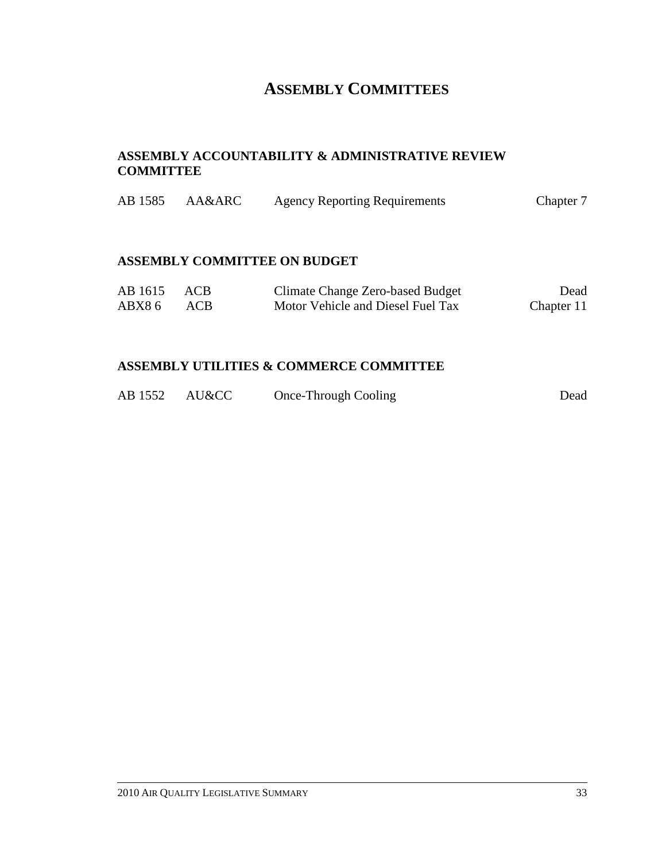# **ASSEMBLY COMMITTEES**

### **ASSEMBLY ACCOUNTABILITY & ADMINISTRATIVE REVIEW COMMITTEE**

| AB 1585 | AA&ARC | <b>Agency Reporting Requirements</b> | Chapter 7 |
|---------|--------|--------------------------------------|-----------|
|---------|--------|--------------------------------------|-----------|

### **ASSEMBLY COMMITTEE ON BUDGET**

| AB 1615 ACB |     | Climate Change Zero-based Budget  | Dead       |
|-------------|-----|-----------------------------------|------------|
| ABX8 6      | ACB | Motor Vehicle and Diesel Fuel Tax | Chapter 11 |

### **ASSEMBLY UTILITIES & COMMERCE COMMITTEE**

|  | AB 1552 AU&CC | Once-Through Cooling | Dead |
|--|---------------|----------------------|------|
|--|---------------|----------------------|------|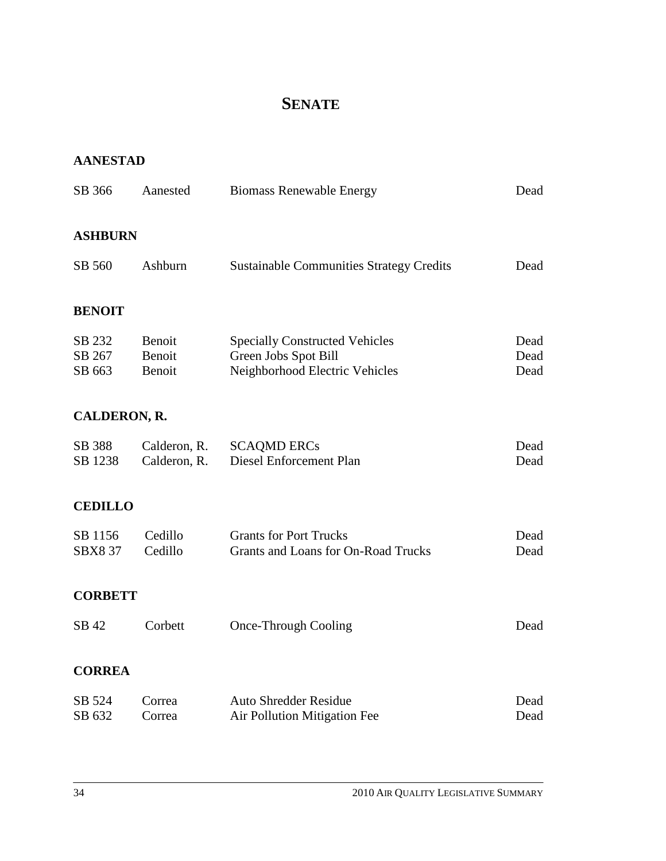# **SENATE**

# **AANESTAD**

| SB 366                     | Aanested                     | <b>Biomass Renewable Energy</b>                                                                 | Dead                 |
|----------------------------|------------------------------|-------------------------------------------------------------------------------------------------|----------------------|
| <b>ASHBURN</b>             |                              |                                                                                                 |                      |
| SB 560                     | Ashburn                      | <b>Sustainable Communities Strategy Credits</b>                                                 | Dead                 |
| <b>BENOIT</b>              |                              |                                                                                                 |                      |
| SB 232<br>SB 267<br>SB 663 | Benoit<br>Benoit<br>Benoit   | <b>Specially Constructed Vehicles</b><br>Green Jobs Spot Bill<br>Neighborhood Electric Vehicles | Dead<br>Dead<br>Dead |
| <b>CALDERON, R.</b>        |                              |                                                                                                 |                      |
| SB 388<br>SB 1238          | Calderon, R.<br>Calderon, R. | <b>SCAQMD ERCs</b><br>Diesel Enforcement Plan                                                   | Dead<br>Dead         |
| <b>CEDILLO</b>             |                              |                                                                                                 |                      |
| SB 1156<br><b>SBX8 37</b>  | Cedillo<br>Cedillo           | <b>Grants for Port Trucks</b><br><b>Grants and Loans for On-Road Trucks</b>                     | Dead<br>Dead         |
| <b>CORBETT</b>             |                              |                                                                                                 |                      |
| SB 42                      | Corbett                      | <b>Once-Through Cooling</b>                                                                     | Dead                 |
| <b>CORREA</b>              |                              |                                                                                                 |                      |
| SB 524<br>SB 632           | Correa<br>Correa             | <b>Auto Shredder Residue</b><br>Air Pollution Mitigation Fee                                    | Dead<br>Dead         |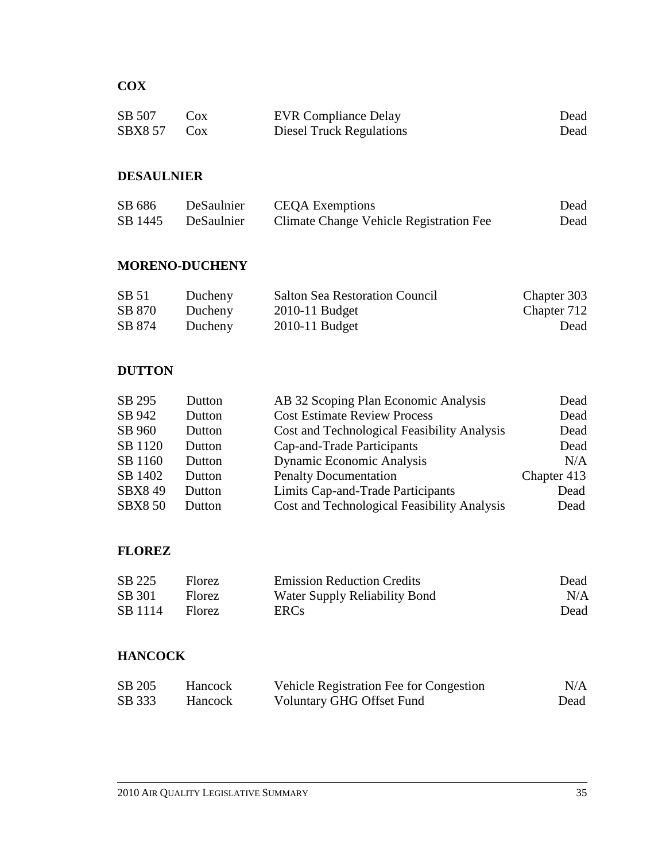# **COX**

| SB 507       | Cox | <b>EVR Compliance Delay</b> | Dead |
|--------------|-----|-----------------------------|------|
| $SBX857$ Cox |     | Diesel Truck Regulations    | Dead |

# **DESAULNIER**

| SB 686  | DeSaulnier | <b>CEQA</b> Exemptions                  | Dead |
|---------|------------|-----------------------------------------|------|
| SB 1445 | DeSaulnier | Climate Change Vehicle Registration Fee | Dead |

### **MORENO-DUCHENY**

| SB 51  | Ducheny | <b>Salton Sea Restoration Council</b> | Chapter 303 |
|--------|---------|---------------------------------------|-------------|
| SB 870 | Ducheny | $2010-11$ Budget                      | Chapter 712 |
| SB 874 | Ducheny | $2010-11$ Budget                      | Dead        |

### **DUTTON**

| SB 295         | Dutton | AB 32 Scoping Plan Economic Analysis        | Dead        |
|----------------|--------|---------------------------------------------|-------------|
| SB 942         | Dutton | <b>Cost Estimate Review Process</b>         | Dead        |
| SB 960         | Dutton | Cost and Technological Feasibility Analysis | Dead        |
| SB 1120        | Dutton | Cap-and-Trade Participants                  | Dead        |
| SB 1160        | Dutton | Dynamic Economic Analysis                   | N/A         |
| SB 1402        | Dutton | <b>Penalty Documentation</b>                | Chapter 413 |
| <b>SBX849</b>  | Dutton | Limits Cap-and-Trade Participants           | Dead        |
| <b>SBX8 50</b> | Dutton | Cost and Technological Feasibility Analysis | Dead        |

### **FLOREZ**

| SB 225  | Florez  | <b>Emission Reduction Credits</b> | Dead |
|---------|---------|-----------------------------------|------|
| SB 301  | Florez  | Water Supply Reliability Bond     | N/A  |
| SB 1114 | Florez. | ERC <sub>s</sub>                  | Dead |

### **HANCOCK**

| SB 205 | Hancock | Vehicle Registration Fee for Congestion | N/A  |
|--------|---------|-----------------------------------------|------|
| SB 333 | Hancock | Voluntary GHG Offset Fund               | Dead |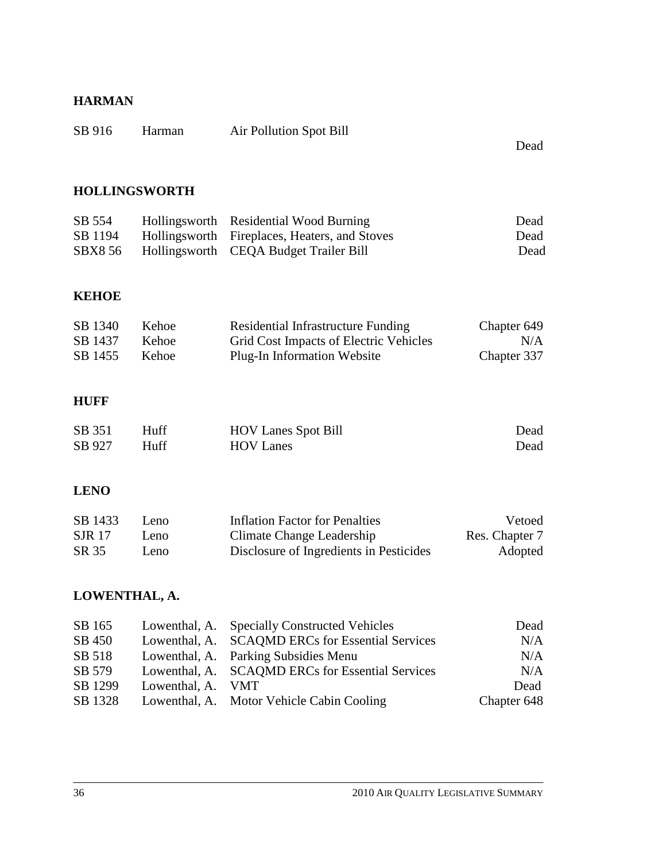# **HARMAN**

| SB 916                              | Harman                                          | Air Pollution Spot Bill                                                                                       | Dead                                |
|-------------------------------------|-------------------------------------------------|---------------------------------------------------------------------------------------------------------------|-------------------------------------|
| <b>HOLLINGSWORTH</b>                |                                                 |                                                                                                               |                                     |
| SB 554<br>SB 1194<br><b>SBX8 56</b> | Hollingsworth<br>Hollingsworth<br>Hollingsworth | <b>Residential Wood Burning</b><br>Fireplaces, Heaters, and Stoves<br><b>CEQA Budget Trailer Bill</b>         | Dead<br>Dead<br>Dead                |
| <b>KEHOE</b>                        |                                                 |                                                                                                               |                                     |
| SB 1340<br>SB 1437<br>SB 1455       | Kehoe<br>Kehoe<br>Kehoe                         | Residential Infrastructure Funding<br>Grid Cost Impacts of Electric Vehicles<br>Plug-In Information Website   | Chapter 649<br>N/A<br>Chapter 337   |
| <b>HUFF</b>                         |                                                 |                                                                                                               |                                     |
| SB 351<br>SB 927                    | Huff<br>Huff                                    | <b>HOV Lanes Spot Bill</b><br><b>HOV Lanes</b>                                                                | Dead<br>Dead                        |
| <b>LENO</b>                         |                                                 |                                                                                                               |                                     |
| SB 1433<br><b>SJR</b> 17<br>SR 35   | Leno<br>Leno<br>Leno                            | <b>Inflation Factor for Penalties</b><br>Climate Change Leadership<br>Disclosure of Ingredients in Pesticides | Vetoed<br>Res. Chapter 7<br>Adopted |
| LOWENTHAL, A.                       |                                                 |                                                                                                               |                                     |
| SB 165<br>SB 450<br>SB 518          | Lowenthal, A.<br>Lowenthal, A.<br>Lowenthal, A. | <b>Specially Constructed Vehicles</b><br><b>SCAQMD ERCs for Essential Services</b><br>Parking Subsidies Menu  | Dead<br>N/A<br>N/A                  |

| SB 579 |                           | Lowenthal, A. SCAQMD ERCs for Essential Services  | N/A         |
|--------|---------------------------|---------------------------------------------------|-------------|
|        | SB 1299 Lowenthal, A. VMT |                                                   | Dead        |
|        |                           | SB 1328 Lowenthal, A. Motor Vehicle Cabin Cooling | Chapter 648 |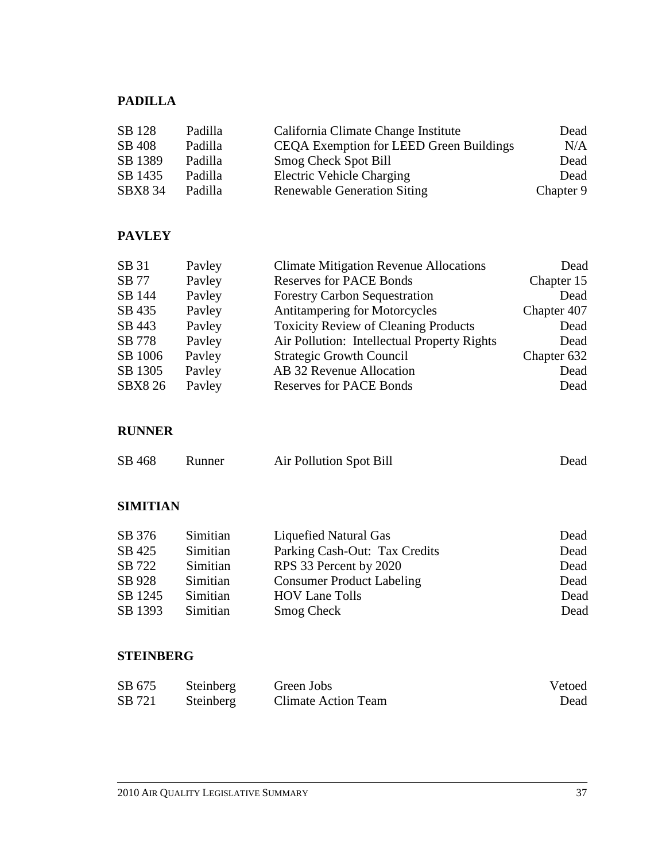# **PADILLA**

| SB 128         | Padilla | California Climate Change Institute            | Dead      |
|----------------|---------|------------------------------------------------|-----------|
| SB 408         | Padilla | <b>CEQA Exemption for LEED Green Buildings</b> | N/A       |
| SB 1389        | Padilla | Smog Check Spot Bill                           | Dead      |
| SB 1435        | Padilla | Electric Vehicle Charging                      | Dead      |
| <b>SBX8 34</b> | Padilla | <b>Renewable Generation Siting</b>             | Chapter 9 |

# **PAVLEY**

| SB 31          | Payley | <b>Climate Mitigation Revenue Allocations</b> | Dead        |
|----------------|--------|-----------------------------------------------|-------------|
| SB 77          | Payley | <b>Reserves for PACE Bonds</b>                | Chapter 15  |
| SB 144         | Payley | <b>Forestry Carbon Sequestration</b>          | Dead        |
| SB 435         | Payley | <b>Antitampering for Motorcycles</b>          | Chapter 407 |
| SB 443         | Payley | <b>Toxicity Review of Cleaning Products</b>   | Dead        |
| SB 778         | Payley | Air Pollution: Intellectual Property Rights   | Dead        |
| SB 1006        | Payley | <b>Strategic Growth Council</b>               | Chapter 632 |
| SB 1305        | Payley | AB 32 Revenue Allocation                      | Dead        |
| <b>SBX8 26</b> | Payley | <b>Reserves for PACE Bonds</b>                | Dead        |

### **RUNNER**

| SB 468 | Runner | Air Pollution Spot Bill | Dead |
|--------|--------|-------------------------|------|
|        |        |                         |      |

# **SIMITIAN**

| SB 376  | Simitian | Liquefied Natural Gas            | Dead |
|---------|----------|----------------------------------|------|
| SB 425  | Simitian | Parking Cash-Out: Tax Credits    | Dead |
| SB 722  | Simitian | RPS 33 Percent by 2020           | Dead |
| SB 928  | Simitian | <b>Consumer Product Labeling</b> | Dead |
| SB 1245 | Simitian | <b>HOV Lane Tolls</b>            | Dead |
| SB 1393 | Simitian | Smog Check                       | Dead |

### **STEINBERG**

| SB 675 | Steinberg | Green Jobs                 | Vetoed |
|--------|-----------|----------------------------|--------|
| SB 721 | Steinberg | <b>Climate Action Team</b> | Dead   |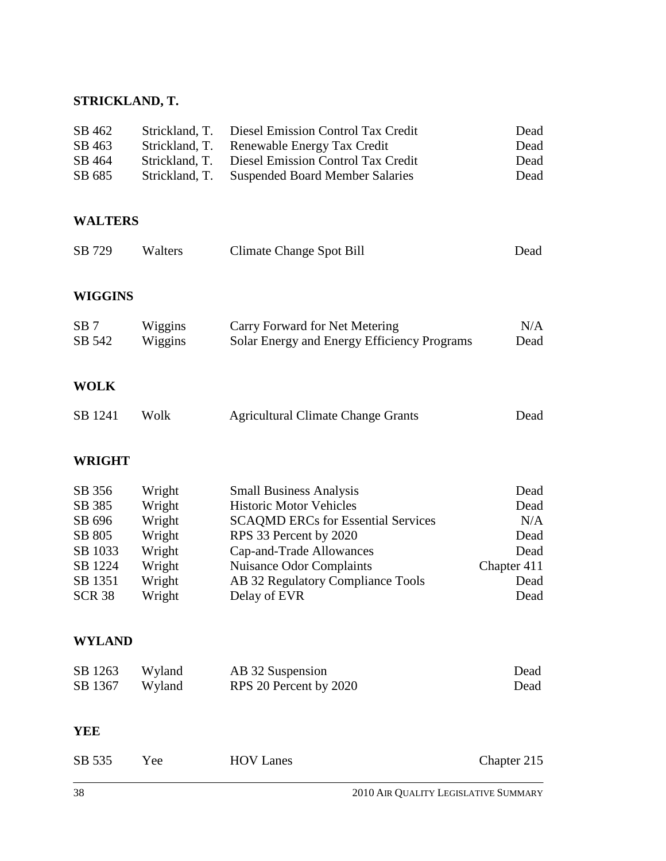### **STRICKLAND, T.**

| SB 462 | Strickland, T. Diesel Emission Control Tax Credit | Dead |
|--------|---------------------------------------------------|------|
| SB 463 | Strickland, T. Renewable Energy Tax Credit        | Dead |
| SB 464 | Strickland, T. Diesel Emission Control Tax Credit | Dead |
| SB 685 | Strickland, T. Suspended Board Member Salaries    | Dead |

### **WALTERS**

| SB 729          | <b>Walters</b> | Climate Change Spot Bill                    | Dead |
|-----------------|----------------|---------------------------------------------|------|
|                 |                |                                             |      |
| <b>WIGGINS</b>  |                |                                             |      |
| SB <sub>7</sub> | Wiggins        | Carry Forward for Net Metering              | N/A  |
| SB 542          | Wiggins        | Solar Energy and Energy Efficiency Programs | Dead |
|                 |                |                                             |      |

# **WOLK**

| Dead |
|------|
|      |

# **WRIGHT**

| Wright | <b>Small Business Analysis</b>            | Dead        |
|--------|-------------------------------------------|-------------|
| Wright | <b>Historic Motor Vehicles</b>            | Dead        |
| Wright | <b>SCAQMD ERCs for Essential Services</b> | N/A         |
| Wright | RPS 33 Percent by 2020                    | Dead        |
| Wright | Cap-and-Trade Allowances                  | Dead        |
| Wright | <b>Nuisance Odor Complaints</b>           | Chapter 411 |
| Wright | AB 32 Regulatory Compliance Tools         | Dead        |
| Wright | Delay of EVR                              | Dead        |
|        |                                           |             |

### **WYLAND**

| SB 1263 | Wyland | AB 32 Suspension       | Dead |
|---------|--------|------------------------|------|
| SB 1367 | Wyland | RPS 20 Percent by 2020 | Dead |

### **YEE**

| SB 535 | Yee | <b>HOV Lanes</b> | Chapter 215 |
|--------|-----|------------------|-------------|
|        |     |                  |             |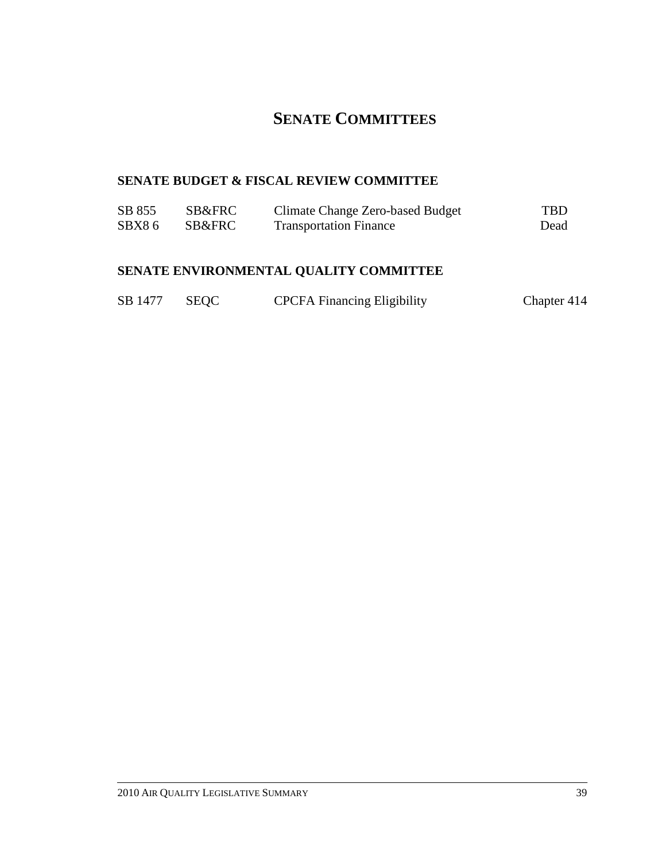# **SENATE COMMITTEES**

# **SENATE BUDGET & FISCAL REVIEW COMMITTEE**

| SB 855 | <b>SB&amp;FRC</b> | Climate Change Zero-based Budget | TBD. |
|--------|-------------------|----------------------------------|------|
| SBX86  | SB&FRC            | <b>Transportation Finance</b>    | Dead |

# **SENATE ENVIRONMENTAL QUALITY COMMITTEE**

| SB 1477 SEQC |  | <b>CPCFA Financing Eligibility</b> | Chapter 414 |
|--------------|--|------------------------------------|-------------|
|--------------|--|------------------------------------|-------------|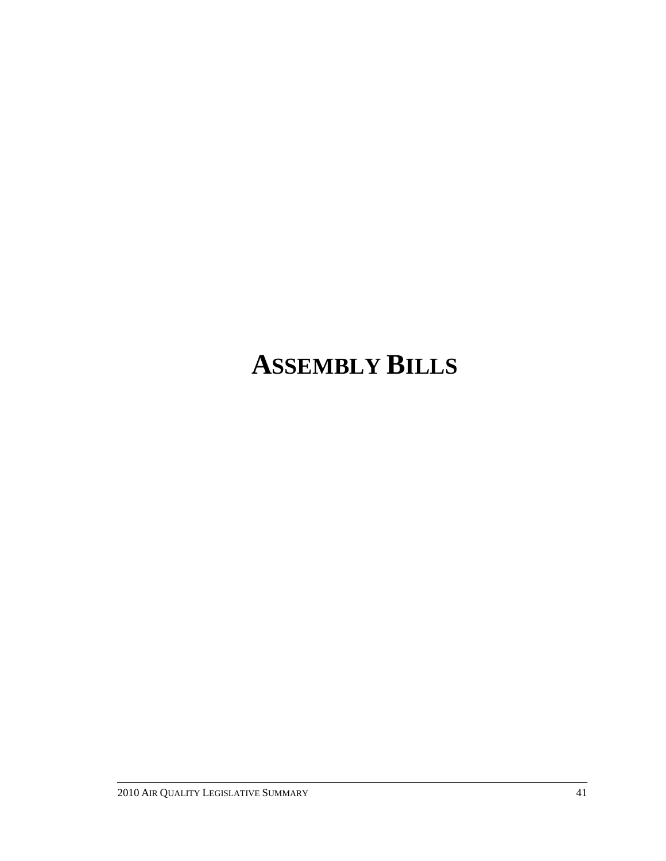# **ASSEMBLY BILLS**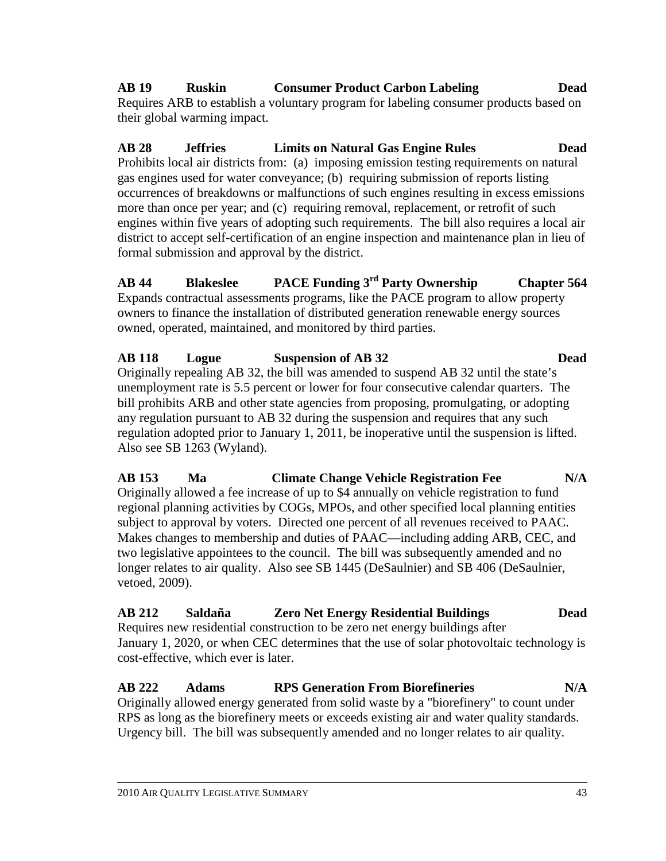# **AB 19 Ruskin Consumer Product Carbon Labeling Dead**

Requires ARB to establish a voluntary program for labeling consumer products based on their global warming impact.

**AB 28 Jeffries Limits on Natural Gas Engine Rules Dead**  Prohibits local air districts from: (a) imposing emission testing requirements on natural gas engines used for water conveyance; (b) requiring submission of reports listing occurrences of breakdowns or malfunctions of such engines resulting in excess emissions more than once per year; and (c) requiring removal, replacement, or retrofit of such engines within five years of adopting such requirements. The bill also requires a local air district to accept self-certification of an engine inspection and maintenance plan in lieu of formal submission and approval by the district.

**AB 44 Blakeslee PACE Funding 3rd Party Ownership Chapter 564**  Expands contractual assessments programs, like the PACE program to allow property owners to finance the installation of distributed generation renewable energy sources owned, operated, maintained, and monitored by third parties.

# **AB 118 Logue Suspension of AB 32 Dead**

Originally repealing AB 32, the bill was amended to suspend AB 32 until the state's unemployment rate is 5.5 percent or lower for four consecutive calendar quarters. The bill prohibits ARB and other state agencies from proposing, promulgating, or adopting any regulation pursuant to AB 32 during the suspension and requires that any such regulation adopted prior to January 1, 2011, be inoperative until the suspension is lifted. Also see SB 1263 (Wyland).

**AB 153 Ma Climate Change Vehicle Registration Fee N/A**  Originally allowed a fee increase of up to \$4 annually on vehicle registration to fund regional planning activities by COGs, MPOs, and other specified local planning entities subject to approval by voters. Directed one percent of all revenues received to PAAC. Makes changes to membership and duties of PAAC—including adding ARB, CEC, and two legislative appointees to the council. The bill was subsequently amended and no longer relates to air quality. Also see SB 1445 (DeSaulnier) and SB 406 (DeSaulnier, vetoed, 2009).

### **AB 212 Saldaña Zero Net Energy Residential Buildings Dead**  Requires new residential construction to be zero net energy buildings after January 1, 2020, or when CEC determines that the use of solar photovoltaic technology is cost-effective, which ever is later.

# **AB 222 Adams RPS Generation From Biorefineries N/A**

Originally allowed energy generated from solid waste by a "biorefinery" to count under RPS as long as the biorefinery meets or exceeds existing air and water quality standards. Urgency bill. The bill was subsequently amended and no longer relates to air quality.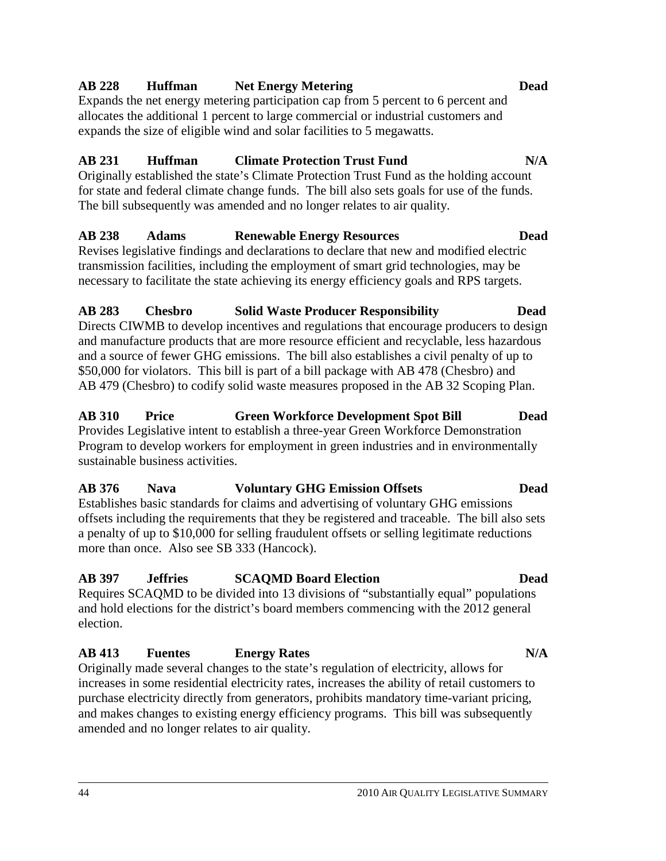### 44 2010 AIR QUALITY LEGISLATIVE SUMMARY

# **AB 228 Huffman Net Energy Metering Dead**

Expands the net energy metering participation cap from 5 percent to 6 percent and allocates the additional 1 percent to large commercial or industrial customers and expands the size of eligible wind and solar facilities to 5 megawatts.

# **AB 231 Huffman Climate Protection Trust Fund N/A**

Originally established the state's Climate Protection Trust Fund as the holding account for state and federal climate change funds. The bill also sets goals for use of the funds. The bill subsequently was amended and no longer relates to air quality.

# **AB 238 Adams Renewable Energy Resources Dead**

Revises legislative findings and declarations to declare that new and modified electric transmission facilities, including the employment of smart grid technologies, may be necessary to facilitate the state achieving its energy efficiency goals and RPS targets.

# **AB 283 Chesbro Solid Waste Producer Responsibility Dead**

Directs CIWMB to develop incentives and regulations that encourage producers to design and manufacture products that are more resource efficient and recyclable, less hazardous and a source of fewer GHG emissions. The bill also establishes a civil penalty of up to \$50,000 for violators. This bill is part of a bill package with AB 478 (Chesbro) and AB 479 (Chesbro) to codify solid waste measures proposed in the AB 32 Scoping Plan.

# **AB 310 Price Green Workforce Development Spot Bill Dead**

Provides Legislative intent to establish a three-year Green Workforce Demonstration Program to develop workers for employment in green industries and in environmentally sustainable business activities.

# **AB 376 Nava Voluntary GHG Emission Offsets Dead**

Establishes basic standards for claims and advertising of voluntary GHG emissions offsets including the requirements that they be registered and traceable. The bill also sets a penalty of up to \$10,000 for selling fraudulent offsets or selling legitimate reductions more than once. Also see SB 333 (Hancock).

# **AB 397 Jeffries SCAQMD Board Election Dead**

Requires SCAQMD to be divided into 13 divisions of "substantially equal" populations and hold elections for the district's board members commencing with the 2012 general election.

# AB 413 Fuentes Energy Rates N/A

Originally made several changes to the state's regulation of electricity, allows for increases in some residential electricity rates, increases the ability of retail customers to purchase electricity directly from generators, prohibits mandatory time-variant pricing, and makes changes to existing energy efficiency programs. This bill was subsequently amended and no longer relates to air quality.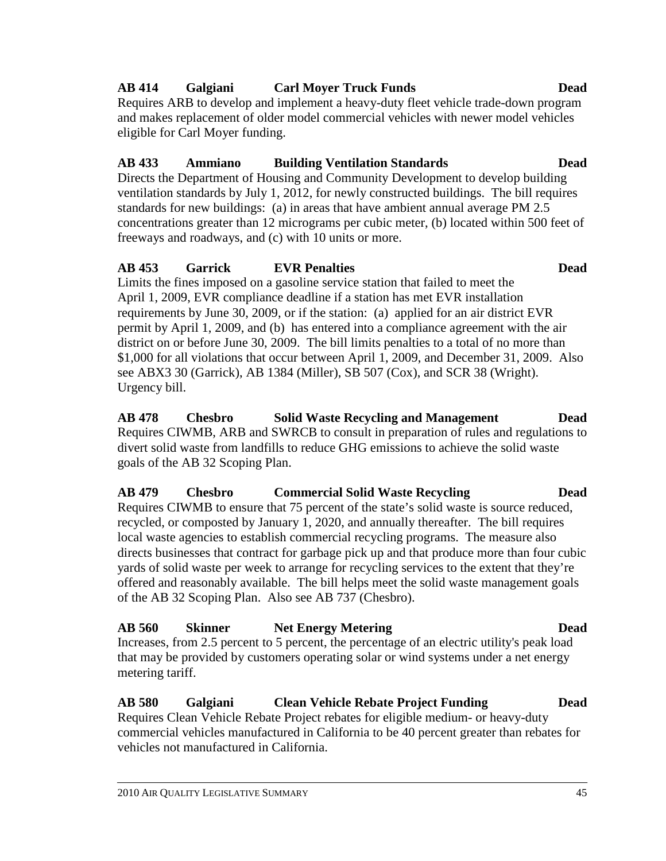### 2010 AIR QUALITY LEGISLATIVE SUMMARY 45

# **AB 414 Galgiani Carl Moyer Truck Funds Dead**

Requires ARB to develop and implement a heavy-duty fleet vehicle trade-down program and makes replacement of older model commercial vehicles with newer model vehicles eligible for Carl Moyer funding.

# **AB 433 Ammiano Building Ventilation Standards Dead**

Directs the Department of Housing and Community Development to develop building ventilation standards by July 1, 2012, for newly constructed buildings. The bill requires standards for new buildings: (a) in areas that have ambient annual average PM 2.5 concentrations greater than 12 micrograms per cubic meter, (b) located within 500 feet of freeways and roadways, and (c) with 10 units or more.

### **AB 453 Garrick EVR Penalties Dead**

Limits the fines imposed on a gasoline service station that failed to meet the April 1, 2009, EVR compliance deadline if a station has met EVR installation requirements by June 30, 2009, or if the station: (a) applied for an air district EVR permit by April 1, 2009, and (b) has entered into a compliance agreement with the air district on or before June 30, 2009. The bill limits penalties to a total of no more than \$1,000 for all violations that occur between April 1, 2009, and December 31, 2009. Also see ABX3 30 (Garrick), AB 1384 (Miller), SB 507 (Cox), and SCR 38 (Wright). Urgency bill.

**AB 478 Chesbro Solid Waste Recycling and Management Dead**  Requires CIWMB, ARB and SWRCB to consult in preparation of rules and regulations to divert solid waste from landfills to reduce GHG emissions to achieve the solid waste goals of the AB 32 Scoping Plan.

**AB 479 Chesbro Commercial Solid Waste Recycling Dead**  Requires CIWMB to ensure that 75 percent of the state's solid waste is source reduced, recycled, or composted by January 1, 2020, and annually thereafter. The bill requires local waste agencies to establish commercial recycling programs. The measure also directs businesses that contract for garbage pick up and that produce more than four cubic yards of solid waste per week to arrange for recycling services to the extent that they're offered and reasonably available. The bill helps meet the solid waste management goals of the AB 32 Scoping Plan. Also see AB 737 (Chesbro).

**AB 560 Skinner Net Energy Metering Dead**  Increases, from 2.5 percent to 5 percent, the percentage of an electric utility's peak load that may be provided by customers operating solar or wind systems under a net energy metering tariff.

**AB 580 Galgiani Clean Vehicle Rebate Project Funding Dead**  Requires Clean Vehicle Rebate Project rebates for eligible medium- or heavy-duty commercial vehicles manufactured in California to be 40 percent greater than rebates for vehicles not manufactured in California.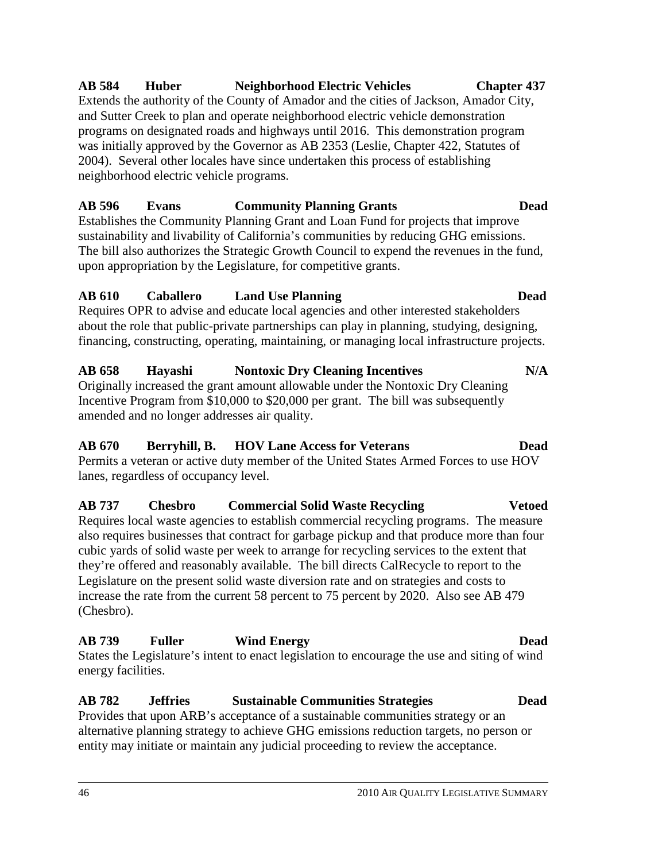# **AB 584 Huber Neighborhood Electric Vehicles Chapter 437**

Extends the authority of the County of Amador and the cities of Jackson, Amador City, and Sutter Creek to plan and operate neighborhood electric vehicle demonstration programs on designated roads and highways until 2016. This demonstration program was initially approved by the Governor as AB 2353 (Leslie, Chapter 422, Statutes of 2004). Several other locales have since undertaken this process of establishing neighborhood electric vehicle programs.

# **AB 596 Evans Community Planning Grants Dead**

Establishes the Community Planning Grant and Loan Fund for projects that improve sustainability and livability of California's communities by reducing GHG emissions. The bill also authorizes the Strategic Growth Council to expend the revenues in the fund, upon appropriation by the Legislature, for competitive grants.

### **AB 610 Caballero Land Use Planning Dead**

Requires OPR to advise and educate local agencies and other interested stakeholders about the role that public-private partnerships can play in planning, studying, designing, financing, constructing, operating, maintaining, or managing local infrastructure projects.

# **AB 658 Hayashi Nontoxic Dry Cleaning Incentives N/A**

Originally increased the grant amount allowable under the Nontoxic Dry Cleaning Incentive Program from \$10,000 to \$20,000 per grant. The bill was subsequently amended and no longer addresses air quality.

### **AB 670 Berryhill, B. HOV Lane Access for Veterans Dead**

Permits a veteran or active duty member of the United States Armed Forces to use HOV lanes, regardless of occupancy level.

# **AB 737 Chesbro Commercial Solid Waste Recycling Vetoed**

Requires local waste agencies to establish commercial recycling programs. The measure also requires businesses that contract for garbage pickup and that produce more than four cubic yards of solid waste per week to arrange for recycling services to the extent that they're offered and reasonably available. The bill directs CalRecycle to report to the Legislature on the present solid waste diversion rate and on strategies and costs to increase the rate from the current 58 percent to 75 percent by 2020. Also see AB 479 (Chesbro).

# **AB 739 Fuller Wind Energy Dead**

States the Legislature's intent to enact legislation to encourage the use and siting of wind energy facilities.

### **AB 782 Jeffries Sustainable Communities Strategies Dead**

Provides that upon ARB's acceptance of a sustainable communities strategy or an alternative planning strategy to achieve GHG emissions reduction targets, no person or entity may initiate or maintain any judicial proceeding to review the acceptance.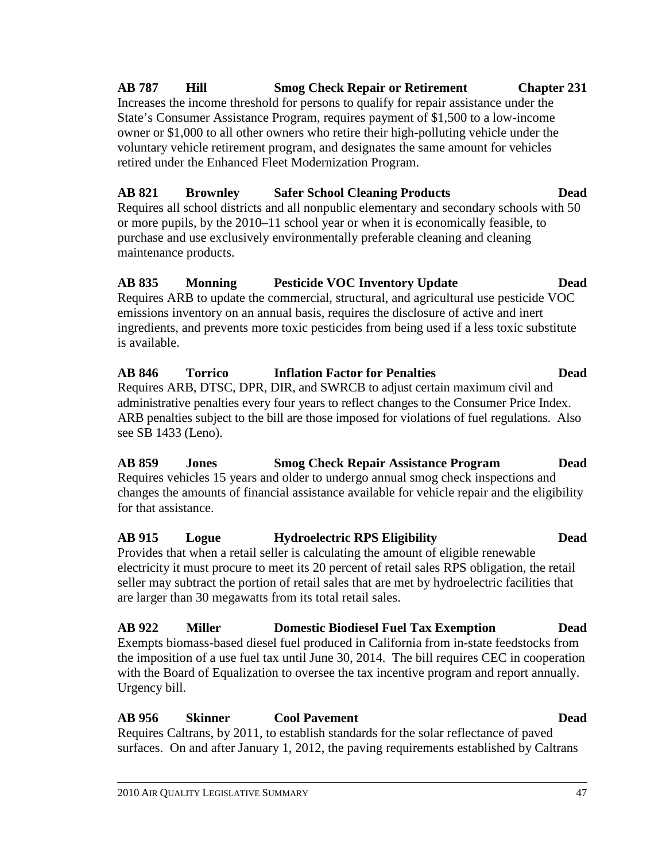# **AB 787 Hill Smog Check Repair or Retirement Chapter 231**

Increases the income threshold for persons to qualify for repair assistance under the State's Consumer Assistance Program, requires payment of \$1,500 to a low-income owner or \$1,000 to all other owners who retire their high-polluting vehicle under the voluntary vehicle retirement program, and designates the same amount for vehicles retired under the Enhanced Fleet Modernization Program.

# **AB 821 Brownley Safer School Cleaning Products Dead**

Requires all school districts and all nonpublic elementary and secondary schools with 50 or more pupils, by the 2010–11 school year or when it is economically feasible, to purchase and use exclusively environmentally preferable cleaning and cleaning maintenance products.

### **AB 835 Monning Pesticide VOC Inventory Update Dead**

Requires ARB to update the commercial, structural, and agricultural use pesticide VOC emissions inventory on an annual basis, requires the disclosure of active and inert ingredients, and prevents more toxic pesticides from being used if a less toxic substitute is available.

### **AB 846 Torrico Inflation Factor for Penalties Dead**  Requires ARB, DTSC, DPR, DIR, and SWRCB to adjust certain maximum civil and administrative penalties every four years to reflect changes to the Consumer Price Index. ARB penalties subject to the bill are those imposed for violations of fuel regulations. Also see SB 1433 (Leno).

**AB 859 Jones Smog Check Repair Assistance Program Dead**  Requires vehicles 15 years and older to undergo annual smog check inspections and changes the amounts of financial assistance available for vehicle repair and the eligibility for that assistance.

### **AB 915 Logue Hydroelectric RPS Eligibility Dead**  Provides that when a retail seller is calculating the amount of eligible renewable

electricity it must procure to meet its 20 percent of retail sales RPS obligation, the retail seller may subtract the portion of retail sales that are met by hydroelectric facilities that are larger than 30 megawatts from its total retail sales.

### **AB 922 Miller Domestic Biodiesel Fuel Tax Exemption Dead**  Exempts biomass-based diesel fuel produced in California from in-state feedstocks from the imposition of a use fuel tax until June 30, 2014. The bill requires CEC in cooperation with the Board of Equalization to oversee the tax incentive program and report annually. Urgency bill.

### **AB 956 Skinner Cool Pavement Dead**  Requires Caltrans, by 2011, to establish standards for the solar reflectance of paved surfaces. On and after January 1, 2012, the paving requirements established by Caltrans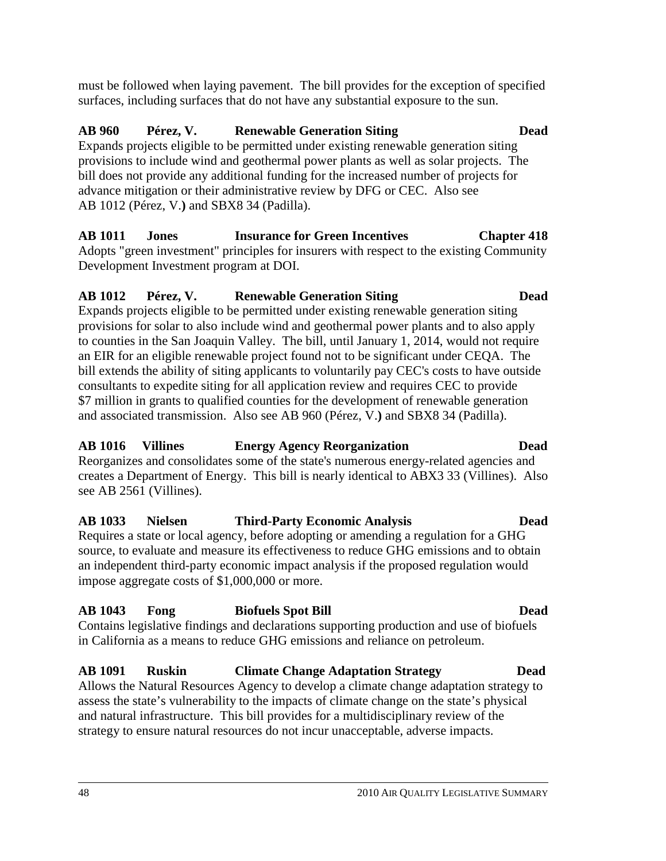must be followed when laying pavement. The bill provides for the exception of specified surfaces, including surfaces that do not have any substantial exposure to the sun.

# **AB 960 Pérez, V. Renewable Generation Siting Dead**

Expands projects eligible to be permitted under existing renewable generation siting provisions to include wind and geothermal power plants as well as solar projects. The bill does not provide any additional funding for the increased number of projects for advance mitigation or their administrative review by DFG or CEC. Also see AB 1012 (Pérez, V.**)** and SBX8 34 (Padilla).

**AB 1011 Jones Insurance for Green Incentives Chapter 418**  Adopts "green investment" principles for insurers with respect to the existing Community Development Investment program at DOI.

### **AB 1012 Pérez, V. Renewable Generation Siting Dead**

Expands projects eligible to be permitted under existing renewable generation siting provisions for solar to also include wind and geothermal power plants and to also apply to counties in the San Joaquin Valley. The bill, until January 1, 2014, would not require an EIR for an eligible renewable project found not to be significant under CEQA. The bill extends the ability of siting applicants to voluntarily pay CEC's costs to have outside consultants to expedite siting for all application review and requires CEC to provide \$7 million in grants to qualified counties for the development of renewable generation and associated transmission. Also see AB 960 (Pérez, V.**)** and SBX8 34 (Padilla).

### **AB 1016 Villines Energy Agency Reorganization Dead**

Reorganizes and consolidates some of the state's numerous energy-related agencies and creates a Department of Energy. This bill is nearly identical to ABX3 33 (Villines). Also see AB 2561 (Villines).

# **AB 1033 Nielsen Third-Party Economic Analysis Dead**

Requires a state or local agency, before adopting or amending a regulation for a GHG source, to evaluate and measure its effectiveness to reduce GHG emissions and to obtain an independent third-party economic impact analysis if the proposed regulation would impose aggregate costs of \$1,000,000 or more.

### **AB 1043 Fong Biofuels Spot Bill Dead**

Contains legislative findings and declarations supporting production and use of biofuels in California as a means to reduce GHG emissions and reliance on petroleum.

# **AB 1091 Ruskin Climate Change Adaptation Strategy Dead**

Allows the Natural Resources Agency to develop a climate change adaptation strategy to assess the state's vulnerability to the impacts of climate change on the state's physical and natural infrastructure. This bill provides for a multidisciplinary review of the strategy to ensure natural resources do not incur unacceptable, adverse impacts.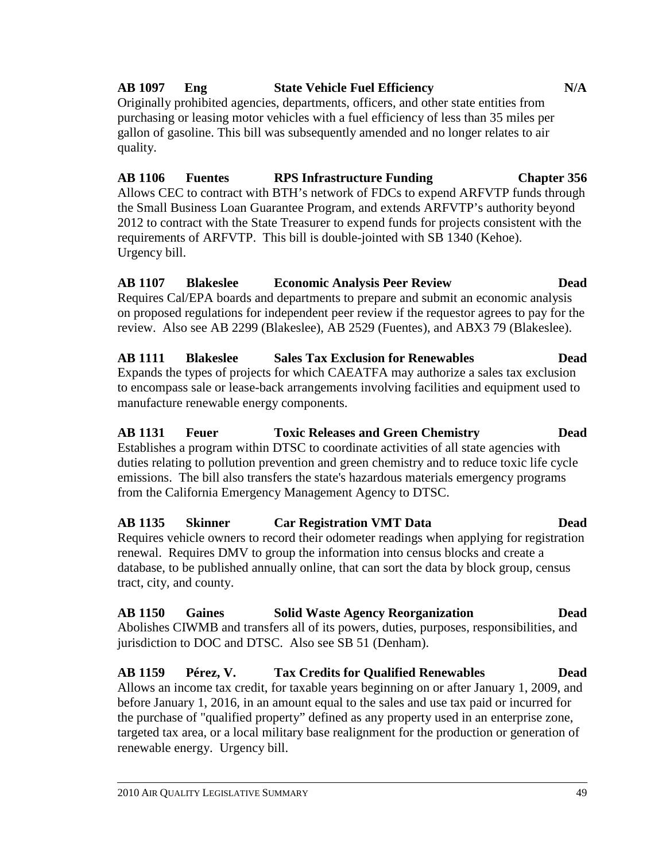# **AB 1097 Eng State Vehicle Fuel Efficiency N/A**

Originally prohibited agencies, departments, officers, and other state entities from purchasing or leasing motor vehicles with a fuel efficiency of less than 35 miles per gallon of gasoline. This bill was subsequently amended and no longer relates to air quality.

### **AB 1106 Fuentes RPS Infrastructure Funding Chapter 356**  Allows CEC to contract with BTH's network of FDCs to expend ARFVTP funds through the Small Business Loan Guarantee Program, and extends ARFVTP's authority beyond 2012 to contract with the State Treasurer to expend funds for projects consistent with the requirements of ARFVTP. This bill is double-jointed with SB 1340 (Kehoe). Urgency bill.

### **AB 1107 Blakeslee Economic Analysis Peer Review Dead**  Requires Cal/EPA boards and departments to prepare and submit an economic analysis on proposed regulations for independent peer review if the requestor agrees to pay for the

review. Also see AB 2299 (Blakeslee), AB 2529 (Fuentes), and ABX3 79 (Blakeslee).

# **AB 1111 Blakeslee Sales Tax Exclusion for Renewables Dead**  Expands the types of projects for which CAEATFA may authorize a sales tax exclusion to encompass sale or lease-back arrangements involving facilities and equipment used to manufacture renewable energy components.

### **AB 1131 Feuer Toxic Releases and Green Chemistry Dead**  Establishes a program within DTSC to coordinate activities of all state agencies with duties relating to pollution prevention and green chemistry and to reduce toxic life cycle emissions. The bill also transfers the state's hazardous materials emergency programs from the California Emergency Management Agency to DTSC.

### **AB 1135 Skinner Car Registration VMT Data Dead**  Requires vehicle owners to record their odometer readings when applying for registration renewal. Requires DMV to group the information into census blocks and create a database, to be published annually online, that can sort the data by block group, census tract, city, and county.

# **AB 1150 Gaines Solid Waste Agency Reorganization Dead**  Abolishes CIWMB and transfers all of its powers, duties, purposes, responsibilities, and jurisdiction to DOC and DTSC. Also see SB 51 (Denham).

### **AB 1159 Pérez, V. Tax Credits for Qualified Renewables Dead**  Allows an income tax credit, for taxable years beginning on or after January 1, 2009, and before January 1, 2016, in an amount equal to the sales and use tax paid or incurred for the purchase of "qualified property" defined as any property used in an enterprise zone, targeted tax area, or a local military base realignment for the production or generation of renewable energy. Urgency bill.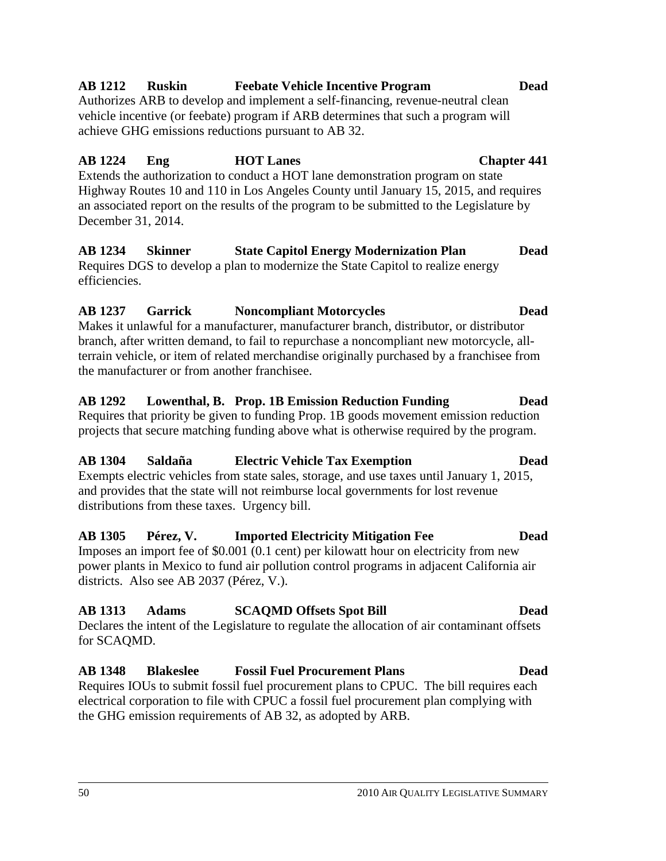50 2010 AIR QUALITY LEGISLATIVE SUMMARY

### **AB 1212 Ruskin Feebate Vehicle Incentive Program Dead**

Authorizes ARB to develop and implement a self-financing, revenue-neutral clean vehicle incentive (or feebate) program if ARB determines that such a program will achieve GHG emissions reductions pursuant to AB 32.

# **AB 1224 Eng HOT Lanes Chapter 441**

Extends the authorization to conduct a HOT lane demonstration program on state Highway Routes 10 and 110 in Los Angeles County until January 15, 2015, and requires an associated report on the results of the program to be submitted to the Legislature by December 31, 2014.

# **AB 1234 Skinner State Capitol Energy Modernization Plan Dead**

Requires DGS to develop a plan to modernize the State Capitol to realize energy efficiencies.

# **AB 1237 Garrick Noncompliant Motorcycles Dead**

Makes it unlawful for a manufacturer, manufacturer branch, distributor, or distributor branch, after written demand, to fail to repurchase a noncompliant new motorcycle, allterrain vehicle, or item of related merchandise originally purchased by a franchisee from the manufacturer or from another franchisee.

# **AB 1292 Lowenthal, B. Prop. 1B Emission Reduction Funding Dead**

Requires that priority be given to funding Prop. 1B goods movement emission reduction projects that secure matching funding above what is otherwise required by the program.

# **AB 1304 Saldaña Electric Vehicle Tax Exemption Dead**

Exempts electric vehicles from state sales, storage, and use taxes until January 1, 2015, and provides that the state will not reimburse local governments for lost revenue distributions from these taxes. Urgency bill.

# **AB 1305 Pérez, V. Imported Electricity Mitigation Fee Dead**

Imposes an import fee of \$0.001 (0.1 cent) per kilowatt hour on electricity from new power plants in Mexico to fund air pollution control programs in adjacent California air districts. Also see AB 2037 (Pérez, V.).

# **AB 1313 Adams SCAQMD Offsets Spot Bill Dead**

Declares the intent of the Legislature to regulate the allocation of air contaminant offsets for SCAQMD.

# **AB 1348 Blakeslee Fossil Fuel Procurement Plans Dead**  Requires IOUs to submit fossil fuel procurement plans to CPUC. The bill requires each

electrical corporation to file with CPUC a fossil fuel procurement plan complying with the GHG emission requirements of AB 32, as adopted by ARB.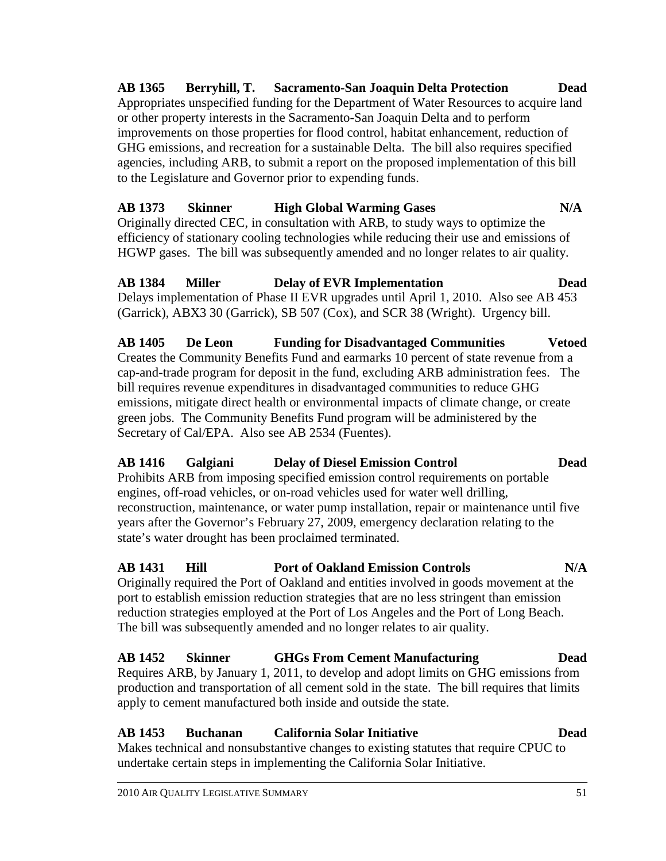# reduction strategies employed at the Port of Los Angeles and the Port of Long Beach. The bill was subsequently amended and no longer relates to air quality.

undertake certain steps in implementing the California Solar Initiative.

# **AB 1452 Skinner GHGs From Cement Manufacturing Dead**  Requires ARB, by January 1, 2011, to develop and adopt limits on GHG emissions from production and transportation of all cement sold in the state. The bill requires that limits apply to cement manufactured both inside and outside the state.

Makes technical and nonsubstantive changes to existing statutes that require CPUC to

**AB 1431 Hill Port of Oakland Emission Controls N/A**  Originally required the Port of Oakland and entities involved in goods movement at the port to establish emission reduction strategies that are no less stringent than emission

reconstruction, maintenance, or water pump installation, repair or maintenance until five years after the Governor's February 27, 2009, emergency declaration relating to the state's water drought has been proclaimed terminated.

# green jobs. The Community Benefits Fund program will be administered by the Secretary of Cal/EPA. Also see AB 2534 (Fuentes). **AB 1416 Galgiani Delay of Diesel Emission Control Dead**  Prohibits ARB from imposing specified emission control requirements on portable

engines, off-road vehicles, or on-road vehicles used for water well drilling,

**AB 1405 De Leon Funding for Disadvantaged Communities Vetoed**  Creates the Community Benefits Fund and earmarks 10 percent of state revenue from a cap-and-trade program for deposit in the fund, excluding ARB administration fees. The bill requires revenue expenditures in disadvantaged communities to reduce GHG emissions, mitigate direct health or environmental impacts of climate change, or create

**AB 1384 Miller Delay of EVR Implementation Dead**  Delays implementation of Phase II EVR upgrades until April 1, 2010. Also see AB 453 (Garrick), ABX3 30 (Garrick), SB 507 (Cox), and SCR 38 (Wright). Urgency bill.

**AB 1365 Berryhill, T. Sacramento-San Joaquin Delta Protection Dead**  Appropriates unspecified funding for the Department of Water Resources to acquire land or other property interests in the Sacramento-San Joaquin Delta and to perform improvements on those properties for flood control, habitat enhancement, reduction of GHG emissions, and recreation for a sustainable Delta. The bill also requires specified agencies, including ARB, to submit a report on the proposed implementation of this bill

**AB 1373 Skinner High Global Warming Gases N/A** 

to the Legislature and Governor prior to expending funds.

Originally directed CEC, in consultation with ARB, to study ways to optimize the efficiency of stationary cooling technologies while reducing their use and emissions of HGWP gases. The bill was subsequently amended and no longer relates to air quality.

2010 AIR QUALITY LEGISLATIVE SUMMARY 51

### **AB 1453 Buchanan California Solar Initiative Dead**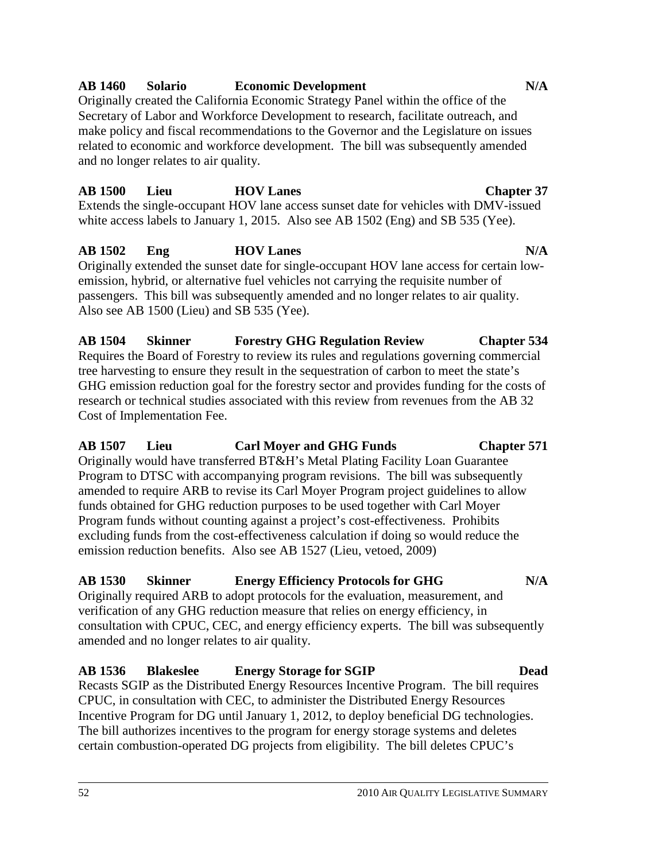### **AB 1460 Solario Economic Development N/A**

Originally created the California Economic Strategy Panel within the office of the Secretary of Labor and Workforce Development to research, facilitate outreach, and make policy and fiscal recommendations to the Governor and the Legislature on issues related to economic and workforce development. The bill was subsequently amended and no longer relates to air quality.

### **AB 1500 Lieu HOV Lanes Chapter 37**  Extends the single-occupant HOV lane access sunset date for vehicles with DMV-issued white access labels to January 1, 2015. Also see AB 1502 (Eng) and SB 535 (Yee).

**AB 1502 Eng HOV Lanes N/A** Originally extended the sunset date for single-occupant HOV lane access for certain lowemission, hybrid, or alternative fuel vehicles not carrying the requisite number of passengers. This bill was subsequently amended and no longer relates to air quality. Also see AB 1500 (Lieu) and SB 535 (Yee).

### **AB 1504 Skinner Forestry GHG Regulation Review Chapter 534**  Requires the Board of Forestry to review its rules and regulations governing commercial tree harvesting to ensure they result in the sequestration of carbon to meet the state's GHG emission reduction goal for the forestry sector and provides funding for the costs of research or technical studies associated with this review from revenues from the AB 32 Cost of Implementation Fee.

### **AB 1507 Lieu Carl Moyer and GHG Funds Chapter 571**  Originally would have transferred BT&H's Metal Plating Facility Loan Guarantee Program to DTSC with accompanying program revisions. The bill was subsequently amended to require ARB to revise its Carl Moyer Program project guidelines to allow funds obtained for GHG reduction purposes to be used together with Carl Moyer Program funds without counting against a project's cost-effectiveness. Prohibits excluding funds from the cost-effectiveness calculation if doing so would reduce the emission reduction benefits. Also see AB 1527 (Lieu, vetoed, 2009)

# **AB 1530 Skinner Energy Efficiency Protocols for GHG N/A**

Originally required ARB to adopt protocols for the evaluation, measurement, and verification of any GHG reduction measure that relies on energy efficiency, in consultation with CPUC, CEC, and energy efficiency experts. The bill was subsequently amended and no longer relates to air quality.

# **AB 1536 Blakeslee Energy Storage for SGIP Dead**

Recasts SGIP as the Distributed Energy Resources Incentive Program. The bill requires CPUC, in consultation with CEC, to administer the Distributed Energy Resources Incentive Program for DG until January 1, 2012, to deploy beneficial DG technologies. The bill authorizes incentives to the program for energy storage systems and deletes certain combustion-operated DG projects from eligibility. The bill deletes CPUC's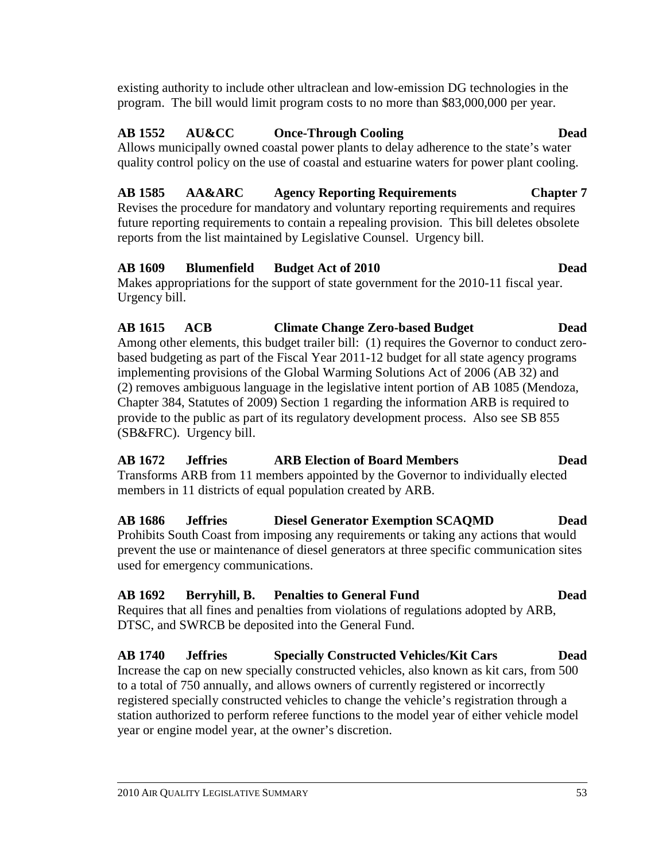existing authority to include other ultraclean and low-emission DG technologies in the program. The bill would limit program costs to no more than \$83,000,000 per year.

### **AB 1552 AU&CC Once-Through Cooling Dead**

Allows municipally owned coastal power plants to delay adherence to the state's water quality control policy on the use of coastal and estuarine waters for power plant cooling.

### **AB 1585 AA&ARC Agency Reporting Requirements Chapter 7**

Revises the procedure for mandatory and voluntary reporting requirements and requires future reporting requirements to contain a repealing provision. This bill deletes obsolete reports from the list maintained by Legislative Counsel. Urgency bill.

### **AB 1609 Blumenfield Budget Act of 2010 Dead**

Makes appropriations for the support of state government for the 2010-11 fiscal year. Urgency bill.

### **AB 1615 ACB Climate Change Zero-based Budget Dead**

Among other elements, this budget trailer bill: (1) requires the Governor to conduct zerobased budgeting as part of the Fiscal Year 2011-12 budget for all state agency programs implementing provisions of the Global Warming Solutions Act of 2006 (AB 32) and (2) removes ambiguous language in the legislative intent portion of AB 1085 (Mendoza, Chapter 384, Statutes of 2009) Section 1 regarding the information ARB is required to provide to the public as part of its regulatory development process. Also see SB 855 (SB&FRC). Urgency bill.

**AB 1672 Jeffries ARB Election of Board Members Dead**  Transforms ARB from 11 members appointed by the Governor to individually elected members in 11 districts of equal population created by ARB.

# **AB 1686 Jeffries Diesel Generator Exemption SCAQMD Dead**

Prohibits South Coast from imposing any requirements or taking any actions that would prevent the use or maintenance of diesel generators at three specific communication sites used for emergency communications.

### **AB 1692 Berryhill, B. Penalties to General Fund Dead**

Requires that all fines and penalties from violations of regulations adopted by ARB, DTSC, and SWRCB be deposited into the General Fund.

### **AB 1740 Jeffries Specially Constructed Vehicles/Kit Cars Dead**

Increase the cap on new specially constructed vehicles, also known as kit cars, from 500 to a total of 750 annually, and allows owners of currently registered or incorrectly registered specially constructed vehicles to change the vehicle's registration through a station authorized to perform referee functions to the model year of either vehicle model year or engine model year, at the owner's discretion.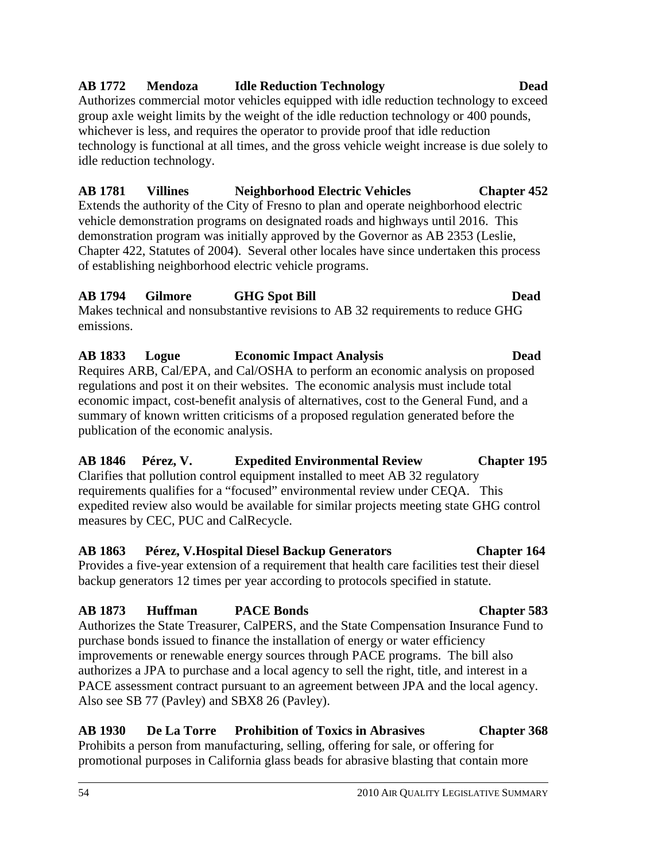### 54 2010 AIR QUALITY LEGISLATIVE SUMMARY

### **AB 1772 Mendoza Idle Reduction Technology Dead**

Authorizes commercial motor vehicles equipped with idle reduction technology to exceed group axle weight limits by the weight of the idle reduction technology or 400 pounds, whichever is less, and requires the operator to provide proof that idle reduction technology is functional at all times, and the gross vehicle weight increase is due solely to idle reduction technology.

### **AB 1781 Villines Neighborhood Electric Vehicles Chapter 452**

Extends the authority of the City of Fresno to plan and operate neighborhood electric vehicle demonstration programs on designated roads and highways until 2016. This demonstration program was initially approved by the Governor as AB 2353 (Leslie, Chapter 422, Statutes of 2004). Several other locales have since undertaken this process of establishing neighborhood electric vehicle programs.

### **AB 1794 Gilmore GHG Spot Bill Dead**

Makes technical and nonsubstantive revisions to AB 32 requirements to reduce GHG emissions.

# **AB 1833 Logue Economic Impact Analysis Dead**

Requires ARB, Cal/EPA, and Cal/OSHA to perform an economic analysis on proposed regulations and post it on their websites. The economic analysis must include total economic impact, cost-benefit analysis of alternatives, cost to the General Fund, and a summary of known written criticisms of a proposed regulation generated before the publication of the economic analysis.

### **AB 1846 Pérez, V. Expedited Environmental Review Chapter 195**

Clarifies that pollution control equipment installed to meet AB 32 regulatory requirements qualifies for a "focused" environmental review under CEQA. This expedited review also would be available for similar projects meeting state GHG control measures by CEC, PUC and CalRecycle.

### **AB 1863 Pérez, V.Hospital Diesel Backup Generators Chapter 164**

Provides a five-year extension of a requirement that health care facilities test their diesel backup generators 12 times per year according to protocols specified in statute.

### **AB 1873 Huffman PACE Bonds Chapter 583**

Authorizes the State Treasurer, CalPERS, and the State Compensation Insurance Fund to purchase bonds issued to finance the installation of energy or water efficiency improvements or renewable energy sources through PACE programs. The bill also authorizes a JPA to purchase and a local agency to sell the right, title, and interest in a PACE assessment contract pursuant to an agreement between JPA and the local agency. Also see SB 77 (Pavley) and SBX8 26 (Pavley).

**AB 1930 De La Torre Prohibition of Toxics in Abrasives Chapter 368**  Prohibits a person from manufacturing, selling, offering for sale, or offering for promotional purposes in California glass beads for abrasive blasting that contain more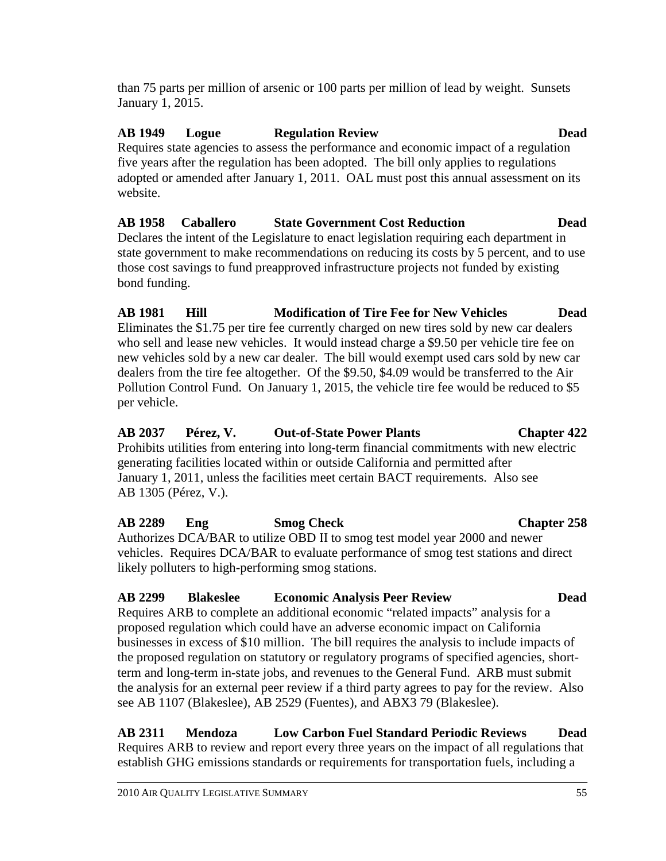than 75 parts per million of arsenic or 100 parts per million of lead by weight. Sunsets January 1, 2015.

### **AB 1949 Logue Regulation Review Dead**

Requires state agencies to assess the performance and economic impact of a regulation five years after the regulation has been adopted. The bill only applies to regulations adopted or amended after January 1, 2011. OAL must post this annual assessment on its website.

### **AB 1958 Caballero State Government Cost Reduction Dead**

Declares the intent of the Legislature to enact legislation requiring each department in state government to make recommendations on reducing its costs by 5 percent, and to use those cost savings to fund preapproved infrastructure projects not funded by existing bond funding.

### **AB 1981 Hill Modification of Tire Fee for New Vehicles Dead**  Eliminates the \$1.75 per tire fee currently charged on new tires sold by new car dealers who sell and lease new vehicles. It would instead charge a \$9.50 per vehicle tire fee on new vehicles sold by a new car dealer. The bill would exempt used cars sold by new car dealers from the tire fee altogether. Of the \$9.50, \$4.09 would be transferred to the Air Pollution Control Fund. On January 1, 2015, the vehicle tire fee would be reduced to \$5 per vehicle.

### **AB 2037 Pérez, V. Out-of-State Power Plants Chapter 422**

Prohibits utilities from entering into long-term financial commitments with new electric generating facilities located within or outside California and permitted after January 1, 2011, unless the facilities meet certain BACT requirements. Also see AB 1305 (Pérez, V.).

### **AB 2289 Eng Smog Check Chapter 258**  Authorizes DCA/BAR to utilize OBD II to smog test model year 2000 and newer vehicles. Requires DCA/BAR to evaluate performance of smog test stations and direct likely polluters to high-performing smog stations.

### **AB 2299 Blakeslee Economic Analysis Peer Review Dead**

Requires ARB to complete an additional economic "related impacts" analysis for a proposed regulation which could have an adverse economic impact on California businesses in excess of \$10 million. The bill requires the analysis to include impacts of the proposed regulation on statutory or regulatory programs of specified agencies, shortterm and long-term in-state jobs, and revenues to the General Fund. ARB must submit the analysis for an external peer review if a third party agrees to pay for the review. Also see AB 1107 (Blakeslee), AB 2529 (Fuentes), and ABX3 79 (Blakeslee).

**AB 2311 Mendoza Low Carbon Fuel Standard Periodic Reviews Dead**  Requires ARB to review and report every three years on the impact of all regulations that establish GHG emissions standards or requirements for transportation fuels, including a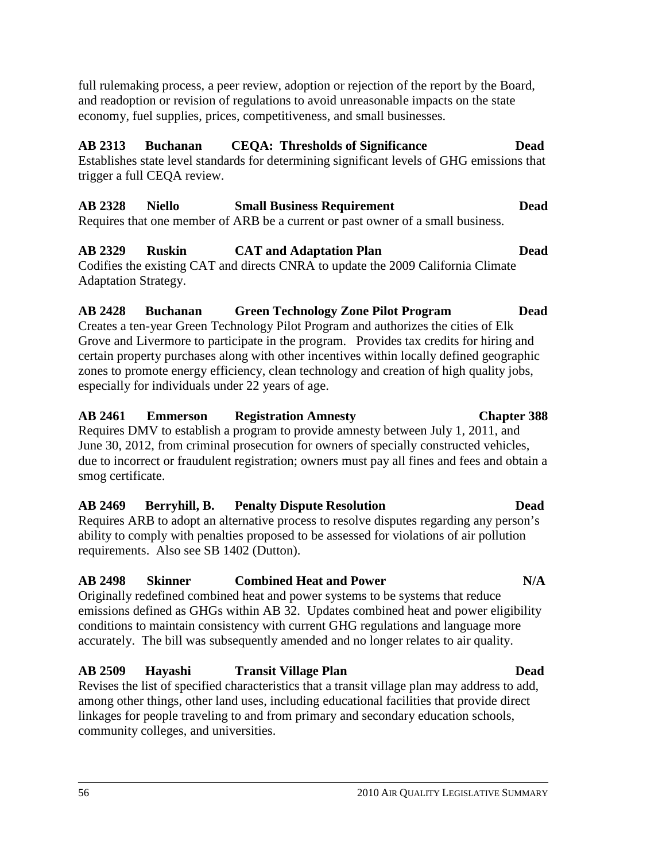full rulemaking process, a peer review, adoption or rejection of the report by the Board, and readoption or revision of regulations to avoid unreasonable impacts on the state economy, fuel supplies, prices, competitiveness, and small businesses.

### **AB 2313 Buchanan CEQA: Thresholds of Significance Dead**

Establishes state level standards for determining significant levels of GHG emissions that trigger a full CEQA review.

# **AB 2328 Niello Small Business Requirement Dead**

Requires that one member of ARB be a current or past owner of a small business.

# **AB 2329 Ruskin CAT and Adaptation Plan Dead**

Codifies the existing CAT and directs CNRA to update the 2009 California Climate Adaptation Strategy.

### **AB 2428 Buchanan Green Technology Zone Pilot Program Dead**  Creates a ten-year Green Technology Pilot Program and authorizes the cities of Elk

Grove and Livermore to participate in the program. Provides tax credits for hiring and certain property purchases along with other incentives within locally defined geographic zones to promote energy efficiency, clean technology and creation of high quality jobs, especially for individuals under 22 years of age.

### **AB 2461 Emmerson Registration Amnesty Chapter 388**  Requires DMV to establish a program to provide amnesty between July 1, 2011, and June 30, 2012, from criminal prosecution for owners of specially constructed vehicles,

due to incorrect or fraudulent registration; owners must pay all fines and fees and obtain a smog certificate.

### **AB 2469 Berryhill, B. Penalty Dispute Resolution Dead**

Requires ARB to adopt an alternative process to resolve disputes regarding any person's ability to comply with penalties proposed to be assessed for violations of air pollution requirements. Also see SB 1402 (Dutton).

# **AB 2498 Skinner Combined Heat and Power N/A**

Originally redefined combined heat and power systems to be systems that reduce emissions defined as GHGs within AB 32. Updates combined heat and power eligibility conditions to maintain consistency with current GHG regulations and language more accurately. The bill was subsequently amended and no longer relates to air quality.

# **AB 2509 Hayashi Transit Village Plan Dead**

Revises the list of specified characteristics that a transit village plan may address to add, among other things, other land uses, including educational facilities that provide direct linkages for people traveling to and from primary and secondary education schools, community colleges, and universities.

### 56 2010 AIR QUALITY LEGISLATIVE SUMMARY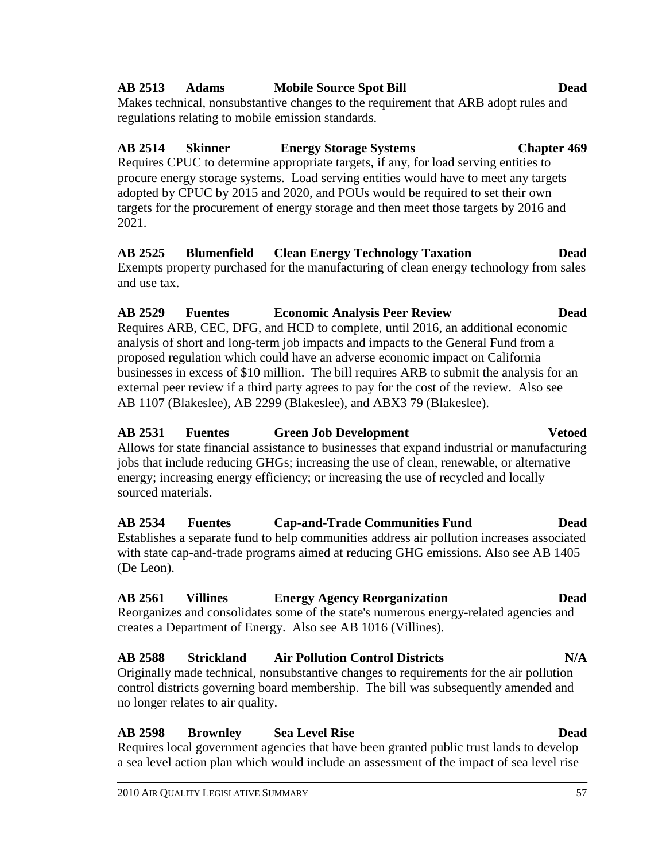### **AB 2513 Adams Mobile Source Spot Bill Dead**

Makes technical, nonsubstantive changes to the requirement that ARB adopt rules and regulations relating to mobile emission standards.

### **AB 2514 Skinner Energy Storage Systems Chapter 469**

Requires CPUC to determine appropriate targets, if any, for load serving entities to procure energy storage systems. Load serving entities would have to meet any targets adopted by CPUC by 2015 and 2020, and POUs would be required to set their own targets for the procurement of energy storage and then meet those targets by 2016 and 2021.

### **AB 2525 Blumenfield Clean Energy Technology Taxation Dead**

Exempts property purchased for the manufacturing of clean energy technology from sales and use tax.

# **AB 2529 Fuentes Economic Analysis Peer Review Dead**

Requires ARB, CEC, DFG, and HCD to complete, until 2016, an additional economic analysis of short and long-term job impacts and impacts to the General Fund from a proposed regulation which could have an adverse economic impact on California businesses in excess of \$10 million. The bill requires ARB to submit the analysis for an external peer review if a third party agrees to pay for the cost of the review. Also see AB 1107 (Blakeslee), AB 2299 (Blakeslee), and ABX3 79 (Blakeslee).

### **AB 2531 Fuentes Green Job Development Vetoed**

Allows for state financial assistance to businesses that expand industrial or manufacturing jobs that include reducing GHGs; increasing the use of clean, renewable, or alternative energy; increasing energy efficiency; or increasing the use of recycled and locally sourced materials.

# **AB 2534 Fuentes Cap-and-Trade Communities Fund Dead**

Establishes a separate fund to help communities address air pollution increases associated with state cap-and-trade programs aimed at reducing GHG emissions. Also see AB 1405 (De Leon).

# **AB 2561 Villines Energy Agency Reorganization Dead**

Reorganizes and consolidates some of the state's numerous energy-related agencies and creates a Department of Energy. Also see AB 1016 (Villines).

# **AB 2588 Strickland Air Pollution Control Districts N/A**

Originally made technical, nonsubstantive changes to requirements for the air pollution control districts governing board membership. The bill was subsequently amended and no longer relates to air quality.

# **AB 2598 Brownley Sea Level Rise Dead**

Requires local government agencies that have been granted public trust lands to develop a sea level action plan which would include an assessment of the impact of sea level rise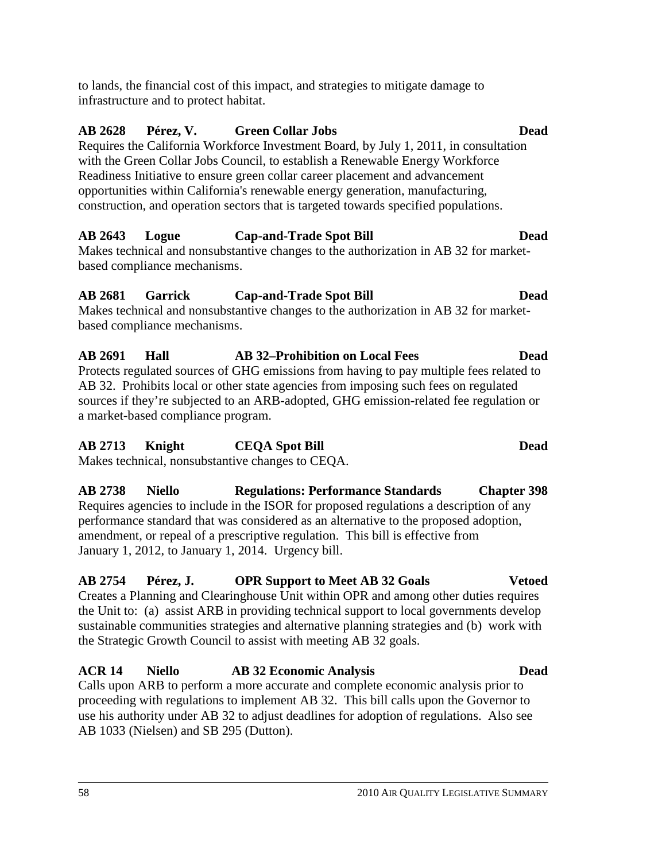to lands, the financial cost of this impact, and strategies to mitigate damage to infrastructure and to protect habitat.

### **AB 2628 Pérez, V. Green Collar Jobs Dead**

Requires the California Workforce Investment Board, by July 1, 2011, in consultation with the Green Collar Jobs Council, to establish a Renewable Energy Workforce Readiness Initiative to ensure green collar career placement and advancement opportunities within California's renewable energy generation, manufacturing, construction, and operation sectors that is targeted towards specified populations.

### **AB 2643 Logue Cap-and-Trade Spot Bill Dead**

Makes technical and nonsubstantive changes to the authorization in AB 32 for marketbased compliance mechanisms.

### **AB 2681 Garrick Cap-and-Trade Spot Bill Dead**

Makes technical and nonsubstantive changes to the authorization in AB 32 for marketbased compliance mechanisms.

# **AB 2691 Hall AB 32–Prohibition on Local Fees Dead**

Protects regulated sources of GHG emissions from having to pay multiple fees related to AB 32. Prohibits local or other state agencies from imposing such fees on regulated sources if they're subjected to an ARB-adopted, GHG emission-related fee regulation or a market-based compliance program.

### **AB 2713 Knight CEQA Spot Bill Dead**

Makes technical, nonsubstantive changes to CEQA.

### **AB 2738 Niello Regulations: Performance Standards Chapter 398**  Requires agencies to include in the ISOR for proposed regulations a description of any

performance standard that was considered as an alternative to the proposed adoption, amendment, or repeal of a prescriptive regulation. This bill is effective from January 1, 2012, to January 1, 2014. Urgency bill.

# **AB 2754 Pérez, J. OPR Support to Meet AB 32 Goals Vetoed**

Creates a Planning and Clearinghouse Unit within OPR and among other duties requires the Unit to: (a) assist ARB in providing technical support to local governments develop sustainable communities strategies and alternative planning strategies and (b) work with the Strategic Growth Council to assist with meeting AB 32 goals.

# **ACR 14 Niello AB 32 Economic Analysis Dead**

Calls upon ARB to perform a more accurate and complete economic analysis prior to proceeding with regulations to implement AB 32. This bill calls upon the Governor to use his authority under AB 32 to adjust deadlines for adoption of regulations. Also see AB 1033 (Nielsen) and SB 295 (Dutton).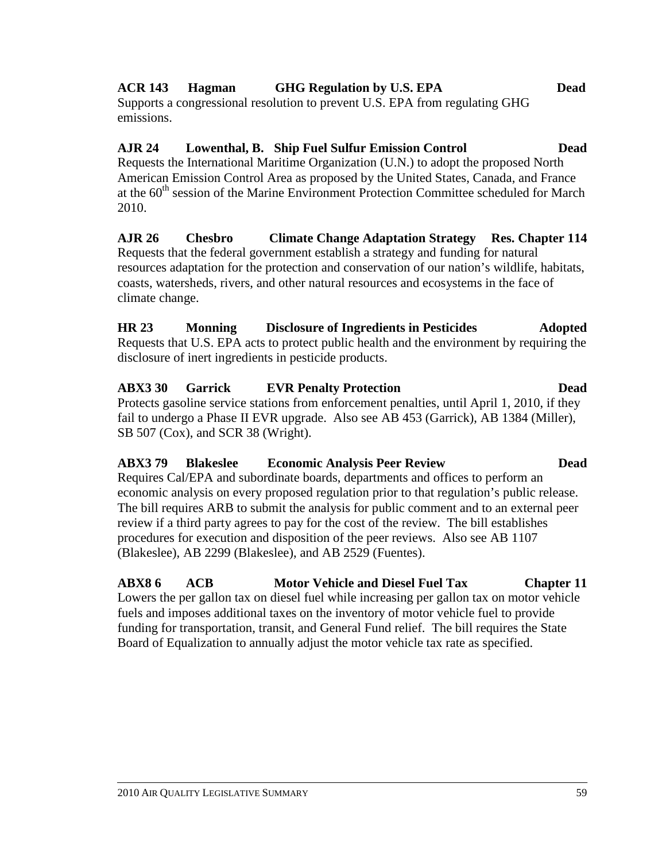# emissions.

Supports a congressional resolution to prevent U.S. EPA from regulating GHG

# **AJR 24 Lowenthal, B. Ship Fuel Sulfur Emission Control Dead**

**ACR 143 Hagman GHG Regulation by U.S. EPA Dead** 

Requests the International Maritime Organization (U.N.) to adopt the proposed North American Emission Control Area as proposed by the United States, Canada, and France at the 60<sup>th</sup> session of the Marine Environment Protection Committee scheduled for March 2010.

### **AJR 26 Chesbro Climate Change Adaptation Strategy Res. Chapter 114**  Requests that the federal government establish a strategy and funding for natural

resources adaptation for the protection and conservation of our nation's wildlife, habitats, coasts, watersheds, rivers, and other natural resources and ecosystems in the face of climate change.

# **HR 23 Monning Disclosure of Ingredients in Pesticides Adopted**  Requests that U.S. EPA acts to protect public health and the environment by requiring the

disclosure of inert ingredients in pesticide products.

### **ABX3 30 Garrick EVR Penalty Protection Dead**  Protects gasoline service stations from enforcement penalties, until April 1, 2010, if they fail to undergo a Phase II EVR upgrade. Also see AB 453 (Garrick), AB 1384 (Miller),

SB 507 (Cox), and SCR 38 (Wright).

# **ABX3 79 Blakeslee Economic Analysis Peer Review Dead**

Requires Cal/EPA and subordinate boards, departments and offices to perform an economic analysis on every proposed regulation prior to that regulation's public release. The bill requires ARB to submit the analysis for public comment and to an external peer review if a third party agrees to pay for the cost of the review. The bill establishes procedures for execution and disposition of the peer reviews. Also see AB 1107 (Blakeslee), AB 2299 (Blakeslee), and AB 2529 (Fuentes).

# **ABX8 6 ACB Motor Vehicle and Diesel Fuel Tax Chapter 11**

Lowers the per gallon tax on diesel fuel while increasing per gallon tax on motor vehicle fuels and imposes additional taxes on the inventory of motor vehicle fuel to provide funding for transportation, transit, and General Fund relief. The bill requires the State Board of Equalization to annually adjust the motor vehicle tax rate as specified.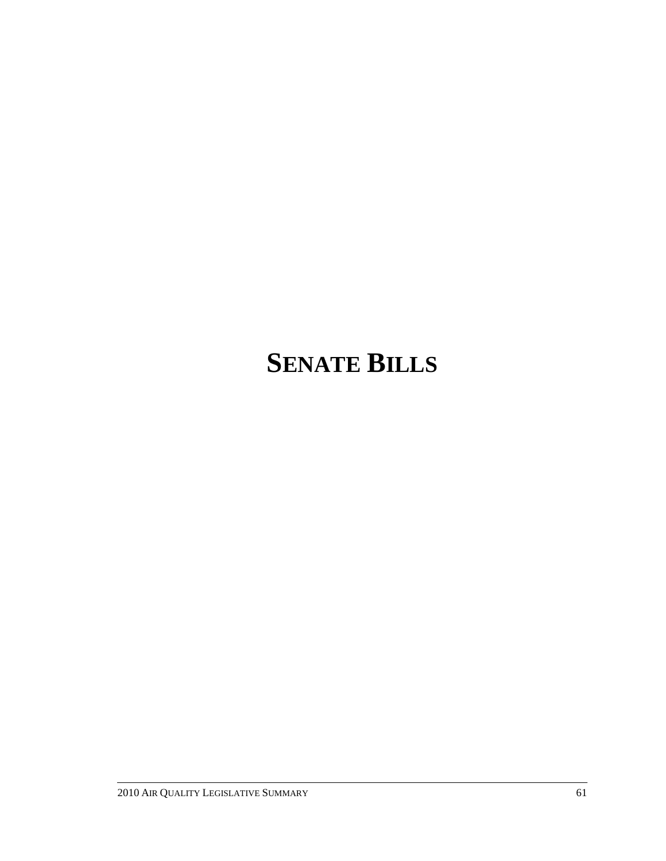# **SENATE BILLS**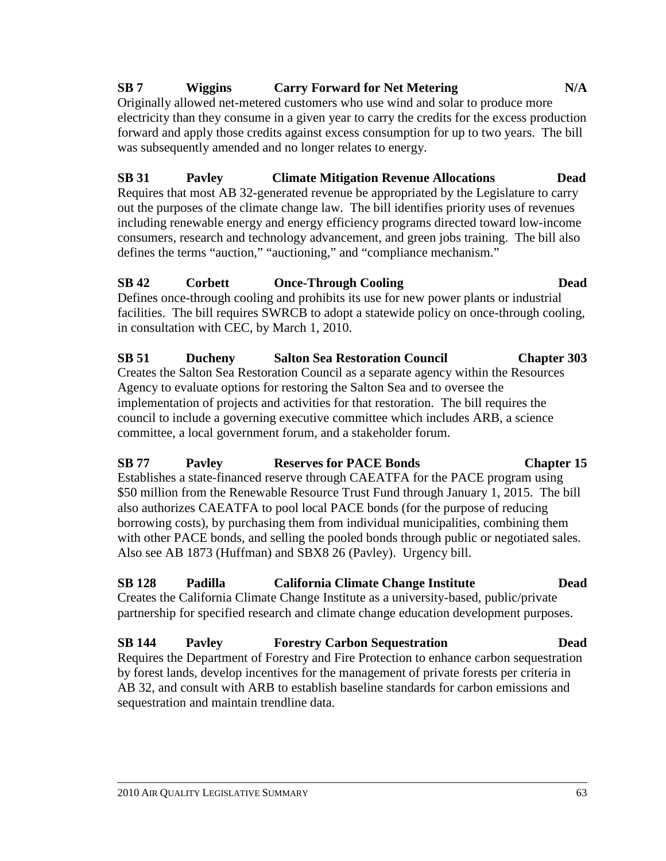# **SB 7 Wiggins Carry Forward for Net Metering N/A**

Originally allowed net-metered customers who use wind and solar to produce more electricity than they consume in a given year to carry the credits for the excess production forward and apply those credits against excess consumption for up to two years. The bill was subsequently amended and no longer relates to energy.

# **SB 31 Pavley Climate Mitigation Revenue Allocations Dead**

Requires that most AB 32-generated revenue be appropriated by the Legislature to carry out the purposes of the climate change law. The bill identifies priority uses of revenues including renewable energy and energy efficiency programs directed toward low-income consumers, research and technology advancement, and green jobs training. The bill also defines the terms "auction," "auctioning," and "compliance mechanism."

# **SB 42 Corbett Once-Through Cooling Dead**

Defines once-through cooling and prohibits its use for new power plants or industrial facilities. The bill requires SWRCB to adopt a statewide policy on once-through cooling, in consultation with CEC, by March 1, 2010.

**SB 51 Ducheny Salton Sea Restoration Council Chapter 303**  Creates the Salton Sea Restoration Council as a separate agency within the Resources Agency to evaluate options for restoring the Salton Sea and to oversee the implementation of projects and activities for that restoration. The bill requires the council to include a governing executive committee which includes ARB, a science committee, a local government forum, and a stakeholder forum.

### **SB 77 Pavley Reserves for PACE Bonds Chapter 15**  Establishes a state-financed reserve through CAEATFA for the PACE program using \$50 million from the Renewable Resource Trust Fund through January 1, 2015. The bill also authorizes CAEATFA to pool local PACE bonds (for the purpose of reducing borrowing costs), by purchasing them from individual municipalities, combining them with other PACE bonds, and selling the pooled bonds through public or negotiated sales. Also see AB 1873 (Huffman) and SBX8 26 (Pavley). Urgency bill.

# **SB 128 Padilla California Climate Change Institute Dead**

Creates the California Climate Change Institute as a university-based, public/private partnership for specified research and climate change education development purposes.

# **SB 144 Pavley Forestry Carbon Sequestration Dead**

Requires the Department of Forestry and Fire Protection to enhance carbon sequestration by forest lands, develop incentives for the management of private forests per criteria in AB 32, and consult with ARB to establish baseline standards for carbon emissions and sequestration and maintain trendline data.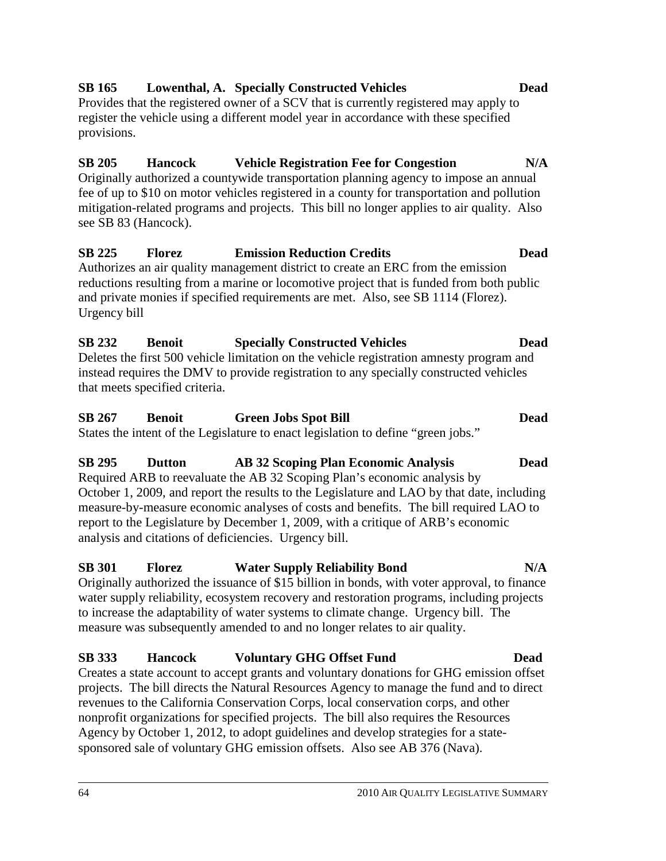### 64 2010 AIR QUALITY LEGISLATIVE SUMMARY

### **SB 165 Lowenthal, A. Specially Constructed Vehicles Dead**

Provides that the registered owner of a SCV that is currently registered may apply to register the vehicle using a different model year in accordance with these specified provisions.

### **SB 205 Hancock Vehicle Registration Fee for Congestion N/A**

Originally authorized a countywide transportation planning agency to impose an annual fee of up to \$10 on motor vehicles registered in a county for transportation and pollution mitigation-related programs and projects. This bill no longer applies to air quality. Also see SB 83 (Hancock).

### **SB 225 Florez Emission Reduction Credits Dead**  Authorizes an air quality management district to create an ERC from the emission reductions resulting from a marine or locomotive project that is funded from both public and private monies if specified requirements are met. Also, see SB 1114 (Florez). Urgency bill

**SB 232 Benoit Specially Constructed Vehicles Dead**  Deletes the first 500 vehicle limitation on the vehicle registration amnesty program and instead requires the DMV to provide registration to any specially constructed vehicles that meets specified criteria.

### **SB 267 Benoit Green Jobs Spot Bill Dead**  States the intent of the Legislature to enact legislation to define "green jobs."

### **SB 295 Dutton AB 32 Scoping Plan Economic Analysis Dead**  Required ARB to reevaluate the AB 32 Scoping Plan's economic analysis by October 1, 2009, and report the results to the Legislature and LAO by that date, including measure-by-measure economic analyses of costs and benefits. The bill required LAO to report to the Legislature by December 1, 2009, with a critique of ARB's economic analysis and citations of deficiencies. Urgency bill.

# **SB 301 Florez Water Supply Reliability Bond N/A**

Originally authorized the issuance of \$15 billion in bonds, with voter approval, to finance water supply reliability, ecosystem recovery and restoration programs, including projects to increase the adaptability of water systems to climate change. Urgency bill. The measure was subsequently amended to and no longer relates to air quality.

# **SB 333 Hancock Voluntary GHG Offset Fund Dead**

Creates a state account to accept grants and voluntary donations for GHG emission offset projects. The bill directs the Natural Resources Agency to manage the fund and to direct revenues to the California Conservation Corps, local conservation corps, and other nonprofit organizations for specified projects. The bill also requires the Resources Agency by October 1, 2012, to adopt guidelines and develop strategies for a statesponsored sale of voluntary GHG emission offsets. Also see AB 376 (Nava).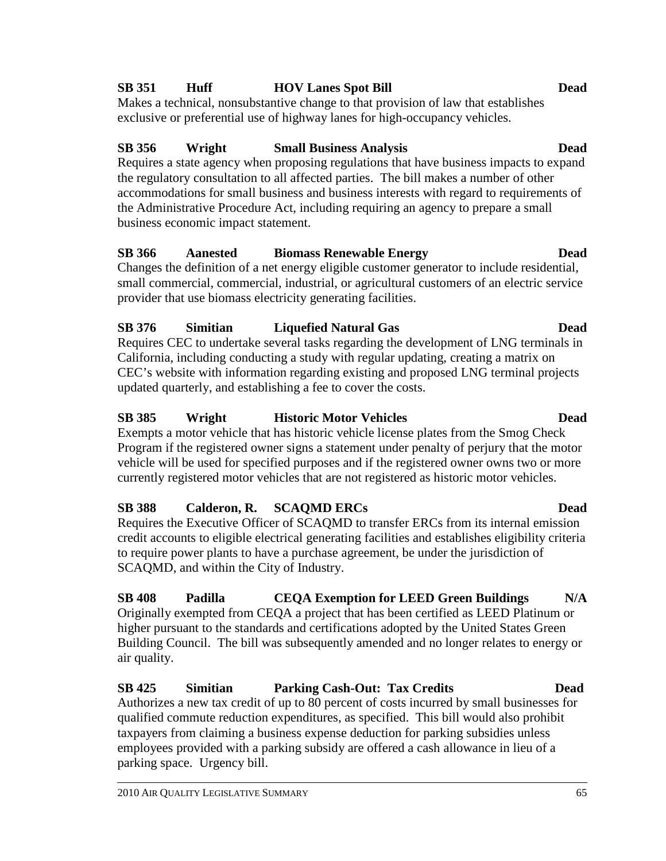## **SB 351 Huff HOV Lanes Spot Bill Dead**

Makes a technical, nonsubstantive change to that provision of law that establishes exclusive or preferential use of highway lanes for high-occupancy vehicles.

# **SB 356 Wright Small Business Analysis Dead**

Requires a state agency when proposing regulations that have business impacts to expand the regulatory consultation to all affected parties. The bill makes a number of other accommodations for small business and business interests with regard to requirements of the Administrative Procedure Act, including requiring an agency to prepare a small business economic impact statement.

### **SB 366 Aanested Biomass Renewable Energy Dead**

Changes the definition of a net energy eligible customer generator to include residential, small commercial, commercial, industrial, or agricultural customers of an electric service provider that use biomass electricity generating facilities.

# **SB 376 Simitian Liquefied Natural Gas Dead**

Requires CEC to undertake several tasks regarding the development of LNG terminals in California, including conducting a study with regular updating, creating a matrix on CEC's website with information regarding existing and proposed LNG terminal projects updated quarterly, and establishing a fee to cover the costs.

# **SB 385 Wright Historic Motor Vehicles Dead**

Exempts a motor vehicle that has historic vehicle license plates from the Smog Check Program if the registered owner signs a statement under penalty of perjury that the motor vehicle will be used for specified purposes and if the registered owner owns two or more currently registered motor vehicles that are not registered as historic motor vehicles.

# **SB 388 Calderon, R. SCAQMD ERCs Dead**

Requires the Executive Officer of SCAQMD to transfer ERCs from its internal emission credit accounts to eligible electrical generating facilities and establishes eligibility criteria to require power plants to have a purchase agreement, be under the jurisdiction of SCAQMD, and within the City of Industry.

### **SB 408 Padilla CEQA Exemption for LEED Green Buildings N/A**  Originally exempted from CEQA a project that has been certified as LEED Platinum or higher pursuant to the standards and certifications adopted by the United States Green Building Council. The bill was subsequently amended and no longer relates to energy or air quality.

# **SB 425 Simitian Parking Cash-Out: Tax Credits Dead**

Authorizes a new tax credit of up to 80 percent of costs incurred by small businesses for qualified commute reduction expenditures, as specified. This bill would also prohibit taxpayers from claiming a business expense deduction for parking subsidies unless employees provided with a parking subsidy are offered a cash allowance in lieu of a parking space. Urgency bill.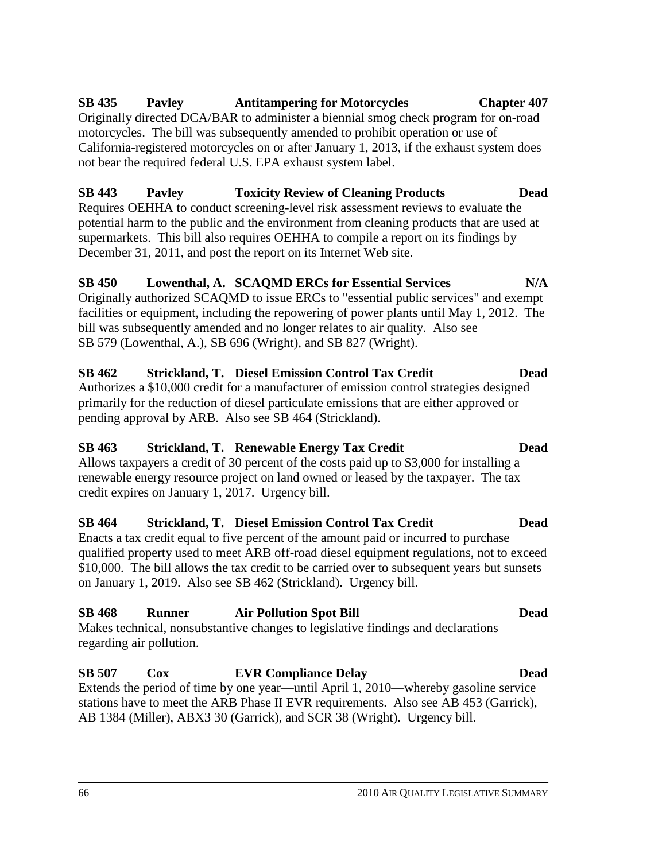### **SB 435 Pavley Antitampering for Motorcycles Chapter 407**  Originally directed DCA/BAR to administer a biennial smog check program for on-road motorcycles. The bill was subsequently amended to prohibit operation or use of California-registered motorcycles on or after January 1, 2013, if the exhaust system does not bear the required federal U.S. EPA exhaust system label.

# **SB 443 Pavley Toxicity Review of Cleaning Products Dead**

Requires OEHHA to conduct screening-level risk assessment reviews to evaluate the potential harm to the public and the environment from cleaning products that are used at supermarkets. This bill also requires OEHHA to compile a report on its findings by December 31, 2011, and post the report on its Internet Web site.

# **SB 450 Lowenthal, A. SCAQMD ERCs for Essential Services N/A**

Originally authorized SCAQMD to issue ERCs to "essential public services" and exempt facilities or equipment, including the repowering of power plants until May 1, 2012. The bill was subsequently amended and no longer relates to air quality. Also see SB 579 (Lowenthal, A.), SB 696 (Wright), and SB 827 (Wright).

### **SB 462 Strickland, T. Diesel Emission Control Tax Credit Dead**

Authorizes a \$10,000 credit for a manufacturer of emission control strategies designed primarily for the reduction of diesel particulate emissions that are either approved or pending approval by ARB. Also see SB 464 (Strickland).

### **SB 463 Strickland, T. Renewable Energy Tax Credit Dead**

Allows taxpayers a credit of 30 percent of the costs paid up to \$3,000 for installing a renewable energy resource project on land owned or leased by the taxpayer. The tax credit expires on January 1, 2017. Urgency bill.

### **SB 464 Strickland, T. Diesel Emission Control Tax Credit Dead**

Enacts a tax credit equal to five percent of the amount paid or incurred to purchase qualified property used to meet ARB off-road diesel equipment regulations, not to exceed \$10,000. The bill allows the tax credit to be carried over to subsequent years but sunsets on January 1, 2019. Also see SB 462 (Strickland). Urgency bill.

# **SB 468 Runner Air Pollution Spot Bill Dead**

Makes technical, nonsubstantive changes to legislative findings and declarations regarding air pollution.

**SB 507 Cox EVR Compliance Delay Dead**  Extends the period of time by one year—until April 1, 2010—whereby gasoline service stations have to meet the ARB Phase II EVR requirements. Also see AB 453 (Garrick), AB 1384 (Miller), ABX3 30 (Garrick), and SCR 38 (Wright). Urgency bill.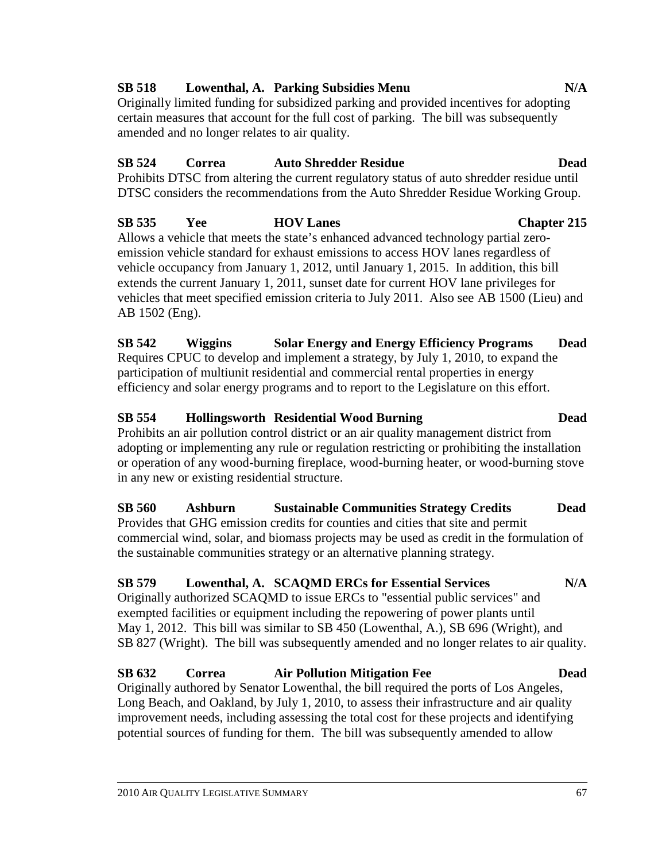### 2010 AIR QUALITY LEGISLATIVE SUMMARY 67

## **SB 518 Lowenthal, A. Parking Subsidies Menu N/A**

Originally limited funding for subsidized parking and provided incentives for adopting certain measures that account for the full cost of parking. The bill was subsequently amended and no longer relates to air quality.

## **SB 524 Correa Auto Shredder Residue Dead**

Prohibits DTSC from altering the current regulatory status of auto shredder residue until DTSC considers the recommendations from the Auto Shredder Residue Working Group.

## **SB 535 Yee HOV Lanes Chapter 215**

Allows a vehicle that meets the state's enhanced advanced technology partial zeroemission vehicle standard for exhaust emissions to access HOV lanes regardless of vehicle occupancy from January 1, 2012, until January 1, 2015. In addition, this bill extends the current January 1, 2011, sunset date for current HOV lane privileges for vehicles that meet specified emission criteria to July 2011. Also see AB 1500 (Lieu) and AB 1502 (Eng).

**SB 542 Wiggins Solar Energy and Energy Efficiency Programs Dead**  Requires CPUC to develop and implement a strategy, by July 1, 2010, to expand the participation of multiunit residential and commercial rental properties in energy efficiency and solar energy programs and to report to the Legislature on this effort.

## **SB 554 Hollingsworth Residential Wood Burning Dead**

Prohibits an air pollution control district or an air quality management district from adopting or implementing any rule or regulation restricting or prohibiting the installation or operation of any wood-burning fireplace, wood-burning heater, or wood-burning stove in any new or existing residential structure.

**SB 560 Ashburn Sustainable Communities Strategy Credits Dead**  Provides that GHG emission credits for counties and cities that site and permit commercial wind, solar, and biomass projects may be used as credit in the formulation of the sustainable communities strategy or an alternative planning strategy.

# **SB 579 Lowenthal, A. SCAQMD ERCs for Essential Services N/A**

Originally authorized SCAQMD to issue ERCs to "essential public services" and exempted facilities or equipment including the repowering of power plants until May 1, 2012. This bill was similar to SB 450 (Lowenthal, A.), SB 696 (Wright), and SB 827 (Wright). The bill was subsequently amended and no longer relates to air quality.

# **SB 632 Correa Air Pollution Mitigation Fee Dead**

Originally authored by Senator Lowenthal, the bill required the ports of Los Angeles, Long Beach, and Oakland, by July 1, 2010, to assess their infrastructure and air quality improvement needs, including assessing the total cost for these projects and identifying potential sources of funding for them. The bill was subsequently amended to allow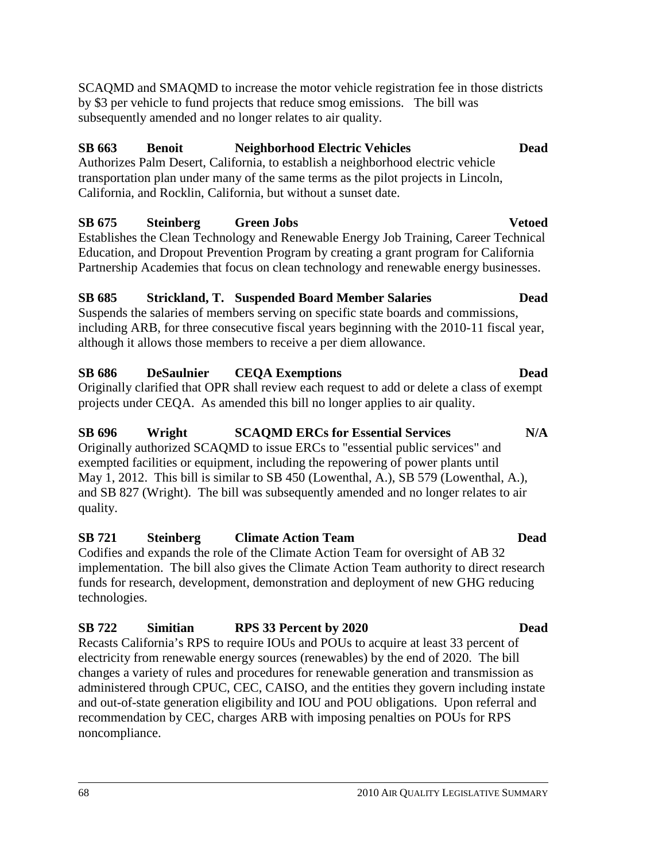SCAQMD and SMAQMD to increase the motor vehicle registration fee in those districts by \$3 per vehicle to fund projects that reduce smog emissions. The bill was subsequently amended and no longer relates to air quality.

### **SB 663 Benoit Neighborhood Electric Vehicles Dead**

Authorizes Palm Desert, California, to establish a neighborhood electric vehicle transportation plan under many of the same terms as the pilot projects in Lincoln, California, and Rocklin, California, but without a sunset date.

### **SB 675 Steinberg Green Jobs Vetoed**

Establishes the Clean Technology and Renewable Energy Job Training, Career Technical Education, and Dropout Prevention Program by creating a grant program for California Partnership Academies that focus on clean technology and renewable energy businesses.

### **SB 685 Strickland, T. Suspended Board Member Salaries Dead**

Suspends the salaries of members serving on specific state boards and commissions, including ARB, for three consecutive fiscal years beginning with the 2010-11 fiscal year, although it allows those members to receive a per diem allowance.

### **SB 686 DeSaulnier CEQA Exemptions Dead**

Originally clarified that OPR shall review each request to add or delete a class of exempt projects under CEQA. As amended this bill no longer applies to air quality.

# **SB 696 Wright SCAQMD ERCs for Essential Services N/A**

Originally authorized SCAQMD to issue ERCs to "essential public services" and exempted facilities or equipment, including the repowering of power plants until May 1, 2012. This bill is similar to SB 450 (Lowenthal, A.), SB 579 (Lowenthal, A.), and SB 827 (Wright). The bill was subsequently amended and no longer relates to air quality.

# **SB 721 Steinberg Climate Action Team Dead**

Codifies and expands the role of the Climate Action Team for oversight of AB 32 implementation. The bill also gives the Climate Action Team authority to direct research funds for research, development, demonstration and deployment of new GHG reducing technologies.

# **SB 722 Simitian RPS 33 Percent by 2020 Dead**

Recasts California's RPS to require IOUs and POUs to acquire at least 33 percent of electricity from renewable energy sources (renewables) by the end of 2020. The bill changes a variety of rules and procedures for renewable generation and transmission as administered through CPUC, CEC, CAISO, and the entities they govern including instate and out-of-state generation eligibility and IOU and POU obligations. Upon referral and recommendation by CEC, charges ARB with imposing penalties on POUs for RPS noncompliance.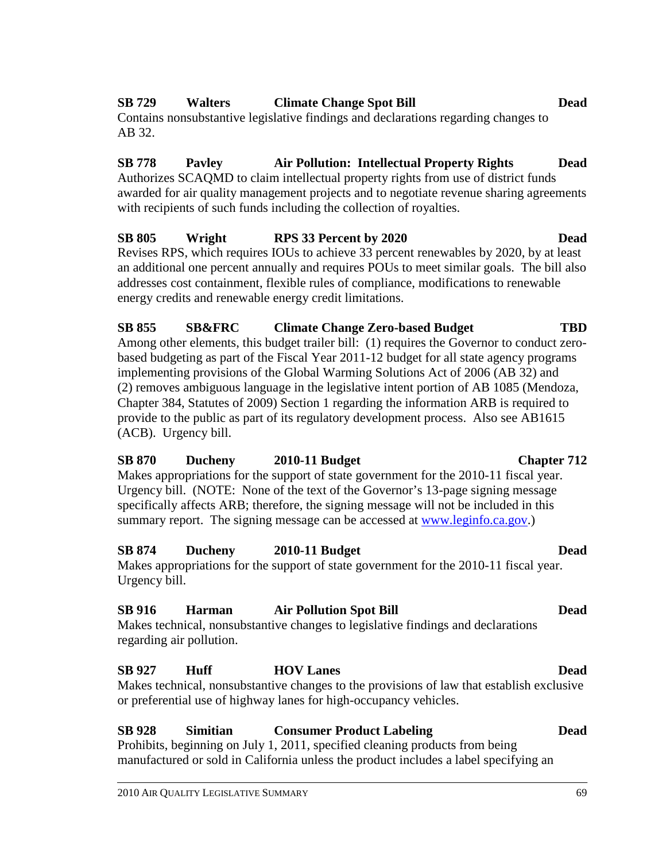### **SB 729 Walters Climate Change Spot Bill Dead**

Contains nonsubstantive legislative findings and declarations regarding changes to AB 32.

**SB 778 Pavley Air Pollution: Intellectual Property Rights Dead**  Authorizes SCAQMD to claim intellectual property rights from use of district funds awarded for air quality management projects and to negotiate revenue sharing agreements with recipients of such funds including the collection of royalties.

### **SB 805 Wright RPS 33 Percent by 2020 Dead**  Revises RPS, which requires IOUs to achieve 33 percent renewables by 2020, by at least an additional one percent annually and requires POUs to meet similar goals. The bill also addresses cost containment, flexible rules of compliance, modifications to renewable energy credits and renewable energy credit limitations.

### **SB 855 SB&FRC Climate Change Zero-based Budget TBD** Among other elements, this budget trailer bill: (1) requires the Governor to conduct zerobased budgeting as part of the Fiscal Year 2011-12 budget for all state agency programs implementing provisions of the Global Warming Solutions Act of 2006 (AB 32) and (2) removes ambiguous language in the legislative intent portion of AB 1085 (Mendoza, Chapter 384, Statutes of 2009) Section 1 regarding the information ARB is required to provide to the public as part of its regulatory development process. Also see AB1615 (ACB). Urgency bill.

### **SB 870 Ducheny 2010-11 Budget Chapter 712**

Makes appropriations for the support of state government for the 2010-11 fiscal year. Urgency bill. (NOTE: None of the text of the Governor's 13-page signing message specifically affects ARB; therefore, the signing message will not be included in this summary report. The signing message can be accessed at www.leginfo.ca.gov.)

### **SB 874 Ducheny 2010-11 Budget Dead**

Makes appropriations for the support of state government for the 2010-11 fiscal year. Urgency bill.

### **SB 916 Harman Air Pollution Spot Bill Dead**

Makes technical, nonsubstantive changes to legislative findings and declarations regarding air pollution.

### **SB 927 Huff HOV Lanes Dead**

Makes technical, nonsubstantive changes to the provisions of law that establish exclusive or preferential use of highway lanes for high-occupancy vehicles.

### **SB 928 Simitian Consumer Product Labeling Dead**

Prohibits, beginning on July 1, 2011, specified cleaning products from being manufactured or sold in California unless the product includes a label specifying an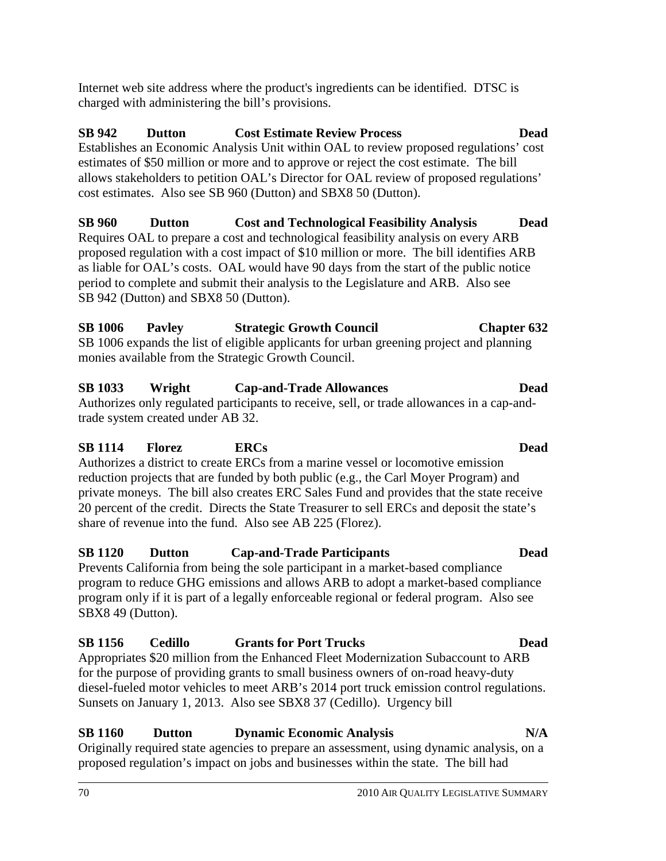Internet web site address where the product's ingredients can be identified. DTSC is charged with administering the bill's provisions.

**SB 942 Dutton Cost Estimate Review Process Dead**  Establishes an Economic Analysis Unit within OAL to review proposed regulations' cost estimates of \$50 million or more and to approve or reject the cost estimate. The bill allows stakeholders to petition OAL's Director for OAL review of proposed regulations' cost estimates. Also see SB 960 (Dutton) and SBX8 50 (Dutton).

**SB 960 Dutton Cost and Technological Feasibility Analysis Dead**  Requires OAL to prepare a cost and technological feasibility analysis on every ARB proposed regulation with a cost impact of \$10 million or more. The bill identifies ARB as liable for OAL's costs. OAL would have 90 days from the start of the public notice period to complete and submit their analysis to the Legislature and ARB. Also see SB 942 (Dutton) and SBX8 50 (Dutton).

### **SB 1006 Pavley Strategic Growth Council Chapter 632**  SB 1006 expands the list of eligible applicants for urban greening project and planning monies available from the Strategic Growth Council.

### **SB 1033 Wright Cap-and-Trade Allowances Dead**  Authorizes only regulated participants to receive, sell, or trade allowances in a cap-andtrade system created under AB 32.

## **SB 1114 Florez ERCs Dead**

Authorizes a district to create ERCs from a marine vessel or locomotive emission reduction projects that are funded by both public (e.g., the Carl Moyer Program) and private moneys. The bill also creates ERC Sales Fund and provides that the state receive 20 percent of the credit. Directs the State Treasurer to sell ERCs and deposit the state's share of revenue into the fund. Also see AB 225 (Florez).

### **SB 1120 Dutton Cap-and-Trade Participants Dead**

Prevents California from being the sole participant in a market-based compliance program to reduce GHG emissions and allows ARB to adopt a market-based compliance program only if it is part of a legally enforceable regional or federal program. Also see SBX8 49 (Dutton).

# **SB 1156 Cedillo Grants for Port Trucks Dead**

Appropriates \$20 million from the Enhanced Fleet Modernization Subaccount to ARB for the purpose of providing grants to small business owners of on-road heavy-duty diesel-fueled motor vehicles to meet ARB's 2014 port truck emission control regulations. Sunsets on January 1, 2013. Also see SBX8 37 (Cedillo). Urgency bill

# **SB 1160 Dutton Dynamic Economic Analysis N/A**

Originally required state agencies to prepare an assessment, using dynamic analysis, on a proposed regulation's impact on jobs and businesses within the state. The bill had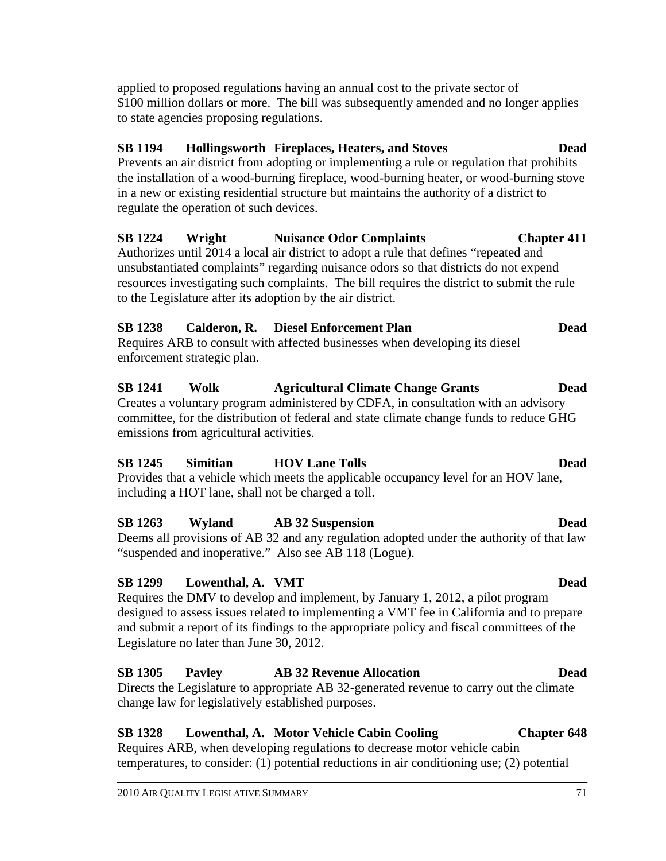applied to proposed regulations having an annual cost to the private sector of \$100 million dollars or more. The bill was subsequently amended and no longer applies to state agencies proposing regulations.

# **SB 1194 Hollingsworth Fireplaces, Heaters, and Stoves Dead**

Prevents an air district from adopting or implementing a rule or regulation that prohibits the installation of a wood-burning fireplace, wood-burning heater, or wood-burning stove in a new or existing residential structure but maintains the authority of a district to regulate the operation of such devices.

# **SB 1224 Wright Nuisance Odor Complaints Chapter 411**

Authorizes until 2014 a local air district to adopt a rule that defines "repeated and unsubstantiated complaints" regarding nuisance odors so that districts do not expend resources investigating such complaints. The bill requires the district to submit the rule to the Legislature after its adoption by the air district.

# **SB 1238 Calderon, R. Diesel Enforcement Plan Dead**

Requires ARB to consult with affected businesses when developing its diesel enforcement strategic plan.

# **SB 1241 Wolk Agricultural Climate Change Grants Dead**

Creates a voluntary program administered by CDFA, in consultation with an advisory committee, for the distribution of federal and state climate change funds to reduce GHG emissions from agricultural activities.

# **SB 1245 Simitian HOV Lane Tolls Dead**

Provides that a vehicle which meets the applicable occupancy level for an HOV lane, including a HOT lane, shall not be charged a toll.

# **SB 1263 Wyland AB 32 Suspension Dead**

Deems all provisions of AB 32 and any regulation adopted under the authority of that law "suspended and inoperative." Also see AB 118 (Logue).

# **SB 1299 Lowenthal, A. VMT Dead**

Requires the DMV to develop and implement, by January 1, 2012, a pilot program designed to assess issues related to implementing a VMT fee in California and to prepare and submit a report of its findings to the appropriate policy and fiscal committees of the Legislature no later than June 30, 2012.

# **SB 1305 Pavley AB 32 Revenue Allocation Dead**

Directs the Legislature to appropriate AB 32-generated revenue to carry out the climate change law for legislatively established purposes.

# **SB 1328 Lowenthal, A. Motor Vehicle Cabin Cooling Chapter 648**

Requires ARB, when developing regulations to decrease motor vehicle cabin temperatures, to consider: (1) potential reductions in air conditioning use; (2) potential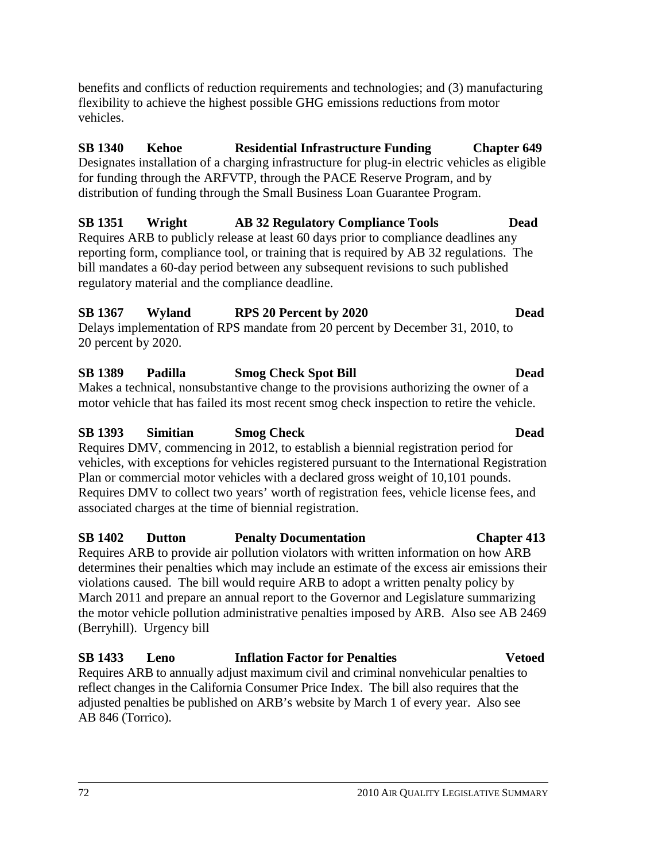benefits and conflicts of reduction requirements and technologies; and (3) manufacturing flexibility to achieve the highest possible GHG emissions reductions from motor vehicles.

### **SB 1340 Kehoe Residential Infrastructure Funding Chapter 649**

Designates installation of a charging infrastructure for plug-in electric vehicles as eligible for funding through the ARFVTP, through the PACE Reserve Program, and by distribution of funding through the Small Business Loan Guarantee Program.

### **SB 1351 Wright AB 32 Regulatory Compliance Tools Dead**

Requires ARB to publicly release at least 60 days prior to compliance deadlines any reporting form, compliance tool, or training that is required by AB 32 regulations. The bill mandates a 60-day period between any subsequent revisions to such published regulatory material and the compliance deadline.

### **SB 1367 Wyland RPS 20 Percent by 2020 Dead**

Delays implementation of RPS mandate from 20 percent by December 31, 2010, to 20 percent by 2020.

### **SB 1389 Padilla Smog Check Spot Bill Dead**

Makes a technical, nonsubstantive change to the provisions authorizing the owner of a motor vehicle that has failed its most recent smog check inspection to retire the vehicle.

### **SB 1393 Simitian Smog Check Dead**

Requires DMV, commencing in 2012, to establish a biennial registration period for vehicles, with exceptions for vehicles registered pursuant to the International Registration Plan or commercial motor vehicles with a declared gross weight of 10,101 pounds. Requires DMV to collect two years' worth of registration fees, vehicle license fees, and associated charges at the time of biennial registration.

### **SB 1402 Dutton Penalty Documentation Chapter 413**

Requires ARB to provide air pollution violators with written information on how ARB determines their penalties which may include an estimate of the excess air emissions their violations caused. The bill would require ARB to adopt a written penalty policy by March 2011 and prepare an annual report to the Governor and Legislature summarizing the motor vehicle pollution administrative penalties imposed by ARB. Also see AB 2469 (Berryhill). Urgency bill

# **SB 1433 Leno Inflation Factor for Penalties Vetoed**

Requires ARB to annually adjust maximum civil and criminal nonvehicular penalties to reflect changes in the California Consumer Price Index. The bill also requires that the adjusted penalties be published on ARB's website by March 1 of every year. Also see AB 846 (Torrico).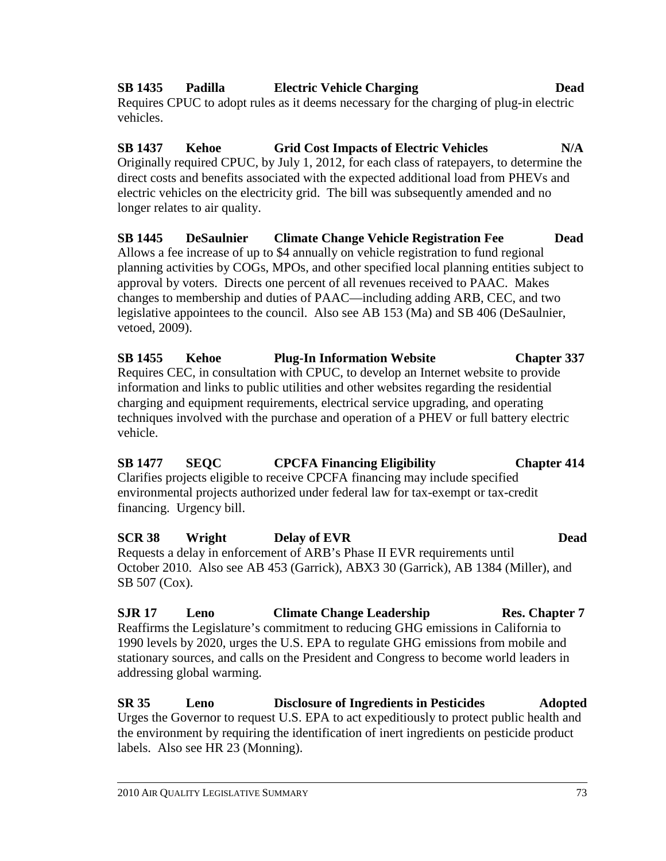### 2010 AIR QUALITY LEGISLATIVE SUMMARY 73

Requires CPUC to adopt rules as it deems necessary for the charging of plug-in electric vehicles.

**SB 1437 Kehoe Grid Cost Impacts of Electric Vehicles N/A**  Originally required CPUC, by July 1, 2012, for each class of ratepayers, to determine the direct costs and benefits associated with the expected additional load from PHEVs and electric vehicles on the electricity grid. The bill was subsequently amended and no longer relates to air quality.

**SB 1445 DeSaulnier Climate Change Vehicle Registration Fee Dead**  Allows a fee increase of up to \$4 annually on vehicle registration to fund regional planning activities by COGs, MPOs, and other specified local planning entities subject to approval by voters. Directs one percent of all revenues received to PAAC. Makes changes to membership and duties of PAAC—including adding ARB, CEC, and two legislative appointees to the council. Also see AB 153 (Ma) and SB 406 (DeSaulnier, vetoed, 2009).

**SB 1455 Kehoe Plug-In Information Website Chapter 337**  Requires CEC, in consultation with CPUC, to develop an Internet website to provide information and links to public utilities and other websites regarding the residential charging and equipment requirements, electrical service upgrading, and operating techniques involved with the purchase and operation of a PHEV or full battery electric vehicle.

**SB 1477 SEQC CPCFA Financing Eligibility Chapter 414**  Clarifies projects eligible to receive CPCFA financing may include specified environmental projects authorized under federal law for tax-exempt or tax-credit financing. Urgency bill.

**SCR 38 Wright Delay of EVR Dead Dead** Requests a delay in enforcement of ARB's Phase II EVR requirements until October 2010. Also see AB 453 (Garrick), ABX3 30 (Garrick), AB 1384 (Miller), and SB 507 (Cox).

**SJR 17 Leno Climate Change Leadership Res. Chapter 7**  Reaffirms the Legislature's commitment to reducing GHG emissions in California to 1990 levels by 2020, urges the U.S. EPA to regulate GHG emissions from mobile and stationary sources, and calls on the President and Congress to become world leaders in addressing global warming.

**SR 35 Leno Disclosure of Ingredients in Pesticides Adopted**  Urges the Governor to request U.S. EPA to act expeditiously to protect public health and the environment by requiring the identification of inert ingredients on pesticide product labels. Also see HR 23 (Monning).

# **SB 1435 Padilla Electric Vehicle Charging Dead**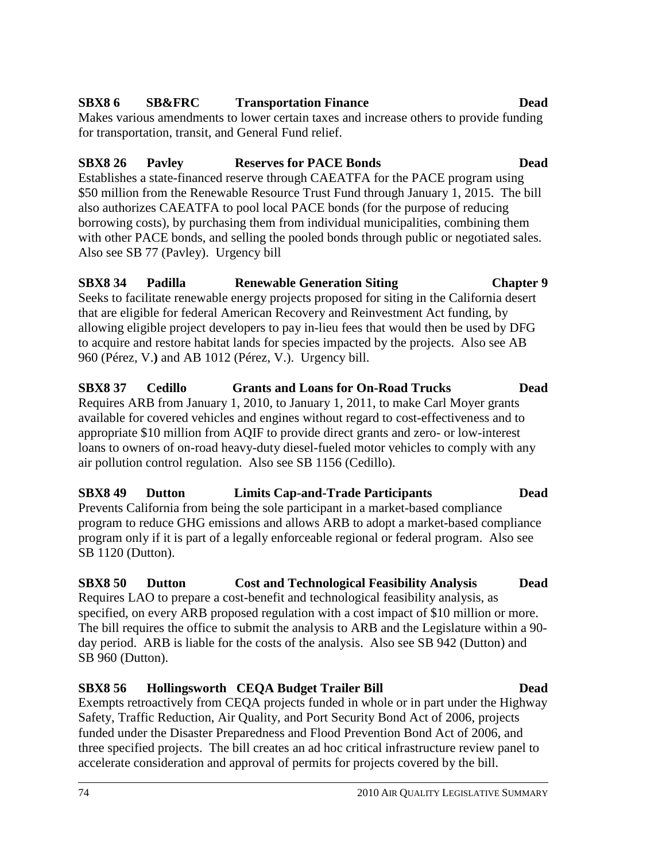### 74 2010 AIR QUALITY LEGISLATIVE SUMMARY

Requires LAO to prepare a cost-benefit and technological feasibility analysis, as specified, on every ARB proposed regulation with a cost impact of \$10 million or more. The bill requires the office to submit the analysis to ARB and the Legislature within a 90 day period. ARB is liable for the costs of the analysis. Also see SB 942 (Dutton) and SB 960 (Dutton).

**SBX8 50 Dutton Cost and Technological Feasibility Analysis Dead** 

### **SBX8 56 Hollingsworth CEQA Budget Trailer Bill Dead**

Exempts retroactively from CEQA projects funded in whole or in part under the Highway Safety, Traffic Reduction, Air Quality, and Port Security Bond Act of 2006, projects funded under the Disaster Preparedness and Flood Prevention Bond Act of 2006, and three specified projects. The bill creates an ad hoc critical infrastructure review panel to accelerate consideration and approval of permits for projects covered by the bill.

### **SBX8 6 SB&FRC Transportation Finance Dead**

Makes various amendments to lower certain taxes and increase others to provide funding for transportation, transit, and General Fund relief.

### **SBX8 26 Pavley Reserves for PACE Bonds Dead**

Establishes a state-financed reserve through CAEATFA for the PACE program using \$50 million from the Renewable Resource Trust Fund through January 1, 2015. The bill also authorizes CAEATFA to pool local PACE bonds (for the purpose of reducing borrowing costs), by purchasing them from individual municipalities, combining them with other PACE bonds, and selling the pooled bonds through public or negotiated sales. Also see SB 77 (Pavley). Urgency bill

## **SBX8 34 Padilla Renewable Generation Siting Chapter 9**

Seeks to facilitate renewable energy projects proposed for siting in the California desert that are eligible for federal American Recovery and Reinvestment Act funding, by allowing eligible project developers to pay in-lieu fees that would then be used by DFG to acquire and restore habitat lands for species impacted by the projects. Also see AB 960 (Pérez, V.**)** and AB 1012 (Pérez, V.). Urgency bill.

# **SBX8 37 Cedillo Grants and Loans for On-Road Trucks Dead**  Requires ARB from January 1, 2010, to January 1, 2011, to make Carl Moyer grants

available for covered vehicles and engines without regard to cost-effectiveness and to appropriate \$10 million from AQIF to provide direct grants and zero- or low-interest loans to owners of on-road heavy-duty diesel-fueled motor vehicles to comply with any air pollution control regulation. Also see SB 1156 (Cedillo).

### **SBX8 49 Dutton Limits Cap-and-Trade Participants Dead**  Prevents California from being the sole participant in a market-based compliance

program to reduce GHG emissions and allows ARB to adopt a market-based compliance program only if it is part of a legally enforceable regional or federal program. Also see SB 1120 (Dutton).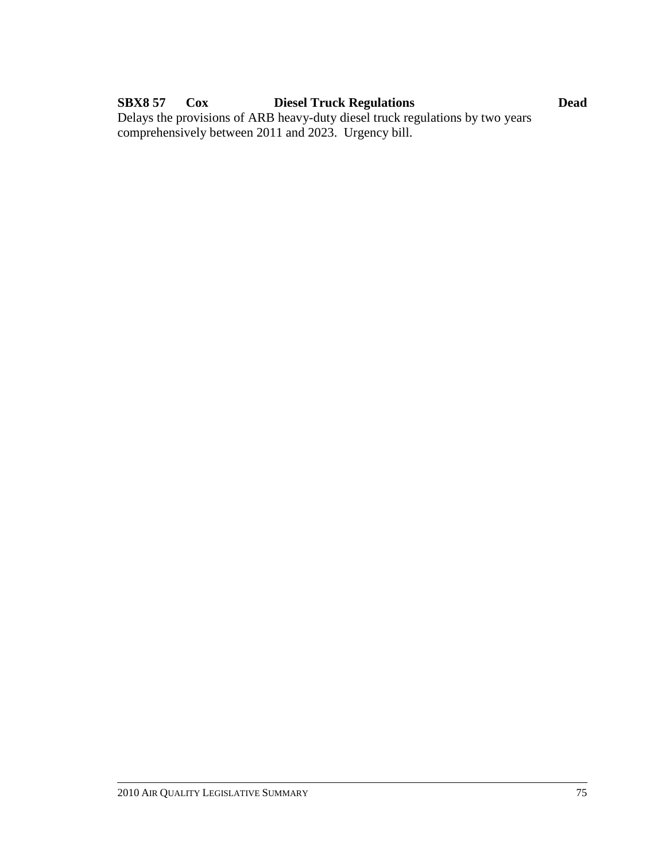### **SBX8 57 Cox Diesel Truck Regulations Dead**  Delays the provisions of ARB heavy-duty diesel truck regulations by two years comprehensively between 2011 and 2023. Urgency bill.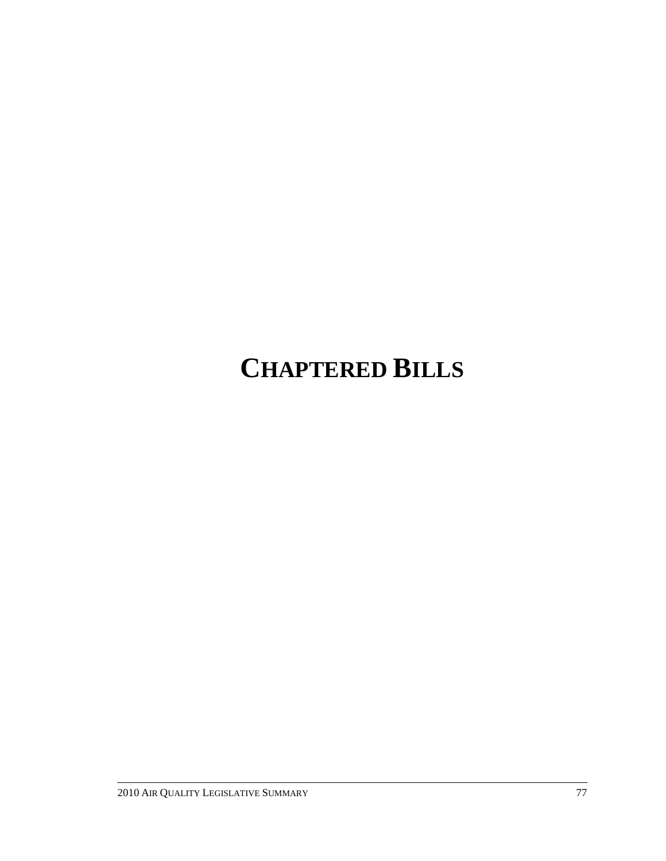# **CHAPTERED BILLS**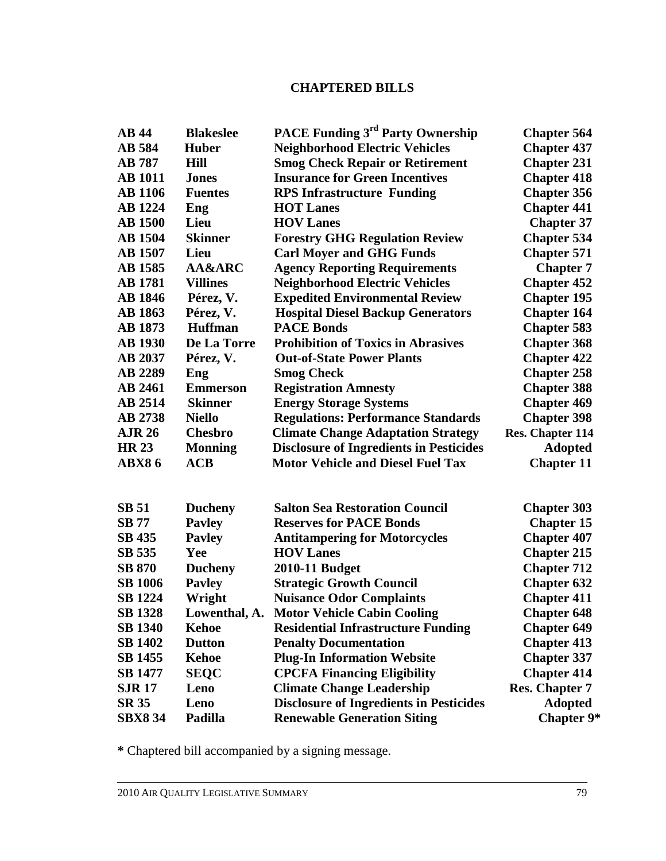### **CHAPTERED BILLS**

| <b>AB44</b>    | <b>Blakeslee</b> | <b>PACE Funding 3<sup>rd</sup> Party Ownership</b> | <b>Chapter 564</b>    |
|----------------|------------------|----------------------------------------------------|-----------------------|
| <b>AB</b> 584  | <b>Huber</b>     | <b>Neighborhood Electric Vehicles</b>              | <b>Chapter 437</b>    |
| <b>AB</b> 787  | <b>Hill</b>      | <b>Smog Check Repair or Retirement</b>             | <b>Chapter 231</b>    |
| <b>AB</b> 1011 | <b>Jones</b>     | <b>Insurance for Green Incentives</b>              | <b>Chapter 418</b>    |
| <b>AB</b> 1106 | <b>Fuentes</b>   | <b>RPS Infrastructure Funding</b>                  | <b>Chapter 356</b>    |
| <b>AB</b> 1224 | Eng              | <b>HOT Lanes</b>                                   | <b>Chapter 441</b>    |
| <b>AB</b> 1500 | Lieu             | <b>HOV Lanes</b>                                   | <b>Chapter 37</b>     |
| <b>AB</b> 1504 | <b>Skinner</b>   | <b>Forestry GHG Regulation Review</b>              | <b>Chapter 534</b>    |
| <b>AB</b> 1507 | Lieu             | <b>Carl Moyer and GHG Funds</b>                    | <b>Chapter 571</b>    |
| <b>AB</b> 1585 | AA&ARC           | <b>Agency Reporting Requirements</b>               | <b>Chapter 7</b>      |
| <b>AB</b> 1781 | <b>Villines</b>  | <b>Neighborhood Electric Vehicles</b>              | <b>Chapter 452</b>    |
| <b>AB</b> 1846 | Pérez, V.        | <b>Expedited Environmental Review</b>              | <b>Chapter 195</b>    |
| <b>AB</b> 1863 | Pérez, V.        | <b>Hospital Diesel Backup Generators</b>           | <b>Chapter 164</b>    |
| <b>AB</b> 1873 | <b>Huffman</b>   | <b>PACE Bonds</b>                                  | <b>Chapter 583</b>    |
| <b>AB</b> 1930 | De La Torre      | <b>Prohibition of Toxics in Abrasives</b>          | <b>Chapter 368</b>    |
| AB 2037        | Pérez, V.        | <b>Out-of-State Power Plants</b>                   | <b>Chapter 422</b>    |
| AB 2289        | Eng              | <b>Smog Check</b>                                  | <b>Chapter 258</b>    |
| <b>AB 2461</b> | <b>Emmerson</b>  | <b>Registration Amnesty</b>                        | <b>Chapter 388</b>    |
| AB 2514        | <b>Skinner</b>   | <b>Energy Storage Systems</b>                      | <b>Chapter 469</b>    |
| <b>AB 2738</b> | <b>Niello</b>    | <b>Regulations: Performance Standards</b>          | <b>Chapter 398</b>    |
| <b>AJR 26</b>  | <b>Chesbro</b>   | <b>Climate Change Adaptation Strategy</b>          | Res. Chapter 114      |
| <b>HR 23</b>   | <b>Monning</b>   | <b>Disclosure of Ingredients in Pesticides</b>     | <b>Adopted</b>        |
| <b>ABX86</b>   | ACB              | <b>Motor Vehicle and Diesel Fuel Tax</b>           | <b>Chapter 11</b>     |
|                |                  |                                                    |                       |
| <b>SB</b> 51   | <b>Ducheny</b>   | <b>Salton Sea Restoration Council</b>              | <b>Chapter 303</b>    |
| <b>SB 77</b>   | <b>Pavley</b>    | <b>Reserves for PACE Bonds</b>                     | <b>Chapter 15</b>     |
| <b>SB 435</b>  | <b>Pavley</b>    | <b>Antitampering for Motorcycles</b>               | <b>Chapter 407</b>    |
| SB 535         | Yee              | <b>HOV Lanes</b>                                   | <b>Chapter 215</b>    |
| <b>SB 870</b>  | <b>Ducheny</b>   | 2010-11 Budget                                     | <b>Chapter 712</b>    |
| <b>SB 1006</b> | <b>Pavley</b>    | <b>Strategic Growth Council</b>                    | <b>Chapter 632</b>    |
| <b>SB</b> 1224 | Wright           | <b>Nuisance Odor Complaints</b>                    | <b>Chapter 411</b>    |
| <b>SB 1328</b> | Lowenthal, A.    | <b>Motor Vehicle Cabin Cooling</b>                 | <b>Chapter 648</b>    |
| <b>SB 1340</b> | Kehoe            | <b>Residential Infrastructure Funding</b>          | <b>Chapter 649</b>    |
| <b>SB 1402</b> | <b>Dutton</b>    | <b>Penalty Documentation</b>                       | <b>Chapter 413</b>    |
| <b>SB 1455</b> | <b>Kehoe</b>     | <b>Plug-In Information Website</b>                 | <b>Chapter 337</b>    |
| <b>SB 1477</b> | <b>SEQC</b>      | <b>CPCFA Financing Eligibility</b>                 | <b>Chapter 414</b>    |
| <b>SJR 17</b>  | Leno             | <b>Climate Change Leadership</b>                   | <b>Res. Chapter 7</b> |
| <b>SR 35</b>   | Leno             | <b>Disclosure of Ingredients in Pesticides</b>     | <b>Adopted</b>        |
| <b>SBX834</b>  | Padilla          | <b>Renewable Generation Siting</b>                 | Chapter 9*            |

**\*** Chaptered bill accompanied by a signing message.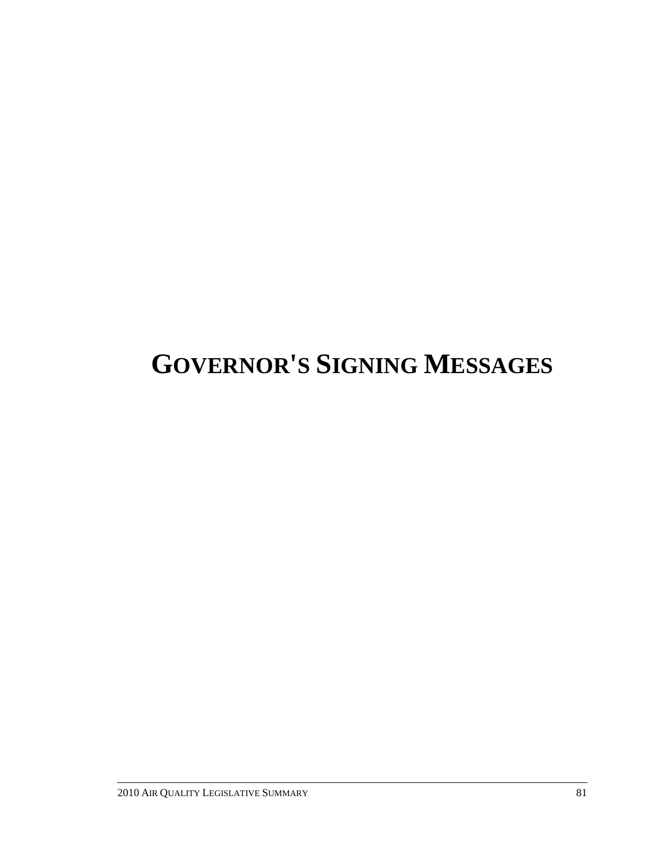# **GOVERNOR'S SIGNING MESSAGES**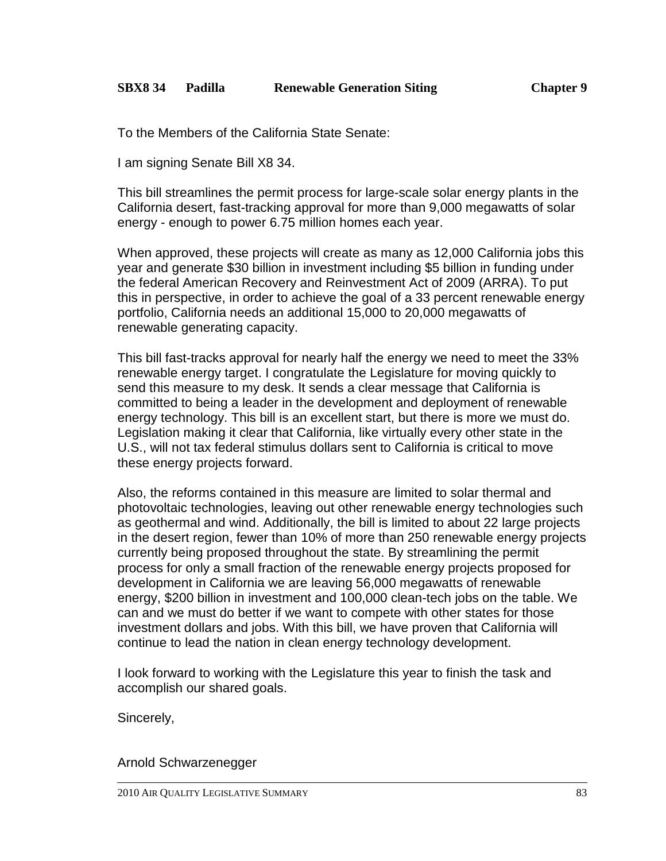To the Members of the California State Senate:

I am signing Senate Bill X8 34.

This bill streamlines the permit process for large-scale solar energy plants in the California desert, fast-tracking approval for more than 9,000 megawatts of solar energy - enough to power 6.75 million homes each year.

When approved, these projects will create as many as 12,000 California jobs this year and generate \$30 billion in investment including \$5 billion in funding under the federal American Recovery and Reinvestment Act of 2009 (ARRA). To put this in perspective, in order to achieve the goal of a 33 percent renewable energy portfolio, California needs an additional 15,000 to 20,000 megawatts of renewable generating capacity.

This bill fast-tracks approval for nearly half the energy we need to meet the 33% renewable energy target. I congratulate the Legislature for moving quickly to send this measure to my desk. It sends a clear message that California is committed to being a leader in the development and deployment of renewable energy technology. This bill is an excellent start, but there is more we must do. Legislation making it clear that California, like virtually every other state in the U.S., will not tax federal stimulus dollars sent to California is critical to move these energy projects forward.

Also, the reforms contained in this measure are limited to solar thermal and photovoltaic technologies, leaving out other renewable energy technologies such as geothermal and wind. Additionally, the bill is limited to about 22 large projects in the desert region, fewer than 10% of more than 250 renewable energy projects currently being proposed throughout the state. By streamlining the permit process for only a small fraction of the renewable energy projects proposed for development in California we are leaving 56,000 megawatts of renewable energy, \$200 billion in investment and 100,000 clean-tech jobs on the table. We can and we must do better if we want to compete with other states for those investment dollars and jobs. With this bill, we have proven that California will continue to lead the nation in clean energy technology development.

I look forward to working with the Legislature this year to finish the task and accomplish our shared goals.

Sincerely,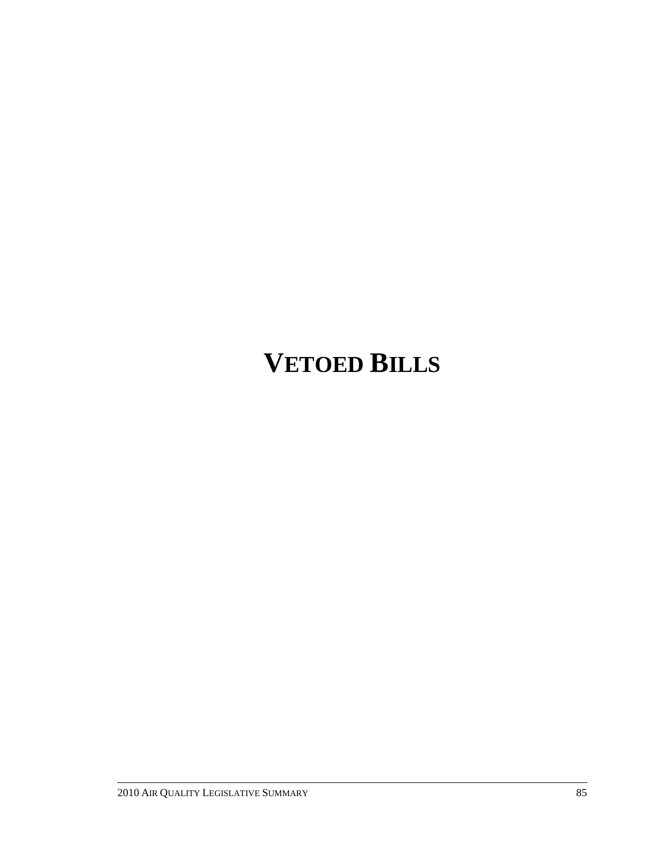# **VETOED BILLS**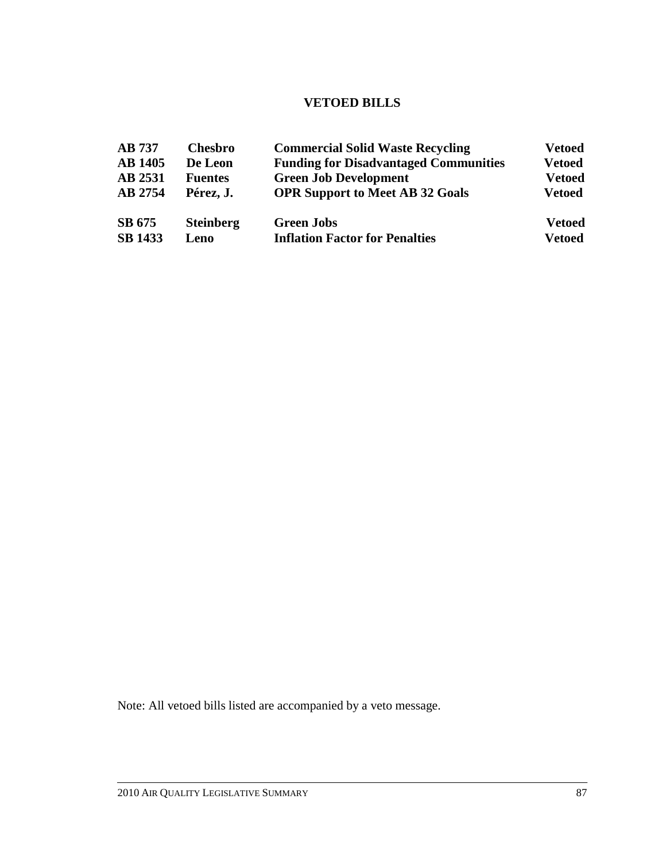### **VETOED BILLS**

| <b>AB</b> 737  | <b>Chesbro</b>   | <b>Commercial Solid Waste Recycling</b>      | <b>Vetoed</b> |
|----------------|------------------|----------------------------------------------|---------------|
| <b>AB</b> 1405 | De Leon          | <b>Funding for Disadvantaged Communities</b> | <b>Vetoed</b> |
| <b>AB 2531</b> | <b>Fuentes</b>   | <b>Green Job Development</b>                 | <b>Vetoed</b> |
| <b>AB 2754</b> | Pérez, J.        | <b>OPR Support to Meet AB 32 Goals</b>       | <b>Vetoed</b> |
| SB 675         | <b>Steinberg</b> | <b>Green Jobs</b>                            | <b>Vetoed</b> |
| <b>SB 1433</b> | Leno             | <b>Inflation Factor for Penalties</b>        | <b>Vetoed</b> |

Note: All vetoed bills listed are accompanied by a veto message.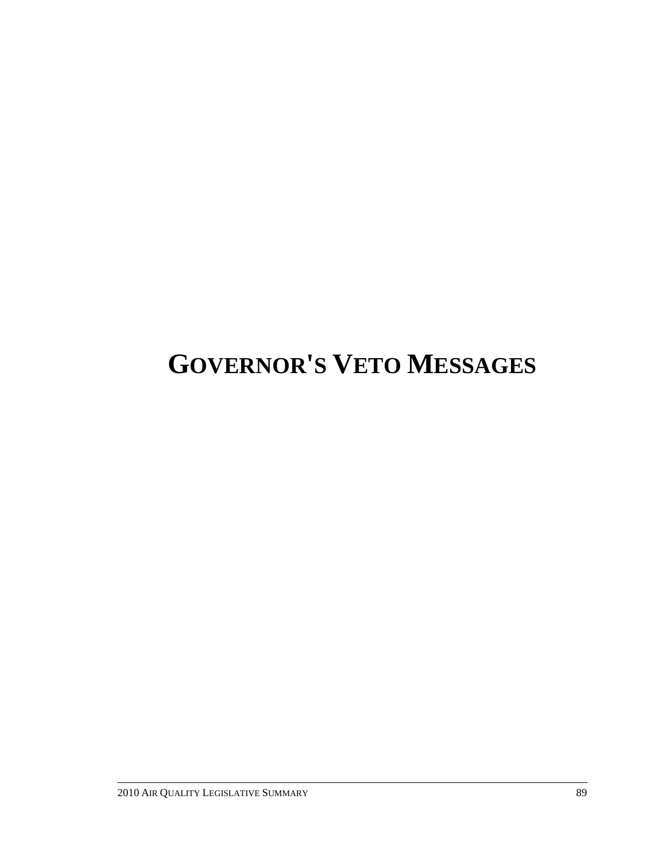# **GOVERNOR'S VETO MESSAGES**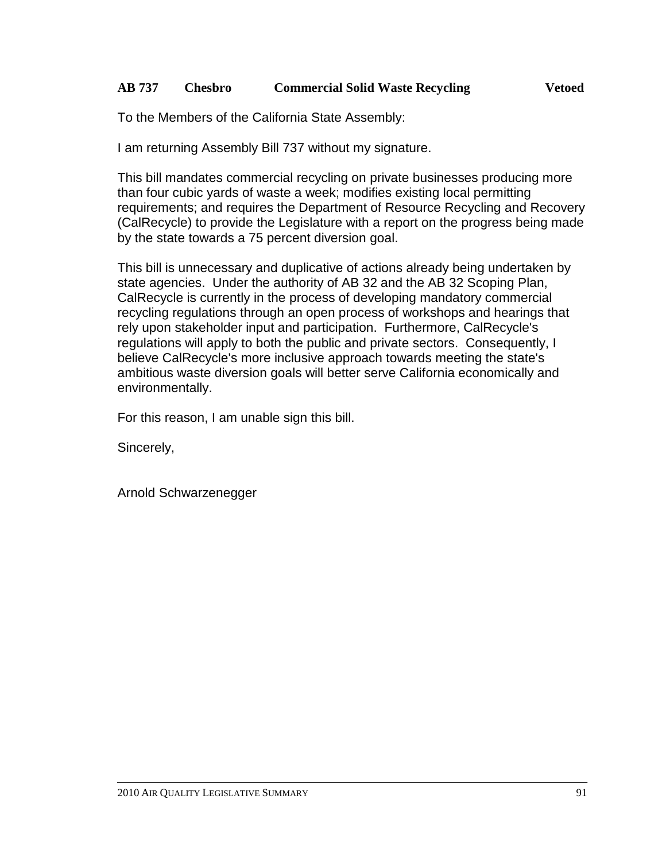### **AB 737 Chesbro Commercial Solid Waste Recycling Vetoed**

To the Members of the California State Assembly:

I am returning Assembly Bill 737 without my signature.

This bill mandates commercial recycling on private businesses producing more than four cubic yards of waste a week; modifies existing local permitting requirements; and requires the Department of Resource Recycling and Recovery (CalRecycle) to provide the Legislature with a report on the progress being made by the state towards a 75 percent diversion goal.

This bill is unnecessary and duplicative of actions already being undertaken by state agencies. Under the authority of AB 32 and the AB 32 Scoping Plan, CalRecycle is currently in the process of developing mandatory commercial recycling regulations through an open process of workshops and hearings that rely upon stakeholder input and participation. Furthermore, CalRecycle's regulations will apply to both the public and private sectors. Consequently, I believe CalRecycle's more inclusive approach towards meeting the state's ambitious waste diversion goals will better serve California economically and environmentally.

For this reason, I am unable sign this bill.

Sincerely,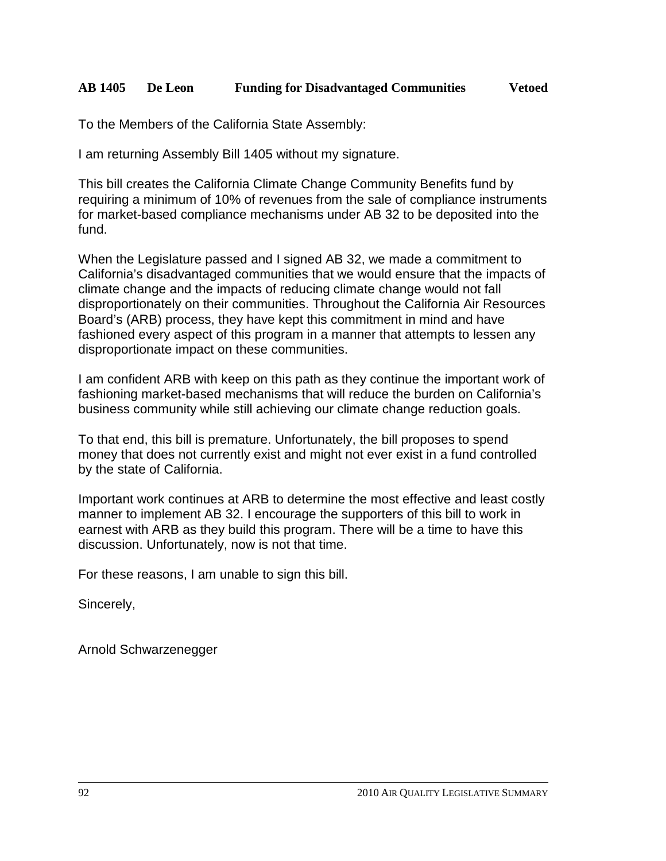### **AB 1405 De Leon Funding for Disadvantaged Communities Vetoed**

To the Members of the California State Assembly:

I am returning Assembly Bill 1405 without my signature.

This bill creates the California Climate Change Community Benefits fund by requiring a minimum of 10% of revenues from the sale of compliance instruments for market-based compliance mechanisms under AB 32 to be deposited into the fund.

When the Legislature passed and I signed AB 32, we made a commitment to California's disadvantaged communities that we would ensure that the impacts of climate change and the impacts of reducing climate change would not fall disproportionately on their communities. Throughout the California Air Resources Board's (ARB) process, they have kept this commitment in mind and have fashioned every aspect of this program in a manner that attempts to lessen any disproportionate impact on these communities.

I am confident ARB with keep on this path as they continue the important work of fashioning market-based mechanisms that will reduce the burden on California's business community while still achieving our climate change reduction goals.

To that end, this bill is premature. Unfortunately, the bill proposes to spend money that does not currently exist and might not ever exist in a fund controlled by the state of California.

Important work continues at ARB to determine the most effective and least costly manner to implement AB 32. I encourage the supporters of this bill to work in earnest with ARB as they build this program. There will be a time to have this discussion. Unfortunately, now is not that time.

For these reasons, I am unable to sign this bill.

Sincerely,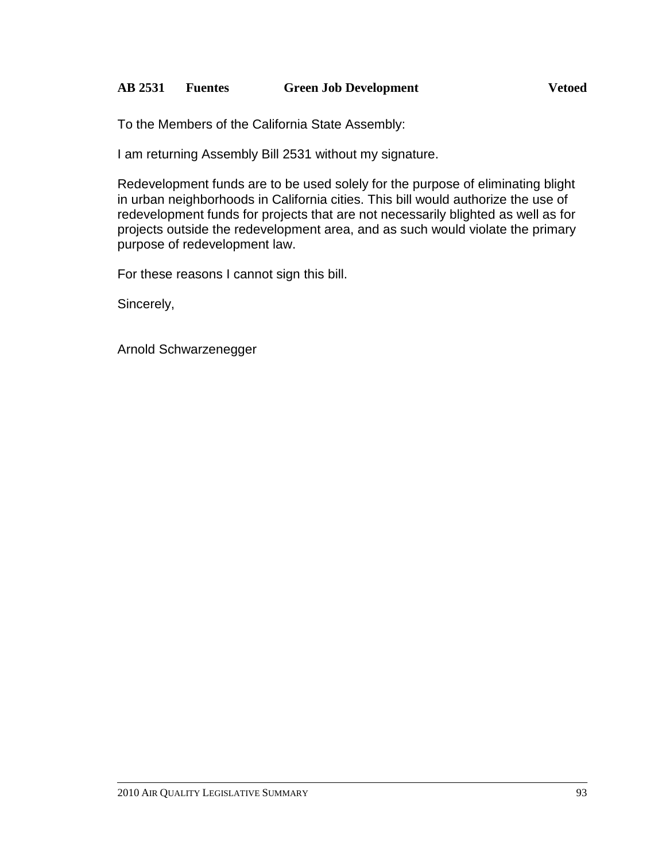### **AB 2531 Fuentes Green Job Development Vetoed**

To the Members of the California State Assembly:

I am returning Assembly Bill 2531 without my signature.

Redevelopment funds are to be used solely for the purpose of eliminating blight in urban neighborhoods in California cities. This bill would authorize the use of redevelopment funds for projects that are not necessarily blighted as well as for projects outside the redevelopment area, and as such would violate the primary purpose of redevelopment law.

For these reasons I cannot sign this bill.

Sincerely,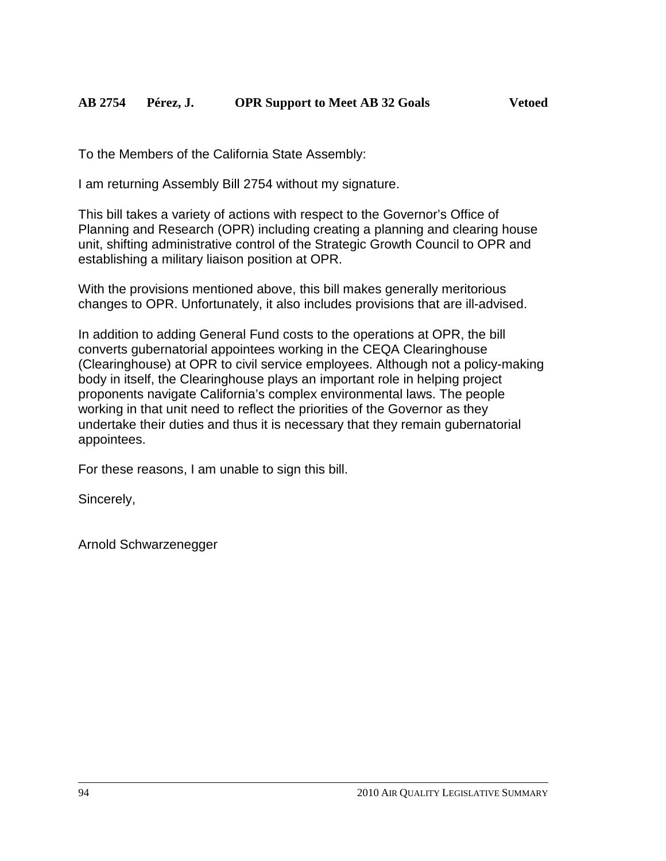To the Members of the California State Assembly:

I am returning Assembly Bill 2754 without my signature.

This bill takes a variety of actions with respect to the Governor's Office of Planning and Research (OPR) including creating a planning and clearing house unit, shifting administrative control of the Strategic Growth Council to OPR and establishing a military liaison position at OPR.

With the provisions mentioned above, this bill makes generally meritorious changes to OPR. Unfortunately, it also includes provisions that are ill-advised.

In addition to adding General Fund costs to the operations at OPR, the bill converts gubernatorial appointees working in the CEQA Clearinghouse (Clearinghouse) at OPR to civil service employees. Although not a policy-making body in itself, the Clearinghouse plays an important role in helping project proponents navigate California's complex environmental laws. The people working in that unit need to reflect the priorities of the Governor as they undertake their duties and thus it is necessary that they remain gubernatorial appointees.

For these reasons, I am unable to sign this bill.

Sincerely,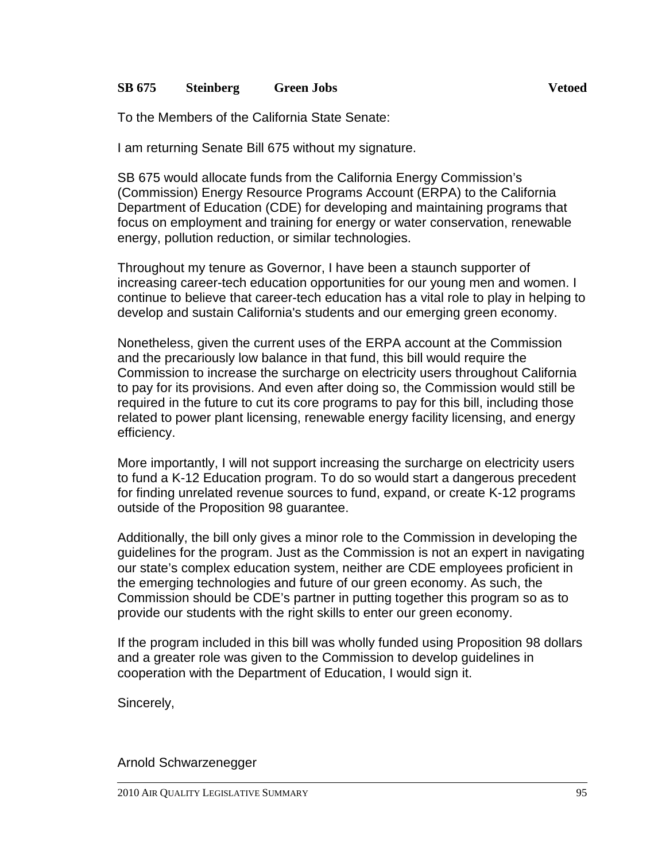### **SB 675 Steinberg Green Jobs Vetoed**

To the Members of the California State Senate:

I am returning Senate Bill 675 without my signature.

SB 675 would allocate funds from the California Energy Commission's (Commission) Energy Resource Programs Account (ERPA) to the California Department of Education (CDE) for developing and maintaining programs that focus on employment and training for energy or water conservation, renewable energy, pollution reduction, or similar technologies.

Throughout my tenure as Governor, I have been a staunch supporter of increasing career-tech education opportunities for our young men and women. I continue to believe that career-tech education has a vital role to play in helping to develop and sustain California's students and our emerging green economy.

Nonetheless, given the current uses of the ERPA account at the Commission and the precariously low balance in that fund, this bill would require the Commission to increase the surcharge on electricity users throughout California to pay for its provisions. And even after doing so, the Commission would still be required in the future to cut its core programs to pay for this bill, including those related to power plant licensing, renewable energy facility licensing, and energy efficiency.

More importantly, I will not support increasing the surcharge on electricity users to fund a K-12 Education program. To do so would start a dangerous precedent for finding unrelated revenue sources to fund, expand, or create K-12 programs outside of the Proposition 98 guarantee.

Additionally, the bill only gives a minor role to the Commission in developing the guidelines for the program. Just as the Commission is not an expert in navigating our state's complex education system, neither are CDE employees proficient in the emerging technologies and future of our green economy. As such, the Commission should be CDE's partner in putting together this program so as to provide our students with the right skills to enter our green economy.

If the program included in this bill was wholly funded using Proposition 98 dollars and a greater role was given to the Commission to develop guidelines in cooperation with the Department of Education, I would sign it.

Sincerely,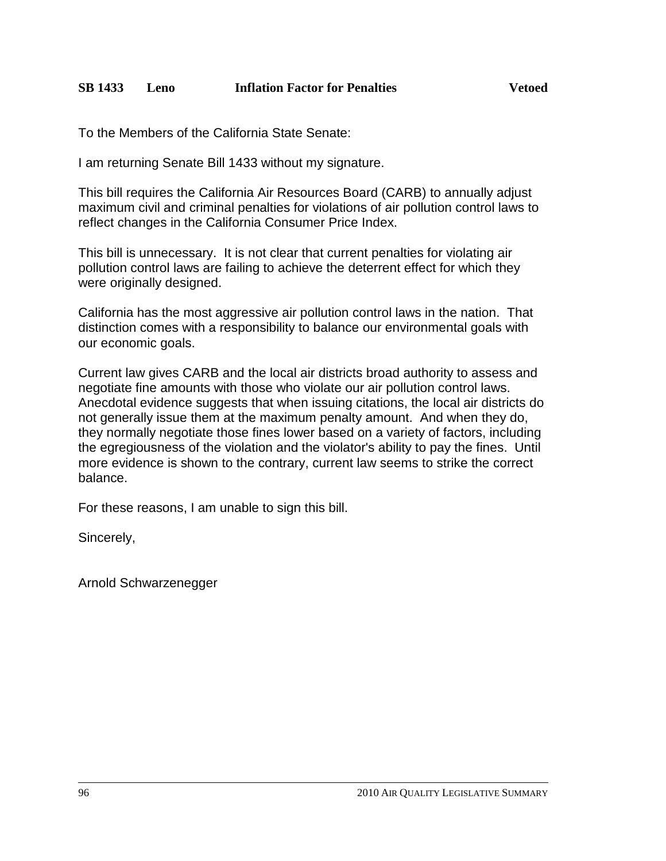To the Members of the California State Senate:

I am returning Senate Bill 1433 without my signature.

This bill requires the California Air Resources Board (CARB) to annually adjust maximum civil and criminal penalties for violations of air pollution control laws to reflect changes in the California Consumer Price Index.

This bill is unnecessary. It is not clear that current penalties for violating air pollution control laws are failing to achieve the deterrent effect for which they were originally designed.

California has the most aggressive air pollution control laws in the nation. That distinction comes with a responsibility to balance our environmental goals with our economic goals.

Current law gives CARB and the local air districts broad authority to assess and negotiate fine amounts with those who violate our air pollution control laws. Anecdotal evidence suggests that when issuing citations, the local air districts do not generally issue them at the maximum penalty amount. And when they do, they normally negotiate those fines lower based on a variety of factors, including the egregiousness of the violation and the violator's ability to pay the fines. Until more evidence is shown to the contrary, current law seems to strike the correct balance.

For these reasons, I am unable to sign this bill.

Sincerely,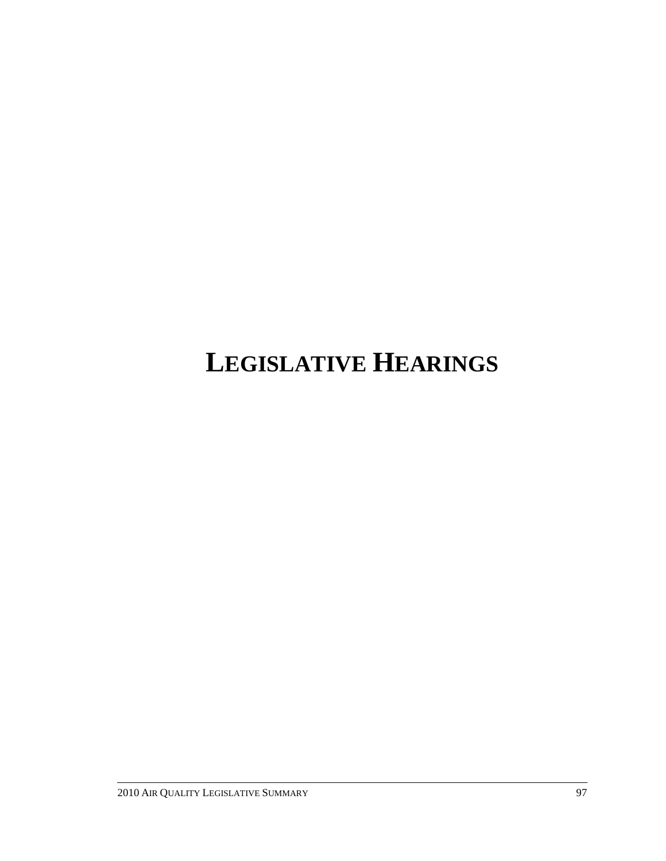# **LEGISLATIVE HEARINGS**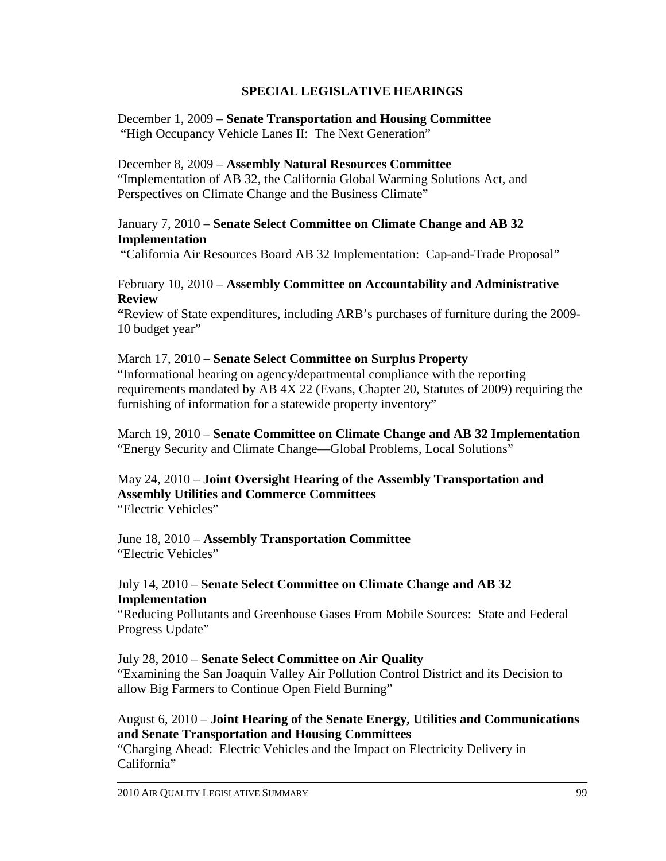### **SPECIAL LEGISLATIVE HEARINGS**

December 1, 2009 – **Senate Transportation and Housing Committee**  "High Occupancy Vehicle Lanes II: The Next Generation"

December 8, 2009 – **Assembly Natural Resources Committee** "Implementation of AB 32, the California Global Warming Solutions Act, and Perspectives on Climate Change and the Business Climate"

### January 7, 2010 – **Senate Select Committee on Climate Change and AB 32 Implementation**

"California Air Resources Board AB 32 Implementation: Cap-and-Trade Proposal"

### February 10, 2010 – **Assembly Committee on Accountability and Administrative Review**

**"**Review of State expenditures, including ARB's purchases of furniture during the 2009- 10 budget year"

### March 17, 2010 – **Senate Select Committee on Surplus Property**

"Informational hearing on agency/departmental compliance with the reporting requirements mandated by AB 4X 22 (Evans, Chapter 20, Statutes of 2009) requiring the furnishing of information for a statewide property inventory"

March 19, 2010 – **Senate Committee on Climate Change and AB 32 Implementation** "Energy Security and Climate Change—Global Problems, Local Solutions"

### May 24, 2010 – **Joint Oversight Hearing of the Assembly Transportation and Assembly Utilities and Commerce Committees**  "Electric Vehicles"

June 18, 2010 – **Assembly Transportation Committee**  "Electric Vehicles"

### July 14, 2010 – **Senate Select Committee on Climate Change and AB 32 Implementation**

"Reducing Pollutants and Greenhouse Gases From Mobile Sources: State and Federal Progress Update"

### July 28, 2010 – **Senate Select Committee on Air Quality**

"Examining the San Joaquin Valley Air Pollution Control District and its Decision to allow Big Farmers to Continue Open Field Burning"

### August 6, 2010 – **Joint Hearing of the Senate Energy, Utilities and Communications and Senate Transportation and Housing Committees**

"Charging Ahead: Electric Vehicles and the Impact on Electricity Delivery in California"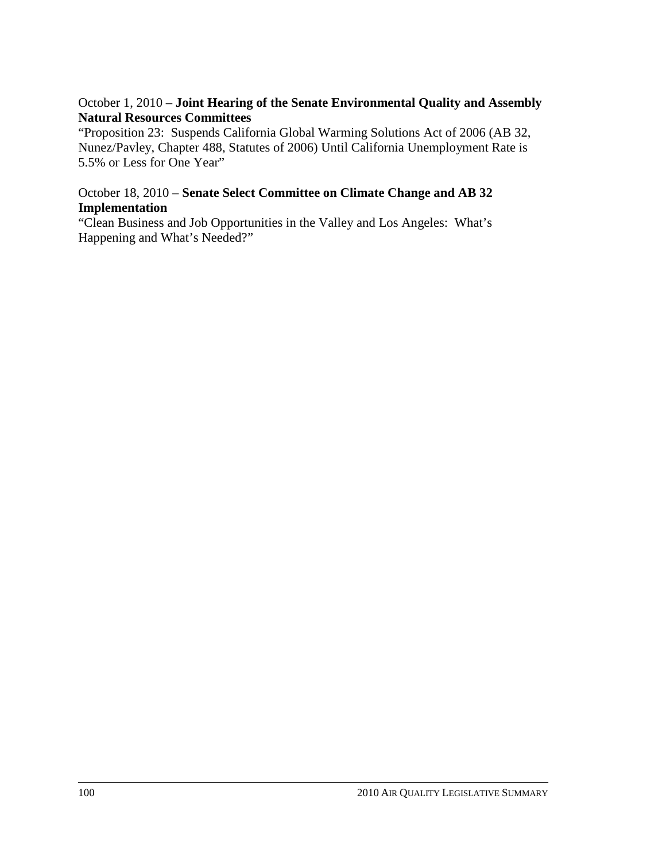### October 1, 2010 – **Joint Hearing of the Senate Environmental Quality and Assembly Natural Resources Committees**

"Proposition 23: Suspends California Global Warming Solutions Act of 2006 (AB 32, Nunez/Pavley, Chapter 488, Statutes of 2006) Until California Unemployment Rate is 5.5% or Less for One Year"

### October 18, 2010 – **Senate Select Committee on Climate Change and AB 32 Implementation**

"Clean Business and Job Opportunities in the Valley and Los Angeles: What's Happening and What's Needed?"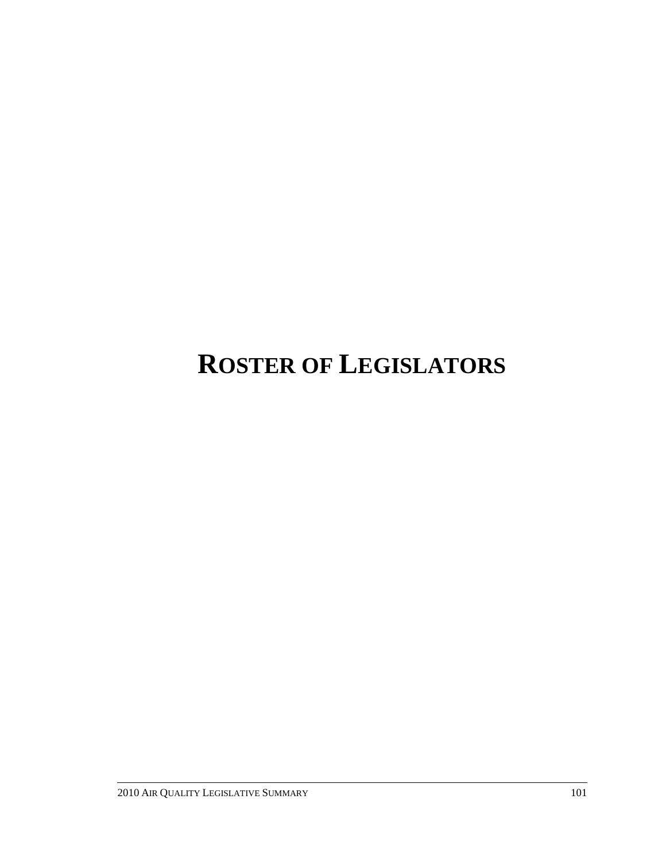# **ROSTER OF LEGISLATORS**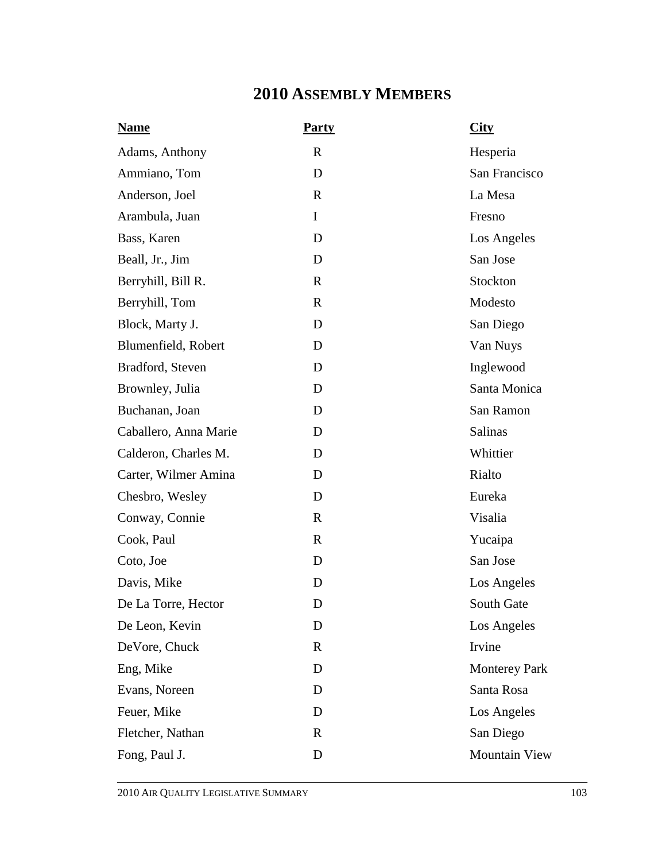## **2010 ASSEMBLY MEMBERS**

| <b>Name</b>           | <b>Party</b> | City                 |
|-----------------------|--------------|----------------------|
| Adams, Anthony        | R            | Hesperia             |
| Ammiano, Tom          | D            | San Francisco        |
| Anderson, Joel        | $\mathbf R$  | La Mesa              |
| Arambula, Juan        | I            | Fresno               |
| Bass, Karen           | D            | Los Angeles          |
| Beall, Jr., Jim       | D            | San Jose             |
| Berryhill, Bill R.    | $\mathbf R$  | Stockton             |
| Berryhill, Tom        | $\mathbf R$  | Modesto              |
| Block, Marty J.       | D            | San Diego            |
| Blumenfield, Robert   | D            | Van Nuys             |
| Bradford, Steven      | D            | Inglewood            |
| Brownley, Julia       | D            | Santa Monica         |
| Buchanan, Joan        | D            | San Ramon            |
| Caballero, Anna Marie | D            | Salinas              |
| Calderon, Charles M.  | D            | Whittier             |
| Carter, Wilmer Amina  | D            | Rialto               |
| Chesbro, Wesley       | D            | Eureka               |
| Conway, Connie        | $\mathbf R$  | Visalia              |
| Cook, Paul            | $\mathbf R$  | Yucaipa              |
| Coto, Joe             | D            | San Jose             |
| Davis, Mike           | D            | Los Angeles          |
| De La Torre, Hector   | D            | South Gate           |
| De Leon, Kevin        | D            | Los Angeles          |
| DeVore, Chuck         | $\mathbf R$  | Irvine               |
| Eng, Mike             | D            | <b>Monterey Park</b> |
| Evans, Noreen         | D            | Santa Rosa           |
| Feuer, Mike           | D            | Los Angeles          |
| Fletcher, Nathan      | $\mathbf R$  | San Diego            |
| Fong, Paul J.         | D            | Mountain View        |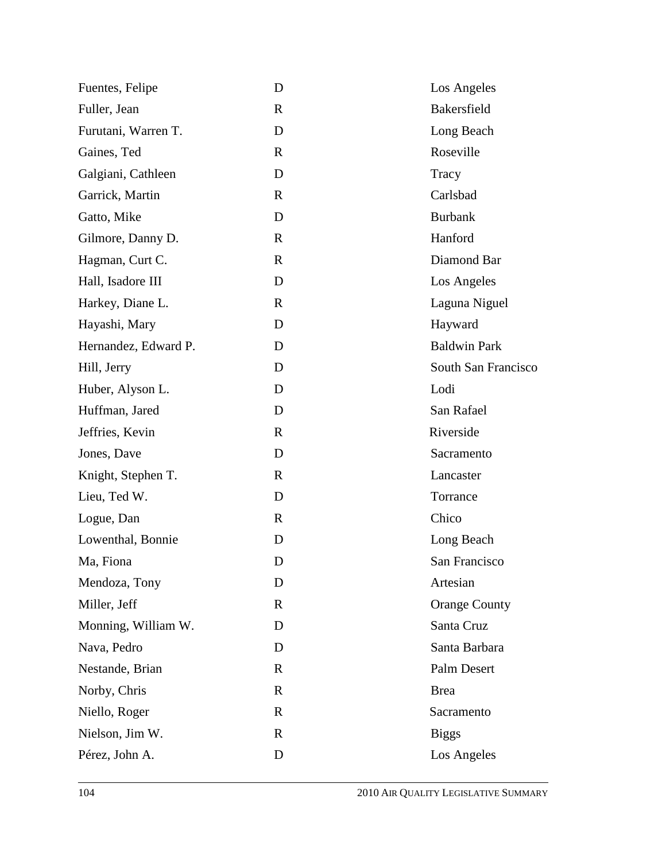| Fuentes, Felipe      | D            | Los Angeles          |
|----------------------|--------------|----------------------|
| Fuller, Jean         | $\mathbf R$  | Bakersfield          |
| Furutani, Warren T.  | D            | Long Beach           |
| Gaines, Ted          | $\mathbb{R}$ | Roseville            |
| Galgiani, Cathleen   | D            | Tracy                |
| Garrick, Martin      | $\mathbf R$  | Carlsbad             |
| Gatto, Mike          | D            | <b>Burbank</b>       |
| Gilmore, Danny D.    | $\mathbf R$  | Hanford              |
| Hagman, Curt C.      | $\mathbf R$  | Diamond Bar          |
| Hall, Isadore III    | D            | Los Angeles          |
| Harkey, Diane L.     | $\mathbf R$  | Laguna Niguel        |
| Hayashi, Mary        | D            | Hayward              |
| Hernandez, Edward P. | D            | <b>Baldwin Park</b>  |
| Hill, Jerry          | D            | South San Francisco  |
| Huber, Alyson L.     | D            | Lodi                 |
| Huffman, Jared       | D            | San Rafael           |
| Jeffries, Kevin      | $\mathbb{R}$ | Riverside            |
| Jones, Dave          | D            | Sacramento           |
| Knight, Stephen T.   | $\mathbf R$  | Lancaster            |
| Lieu, Ted W.         | D            | Torrance             |
| Logue, Dan           | $\mathbf R$  | Chico                |
| Lowenthal, Bonnie    | D            | Long Beach           |
| Ma, Fiona            | D            | San Francisco        |
| Mendoza, Tony        | D            | Artesian             |
| Miller, Jeff         | $\mathbf R$  | <b>Orange County</b> |
| Monning, William W.  | D            | Santa Cruz           |
| Nava, Pedro          | D            | Santa Barbara        |
| Nestande, Brian      | $\mathbf R$  | Palm Desert          |
| Norby, Chris         | $\mathbf R$  | <b>Brea</b>          |
| Niello, Roger        | $\mathbf R$  | Sacramento           |
| Nielson, Jim W.      | $\mathbf R$  | <b>Biggs</b>         |
| Pérez, John A.       | D            | Los Angeles          |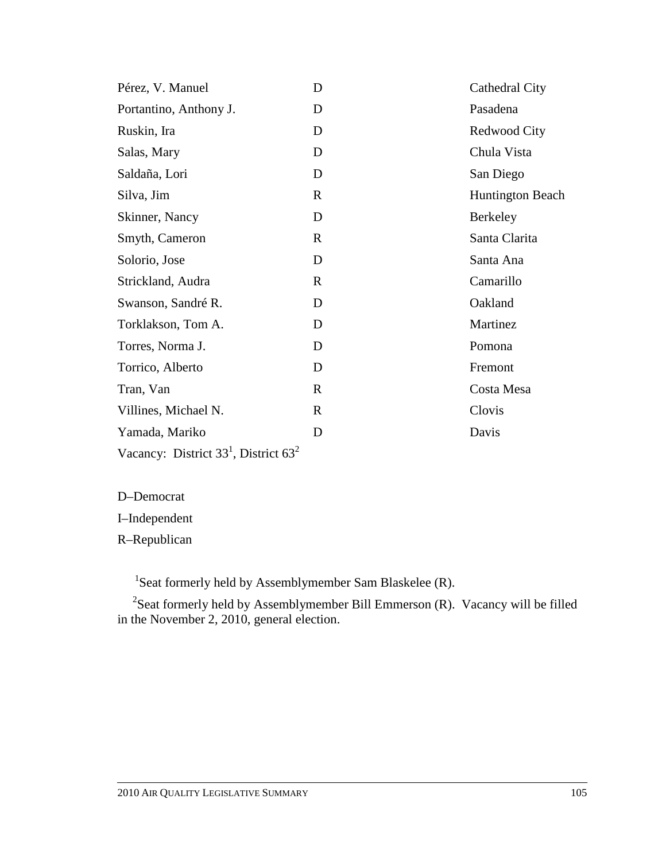| Pérez, V. Manuel                           | D            | Cathedral City          |
|--------------------------------------------|--------------|-------------------------|
| Portantino, Anthony J.                     | D            | Pasadena                |
| Ruskin, Ira                                | D            | Redwood City            |
| Salas, Mary                                | D            | Chula Vista             |
| Saldaña, Lori                              | D            | San Diego               |
| Silva, Jim                                 | $\mathbf{R}$ | <b>Huntington Beach</b> |
| Skinner, Nancy                             | D            | Berkeley                |
| Smyth, Cameron                             | $\mathbf R$  | Santa Clarita           |
| Solorio, Jose                              | D            | Santa Ana               |
| Strickland, Audra                          | $\mathbf{R}$ | Camarillo               |
| Swanson, Sandré R.                         | D            | Oakland                 |
| Torklakson, Tom A.                         | D            | Martinez                |
| Torres, Norma J.                           | D            | Pomona                  |
| Torrico, Alberto                           | D            | Fremont                 |
| Tran, Van                                  | $\mathbf R$  | Costa Mesa              |
| Villines, Michael N.                       | $\mathbf R$  | Clovis                  |
| Yamada, Mariko                             | D            | Davis                   |
| Vacancy: District $33^1$ , District $63^2$ |              |                         |

D–Democrat

I–Independent

R–Republican

<sup>1</sup>Seat formerly held by Assemblymember Sam Blaskelee  $(R)$ .

<sup>2</sup>Seat formerly held by Assemblymember Bill Emmerson (R). Vacancy will be filled in the November 2, 2010, general election.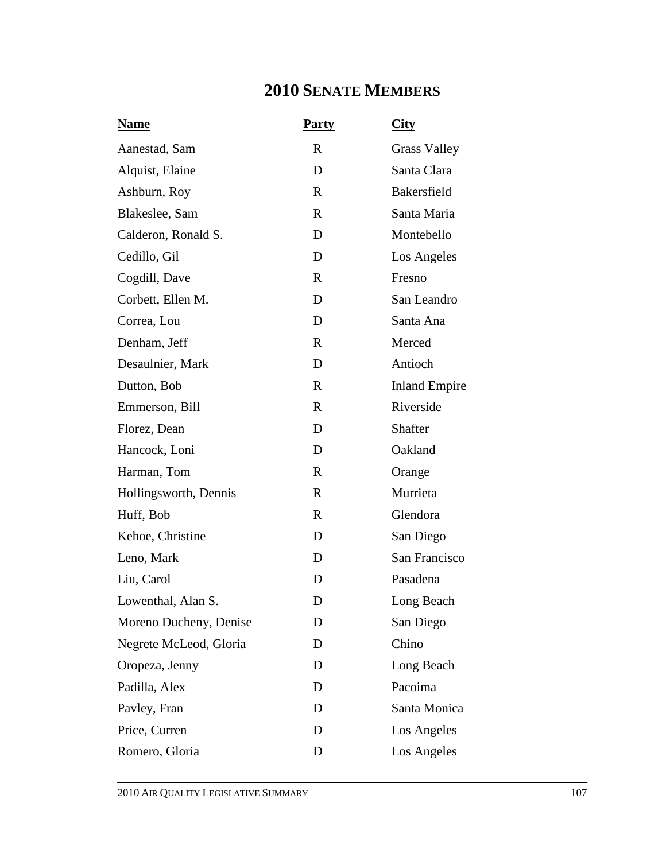## **2010 SENATE MEMBERS**

| <u>Name</u>            | <b>Party</b> | <u>City</u>          |
|------------------------|--------------|----------------------|
| Aanestad, Sam          | $\mathbf R$  | <b>Grass Valley</b>  |
| Alquist, Elaine        | D            | Santa Clara          |
| Ashburn, Roy           | $\mathbf{R}$ | Bakersfield          |
| Blakeslee, Sam         | R            | Santa Maria          |
| Calderon, Ronald S.    | D            | Montebello           |
| Cedillo, Gil           | D            | Los Angeles          |
| Cogdill, Dave          | R            | Fresno               |
| Corbett, Ellen M.      | D            | San Leandro          |
| Correa, Lou            | D            | Santa Ana            |
| Denham, Jeff           | $\mathbf R$  | Merced               |
| Desaulnier, Mark       | D            | Antioch              |
| Dutton, Bob            | $\mathbf R$  | <b>Inland Empire</b> |
| Emmerson, Bill         | $\mathbf R$  | Riverside            |
| Florez, Dean           | D            | Shafter              |
| Hancock, Loni          | D            | Oakland              |
| Harman, Tom            | $\mathbf R$  | Orange               |
| Hollingsworth, Dennis  | $\mathbf R$  | Murrieta             |
| Huff, Bob              | $\mathbf R$  | Glendora             |
| Kehoe, Christine       | D            | San Diego            |
| Leno, Mark             | D            | San Francisco        |
| Liu, Carol             | D            | Pasadena             |
| Lowenthal, Alan S.     | D            | Long Beach           |
| Moreno Ducheny, Denise | D            | San Diego            |
| Negrete McLeod, Gloria | D            | Chino                |
| Oropeza, Jenny         | D            | Long Beach           |
| Padilla, Alex          | D            | Pacoima              |
| Pavley, Fran           | D            | Santa Monica         |
| Price, Curren          | D            | Los Angeles          |
| Romero, Gloria         | D            | Los Angeles          |